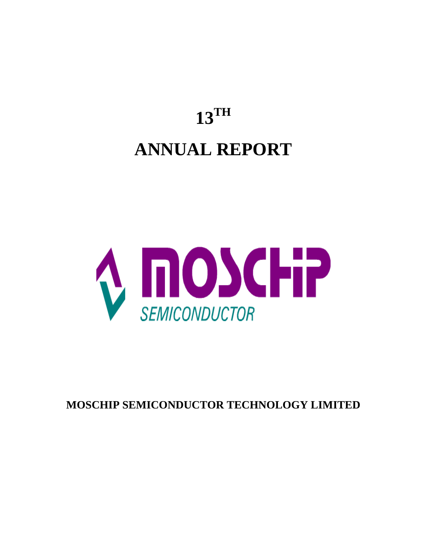# **13TH ANNUAL REPORT**



**MOSCHIP SEMICONDUCTOR TECHNOLOGY LIMITED**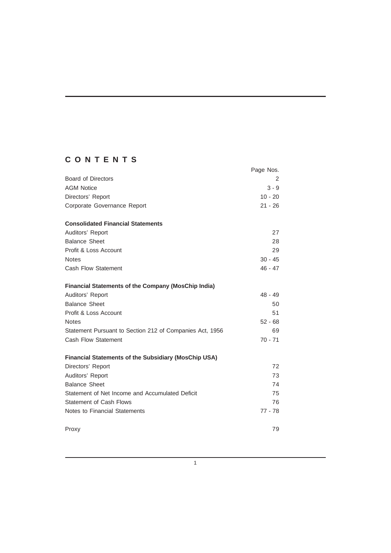# **CONTENTS**

|                                                             | Page Nos. |
|-------------------------------------------------------------|-----------|
| <b>Board of Directors</b>                                   | 2         |
| <b>AGM Notice</b>                                           | $3 - 9$   |
| Directors' Report                                           | $10 - 20$ |
| Corporate Governance Report                                 | $21 - 26$ |
| <b>Consolidated Financial Statements</b>                    |           |
| Auditors' Report                                            | 27        |
| <b>Balance Sheet</b>                                        | 28        |
| Profit & Loss Account                                       | 29        |
| <b>Notes</b>                                                | $30 - 45$ |
| <b>Cash Flow Statement</b>                                  | $46 - 47$ |
| <b>Financial Statements of the Company (MosChip India)</b>  |           |
| Auditors' Report                                            | $48 - 49$ |
| <b>Balance Sheet</b>                                        | 50        |
| Profit & Loss Account                                       | 51        |
| <b>Notes</b>                                                | $52 - 68$ |
| Statement Pursuant to Section 212 of Companies Act, 1956    | 69        |
| Cash Flow Statement                                         | $70 - 71$ |
| <b>Financial Statements of the Subsidiary (MosChip USA)</b> |           |
| Directors' Report                                           | 72        |
| Auditors' Report                                            | 73        |
| <b>Balance Sheet</b>                                        | 74        |
| Statement of Net Income and Accumulated Deficit             | 75        |
| <b>Statement of Cash Flows</b>                              | 76        |
| Notes to Financial Statements                               | $77 - 78$ |
| Proxy                                                       | 79        |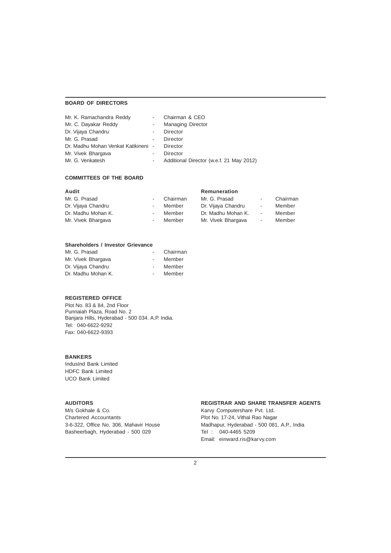# **BOARD OF DIRECTORS**

| Mr. K. Ramachandra Reddy            |            | Chairman & CEO                           |
|-------------------------------------|------------|------------------------------------------|
| Mr. C. Dayakar Reddy                |            | <b>Managing Director</b>                 |
| Dr. Vijaya Chandru                  | $\sim$     | Director                                 |
| Mr. G. Prasad                       | $\sim$     | Director                                 |
| Dr. Madhu Mohan Venkat Katikineni - |            | Director                                 |
| Mr. Vivek Bhargava                  |            | Director                                 |
| Mr. G. Venkatesh                    | $\sim$ $-$ | Additional Director (w.e.f. 21 May 2012) |

# **COMMITTEES OF THE BOARD**

| Audit              |                          |          | Remuneration       |            |          |
|--------------------|--------------------------|----------|--------------------|------------|----------|
| Mr. G. Prasad      | $\blacksquare$           | Chairman | Mr. G. Prasad      | $\sim$     | Chairman |
| Dr. Vijaya Chandru | $\overline{\phantom{a}}$ | Member   | Dr. Vijaya Chandru | $\sim$     | Member   |
| Dr. Madhu Mohan K. | $\overline{\phantom{a}}$ | Member   | Dr. Madhu Mohan K. | $\sim 100$ | Member   |
| Mr. Vivek Bhargava | $\overline{\phantom{a}}$ | Member   | Mr. Vivek Bhargava | $\sim$     | Member   |

# **Shareholders / Investor Grievance**

| Mr. G. Prasad      |        | Chairman |
|--------------------|--------|----------|
| Mr. Vivek Bhargava | $\sim$ | Member   |
| Dr. Vijaya Chandru | $\sim$ | Member   |
| Dr. Madhu Mohan K. | $\sim$ | Member   |

# **REGISTERED OFFICE**

Plot No. 83 & 84, 2nd Floor Punnaiah Plaza, Road No. 2 Banjara Hills, Hyderabad - 500 034. A.P. India. Tel: 040-6622-9292 Fax: 040-6622-9393

# **BANKERS**

IndusInd Bank Limited HDFC Bank Limited UCO Bank Limited

Chartered Accountants<br>
3-6-322, Office No. 306, Mahavir House<br>
Madhapur, Hyderabad - 500 081, Basheerbagh, Hyderabad - 500 029 Tel : 040-4465 5209

# **AUDITORS REGISTRAR AND SHARE TRANSFER AGENTS**

M/s Gokhale & Co. The Computershare Pvt. Ltd. Madhapur, Hyderabad - 500 081, A.P., India Email: einward.ris@karvy.com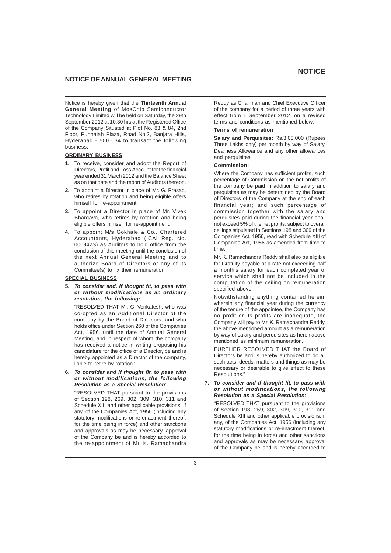# **NOTICE OF ANNUAL GENERAL MEETING**

Notice is hereby given that the **Thirteenth Annual General Meeting** of MosChip Semiconductor Technology Limited will be held on Saturday, the 29th September 2012 at 10.30 hrs at the Registered Office of the Company Situated at Plot No. 83 & 84, 2nd Floor, Punnaiah Plaza, Road No.2, Banjara Hills, Hyderabad - 500 034 to transact the following business:

# **ORDINARY BUSINESS**

- **1.** To receive, consider and adopt the Report of Directors, Profit and Loss Account for the financial year ended 31 March 2012 and the Balance Sheet as on that date and the report of Auditors thereon.
- **2.** To appoint a Director in place of Mr. G. Prasad, who retires by rotation and being eligible offers himself for re-appointment.
- **3.** To appoint a Director in place of Mr. Vivek Bhargava, who retires by rotation and being eligible offers himself for re-appointment.
- **4.** To appoint M/s Gokhale & Co., Chartered Accountants, Hyderabad (ICAI Reg. No. 000942S) as Auditors to hold office from the conclusion of this meeting until the conclusion of the next Annual General Meeting and to authorize Board of Directors or any of its Committee(s) to fix their remuneration.

# **SPECIAL BUSINESS**

**5.** *To consider and, if thought fit, to pass with or without modifications as an ordinary resolution, the following:*

"RESOLVED THAT Mr. G. Venkatesh, who was co-opted as an Additional Director of the company by the Board of Directors, and who holds office under Section 260 of the Companies Act, 1956, until the date of Annual General Meeting, and in respect of whom the company has received a notice in writing proposing his candidature for the office of a Director, be and is hereby appointed as a Director of the company, liable to retire by rotation."

**6.** *To consider and if thought fit, to pass with or without modifications, the following Resolution as a Special Resolution*:

"RESOLVED THAT pursuant to the provisions of Section 198, 269, 302, 309, 310, 311 and Schedule XIII and other applicable provisions, if any, of the Companies Act, 1956 (including any statutory modifications or re-enactment thereof, for the time being in force) and other sanctions and approvals as may be necessary, approval of the Company be and is hereby accorded to the re-appointment of Mr. K. Ramachandra Reddy as Chairman and Chief Executive Officer of the company for a period of three years with effect from 1 September 2012, on a revised terms and conditions as mentioned below:

#### **Terms of remuneration**

**Salary and Perquisites:** Rs.3,00,000 (Rupees Three Lakhs only) per month by way of Salary, Dearness Allowance and any other allowances and perquisites.

#### **Commission:**

Where the Company has sufficient profits, such percentage of Commission on the net profits of the company be paid in addition to salary and perquisites as may be determined by the Board of Directors of the Company at the end of each financial year; and such percentage of commission together with the salary and perquisites paid during the financial year shall not exceed 5% of the net profits, subject to overall ceilings stipulated in Sections 198 and 309 of the Companies Act, 1956, read with Schedule XIII of Companies Act, 1956 as amended from time to time.

Mr. K. Ramachandra Reddy shall also be eligible for Gratuity payable at a rate not exceeding half a month's salary for each completed year of service which shall not be included in the computation of the ceiling on remuneration specified above.

Notwithstanding anything contained herein, wherein any financial year during the currency of the tenure of the appointee, the Company has no profit or its profits are inadequate, the Company will pay to Mr. K. Ramachandra Reddy, the above mentioned amount as a remuneration by way of salary and perquisites as hereinabove mentioned as minimum remuneration.

FURTHER RESOLVED THAT the Board of Directors be and is hereby authorized to do all such acts, deeds, matters and things as may be necessary or desirable to give effect to these Resolutions."

# **7.** *To consider and if thought fit, to pass with or without modifications, the following Resolution as a Special Resolution*:

"RESOLVED THAT pursuant to the provisions of Section 198, 269, 302, 309, 310, 311 and Schedule XIII and other applicable provisions, if any, of the Companies Act, 1956 (including any statutory modifications or re-enactment thereof, for the time being in force) and other sanctions and approvals as may be necessary, approval of the Company be and is hereby accorded to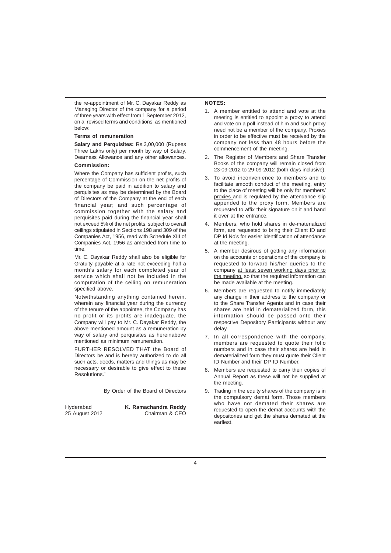the re-appointment of Mr. C. Dayakar Reddy as Managing Director of the company for a period of three years with effect from 1 September 2012, on a revised terms and conditions as mentioned below:

# **Terms of remuneration**

**Salary and Perquisites:** Rs.3,00,000 (Rupees Three Lakhs only) per month by way of Salary, Dearness Allowance and any other allowances.

# **Commission:**

Where the Company has sufficient profits, such percentage of Commission on the net profits of the company be paid in addition to salary and perquisites as may be determined by the Board of Directors of the Company at the end of each financial year; and such percentage of commission together with the salary and perquisites paid during the financial year shall not exceed 5% of the net profits, subject to overall ceilings stipulated in Sections 198 and 309 of the Companies Act, 1956, read with Schedule XIII of Companies Act, 1956 as amended from time to time.

Mr. C. Dayakar Reddy shall also be eligible for Gratuity payable at a rate not exceeding half a month's salary for each completed year of service which shall not be included in the computation of the ceiling on remuneration specified above.

Notwithstanding anything contained herein, wherein any financial year during the currency of the tenure of the appointee, the Company has no profit or its profits are inadequate, the Company will pay to Mr. C. Dayakar Reddy, the above mentioned amount as a remuneration by way of salary and perquisites as hereinabove mentioned as minimum remuneration.

FURTHER RESOLVED THAT the Board of Directors be and is hereby authorized to do all such acts, deeds, matters and things as may be necessary or desirable to give effect to these Resolutions."

By Order of the Board of Directors

Hyderabad **K. Ramachandra Reddy** Chairman & CEO

# **NOTES:**

- 1. A member entitled to attend and vote at the meeting is entitled to appoint a proxy to attend and vote on a poll instead of him and such proxy need not be a member of the company. Proxies in order to be effective must be received by the company not less than 48 hours before the commencement of the meeting.
- 2. The Register of Members and Share Transfer Books of the company will remain closed from 23-09-2012 to 29-09-2012 (both days inclusive).
- 3. To avoid inconvenience to members and to facilitate smooth conduct of the meeting, entry to the place of meeting will be only for members/ proxies and is regulated by the attendance slip appended to the proxy form. Members are requested to affix their signature on it and hand it over at the entrance.
- 4. Members, who hold shares in de-materialized form, are requested to bring their Client ID and DP Id No's for easier identification of attendance at the meeting.
- 5. A member desirous of getting any information on the accounts or operations of the company is requested to forward his/her queries to the company at least seven working days prior to the meeting, so that the required information can be made available at the meeting.
- 6. Members are requested to notify immediately any change in their address to the company or to the Share Transfer Agents and in case their shares are held in dematerialized form, this information should be passed onto their respective Depository Participants without any delay.
- 7. In all correspondence with the company, members are requested to quote their folio numbers and in case their shares are held in dematerialized form they must quote their Client ID Number and their DP ID Number.
- 8. Members are requested to carry their copies of Annual Report as these will not be supplied at the meeting.
- 9. Trading in the equity shares of the company is in the compulsory demat form. Those members who have not demated their shares are requested to open the demat accounts with the depositories and get the shares demated at the earliest.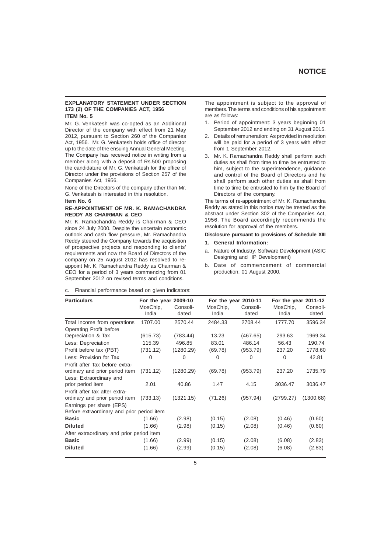# **EXPLANATORY STATEMENT UNDER SECTION 173 (2) OF THE COMPANIES ACT, 1956 ITEM No. 5**

Mr. G. Venkatesh was co-opted as an Additional Director of the company with effect from 21 May 2012, pursuant to Section 260 of the Companies Act, 1956. Mr. G. Venkatesh holds office of director up to the date of the ensuing Annual General Meeting. The Company has received notice in writing from a member along with a deposit of Rs.500 proposing the candidature of Mr. G. Venkatesh for the office of Director under the provisions of Section 257 of the Companies Act, 1956.

None of the Directors of the company other than Mr. G. Venkatesh is interested in this resolution.

#### **Item No. 6**

### **RE-APPOINTMENT OF MR. K. RAMACHANDRA REDDY AS CHAIRMAN & CEO**

Mr. K. Ramachandra Reddy is Chairman & CEO since 24 July 2000. Despite the uncertain economic outlook and cash flow pressure, Mr. Ramachandra Reddy steered the Company towards the acquisition of prospective projects and responding to clients' requirements and now the Board of Directors of the company on 25 August 2012 has resolved to reappoint Mr. K. Ramachandra Reddy as Chairman & CEO for a period of 3 years commencing from 01 September 2012 on revised terms and conditions.

c. Financial performance based on given indicators:

The appointment is subject to the approval of members. The terms and conditions of his appointment are as follows:

- 1. Period of appointment: 3 years beginning 01 September 2012 and ending on 31 August 2015.
- 2. Details of remuneration: As provided in resolution will be paid for a period of 3 years with effect from 1 September 2012.
- 3. Mr. K. Ramachandra Reddy shall perform such duties as shall from time to time be entrusted to him, subject to the superintendence, guidance and control of the Board of Directors and he shall perform such other duties as shall from time to time be entrusted to him by the Board of Directors of the company.

The terms of re-appointment of Mr. K. Ramachandra Reddy as stated in this notice may be treated as the abstract under Section 302 of the Companies Act, 1956. The Board accordingly recommends the resolution for approval of the members.

#### **Disclosure pursuant to provisions of Schedule XIII**

- **1. General Information:**
- a. Nature of Industry: Software Development (ASIC Designing and IP Development)
- b. Date of commencement of commercial production: 01 August 2000.

| <b>Particulars</b>                                                     | For the year 2009-10 |                   |                   | For the year 2010-11 | For the year 2011-12 |                   |
|------------------------------------------------------------------------|----------------------|-------------------|-------------------|----------------------|----------------------|-------------------|
|                                                                        | MosChip,<br>India    | Consoli-<br>dated | MosChip,<br>India | Consoli-<br>dated    | MosChip,<br>India    | Consoli-<br>dated |
| Total Income from operations                                           | 1707.00              | 2570.44           | 2484.33           | 2708.44              | 1777.70              | 3596.34           |
| Operating Profit before<br>Depreciation & Tax                          | (615.73)             | (783.44)          | 13.23             | (467.65)             | 293.63               | 1969.34           |
| Less: Depreciation                                                     | 115.39               | 496.85            | 83.01             | 486.14               | 56.43                | 190.74            |
| Profit before tax (PBT)                                                | (731.12)             | (1280.29)         | (69.78)           | (953.79)             | 237.20               | 1778.60           |
| Less: Provision for Tax                                                | $\Omega$             | 0                 | 0                 | 0                    | $\Omega$             | 42.81             |
| Profit after Tax before extra-<br>ordinary and prior period item       | (731.12)             | (1280.29)         | (69.78)           | (953.79)             | 237.20               | 1735.79           |
| Less: Extraordinary and<br>prior period item                           | 2.01                 | 40.86             | 1.47              | 4.15                 | 3036.47              | 3036.47           |
| Profit after tax after extra-<br>ordinary and prior period item        | (733.13)             | (1321.15)         | (71.26)           | (957.94)             | (2799.27)            | (1300.68)         |
| Earnings per share (EPS)<br>Before extraordinary and prior period item |                      |                   |                   |                      |                      |                   |
| <b>Basic</b>                                                           | (1.66)               | (2.98)            | (0.15)            | (2.08)               | (0.46)               | (0.60)            |
| <b>Diluted</b>                                                         | (1.66)               | (2.98)            | (0.15)            | (2.08)               | (0.46)               | (0.60)            |
| After extraordinary and prior period item                              |                      |                   |                   |                      |                      |                   |
| <b>Basic</b>                                                           | (1.66)               | (2.99)            | (0.15)            | (2.08)               | (6.08)               | (2.83)            |
| <b>Diluted</b>                                                         | (1.66)               | (2.99)            | (0.15)            | (2.08)               | (6.08)               | (2.83)            |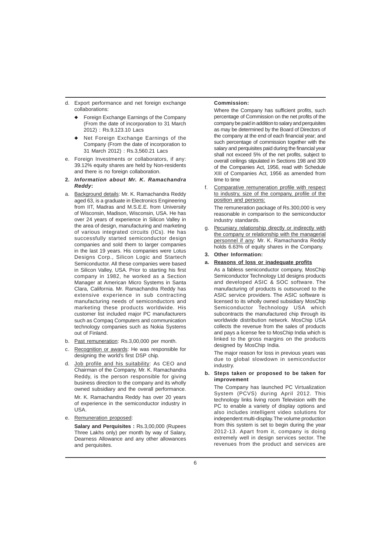- d. Export performance and net foreign exchange collaborations:
	- Foreign Exchange Earnings of the Company (From the date of incorporation to 31 March 2012) : Rs.9,123.10 Lacs
	- Net Foreign Exchange Earnings of the Company (From the date of incorporation to 31 March 2012) : Rs.3,560.21 Lacs
- e. Foreign Investments or collaborators, if any: 39.12% equity shares are held by Non-residents and there is no foreign collaboration.
- **2.** *Information about Mr. K. Ramachandra Reddy***:**
- a. Background details: Mr. K. Ramachandra Reddy aged 63, is a graduate in Electronics Engineering from IIT, Madras and M.S.E.E. from University of Wisconsin, Madison, Wisconsin, USA. He has over 24 years of experience in Silicon Valley in the area of design, manufacturing and marketing of various integrated circuits (ICs). He has successfully started semiconductor design companies and sold them to larger companies in the last 19 years. His companies were Lotus Designs Corp., Silicon Logic and Startech Semiconductor. All these companies were based in Silicon Valley, USA. Prior to starting his first company in 1982, he worked as a Section Manager at American Micro Systems in Santa Clara, California. Mr. Ramachandra Reddy has extensive experience in sub contracting manufacturing needs of semiconductors and marketing these products worldwide. His customer list included major PC manufacturers such as Compaq Computers and communication technology companies such as Nokia Systems out of Finland.
- b. Past remuneration: Rs.3,00,000 per month.
- c. Recognition or awards: He was responsible for designing the world's first DSP chip.
- d. Job profile and his suitability: As CEO and Chairman of the Company, Mr. K. Ramachandra Reddy, is the person responsible for giving business direction to the company and its wholly owned subsidiary and the overall performance. Mr. K. Ramachandra Reddy has over 20 years of experience in the semiconductor industry in USA.
- e. Remuneration proposed:

**Salary and Perquisites :** Rs.3,00,000 (Rupees Three Lakhs only) per month by way of Salary, Dearness Allowance and any other allowances and perquisites.

# **Commission:**

Where the Company has sufficient profits, such percentage of Commission on the net profits of the company be paid in addition to salary and perquisites as may be determined by the Board of Directors of the company at the end of each financial year; and such percentage of commission together with the salary and perquisites paid during the financial year shall not exceed 5% of the net profits, subject to overall ceilings stipulated in Sections 198 and 309 of the Companies Act, 1956, read with Schedule XIII of Companies Act, 1956 as amended from time to time

Comparative remuneration profile with respect to industry, size of the company, profile of the position and persons:

The remuneration package of Rs.300,000 is very reasonable in comparison to the semiconductor industry standards.

- Pecuniary relationship directly or indirectly with the company or relationship with the managerial personnel if any: Mr. K. Ramachandra Reddy holds 6.63% of equity shares in the Company.
- **3. Other Information:**
- **a. Reasons of loss or inadequate profits**
	- As a fabless semiconductor company, MosChip Semiconductor Technology Ltd designs products and developed ASIC & SOC software. The manufacturing of products is outsourced to the ASIC service providers. The ASIC software is licensed to its wholly owned subsidiary MosChip Semiconductor Technology USA which subcontracts the manufactured chip through its worldwide distribution network. MosChip USA collects the revenue from the sales of products and pays a license fee to MosChip India which is linked to the gross margins on the products designed by MosChip India.

The major reason for loss in previous years was due to global slowdown in semiconductor industry.

**b. Steps taken or proposed to be taken for improvement**

The Company has launched PC Virtualization System (PCVS) during April 2012. This technology links living room Television with the PC to enable a variety of display options and also includes intelligent video solutions for independent multi-display. The volume production from this system is set to begin during the year 2012-13. Apart from it, company is doing extremely well in design services sector. The revenues from the product and services are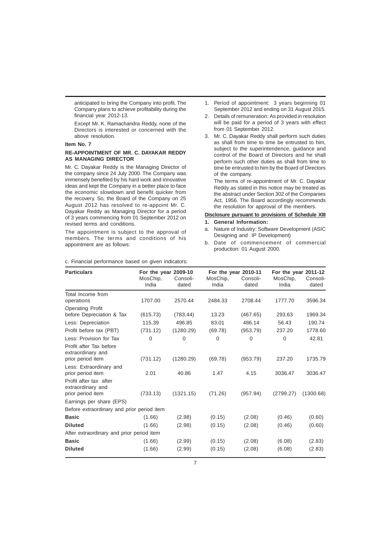anticipated to bring the Company into profit. The Company plans to achieve profitability during the financial year 2012-13.

Except Mr. K. Ramachandra Reddy, none of the Directors is interested or concerned with the above resolution.

#### **Item No. 7**

# **RE-APPOINTMENT OF MR. C. DAYAKAR REDDY AS MANAGING DIRECTOR**

Mr. C. Dayakar Reddy is the Managing Director of the company since 24 July 2000. The Company was immensely benefited by his hard work and innovative ideas and kept the Company in a better place to face the economic slowdown and benefit quicker from the recovery. So, the Board of the Company on 25 August 2012 has resolved to re-appoint Mr. C. Dayakar Reddy as Managing Director for a period of 3 years commencing from 01 September 2012 on revised terms and conditions.

The appointment is subject to the approval of members. The terms and conditions of his appointment are as follows:

- 1. Period of appointment: 3 years beginning 01 September 2012 and ending on 31 August 2015.
- 2. Details of remuneration: As provided in resolution will be paid for a period of 3 years with effect from 01 September 2012.
- 3. Mr. C. Dayakar Reddy shall perform such duties as shall from time to time be entrusted to him, subject to the superintendence, guidance and control of the Board of Directors and he shall perform such other duties as shall from time to time be entrusted to him by the Board of Directors of the company.

The terms of re-appointment of Mr. C. Dayakar Reddy as stated in this notice may be treated as the abstract under Section 302 of the Companies Act, 1956. The Board accordingly recommends the resolution for approval of the members.

# **Disclosure pursuant to provisions of Schedule XIII**

- **1. General Information:**
- a. Nature of Industry: Software Development (ASIC Designing and IP Development)
- b. Date of commencement of commercial production: 01 August 2000.

| <b>Particulars</b>                           | For the year 2009-10<br>MosChip, | Consoli-  | MosChip, | For the year 2010-11<br>Consoli- | For the year 2011-12<br>MosChip, | Consoli-  |
|----------------------------------------------|----------------------------------|-----------|----------|----------------------------------|----------------------------------|-----------|
|                                              | India                            | dated     | India    | dated                            | India                            | dated     |
| Total Income from                            |                                  |           |          |                                  |                                  |           |
| operations                                   | 1707.00                          | 2570.44   | 2484.33  | 2708.44                          | 1777.70                          | 3596.34   |
| <b>Operating Profit</b>                      |                                  |           |          |                                  |                                  |           |
| before Depreciation & Tax                    | (615.73)                         | (783.44)  | 13.23    | (467.65)                         | 293.63                           | 1969.34   |
| Less: Depreciation                           | 115.39                           | 496.85    | 83.01    | 486.14                           | 56.43                            | 190.74    |
| Profit before tax (PBT)                      | (731.12)                         | (1280.29) | (69.78)  | (953.79)                         | 237.20                           | 1778.60   |
| Less: Provision for Tax                      | $\mathbf 0$                      | $\Omega$  | $\Omega$ | $\Omega$                         | $\Omega$                         | 42.81     |
| Profit after Tax before<br>extraordinary and |                                  |           |          |                                  |                                  |           |
| prior period item                            | (731.12)                         | (1280.29) | (69.78)  | (953.79)                         | 237.20                           | 1735.79   |
| Less: Extraordinary and                      | 2.01                             | 40.86     | 1.47     | 4.15                             |                                  | 3036.47   |
| prior period item                            |                                  |           |          |                                  | 3036.47                          |           |
| Profit after tax after                       |                                  |           |          |                                  |                                  |           |
| extraordinary and<br>prior period item       | (733.13)                         | (1321.15) | (71.26)  | (957.94)                         | (2799.27)                        | (1300.68) |
| Earnings per share (EPS)                     |                                  |           |          |                                  |                                  |           |
| Before extraordinary and prior period item   |                                  |           |          |                                  |                                  |           |
| <b>Basic</b>                                 | (1.66)                           | (2.98)    | (0.15)   | (2.08)                           | (0.46)                           | (0.60)    |
| <b>Diluted</b>                               | (1.66)                           | (2.98)    | (0.15)   | (2.08)                           | (0.46)                           | (0.60)    |
| After extraordinary and prior period item    |                                  |           |          |                                  |                                  |           |
| <b>Basic</b>                                 | (1.66)                           | (2.99)    | (0.15)   | (2.08)                           | (6.08)                           | (2.83)    |
| <b>Diluted</b>                               | (1.66)                           | (2.99)    | (0.15)   | (2.08)                           | (6.08)                           | (2.83)    |
|                                              |                                  |           |          |                                  |                                  |           |

c. Financial performance based on given indicators: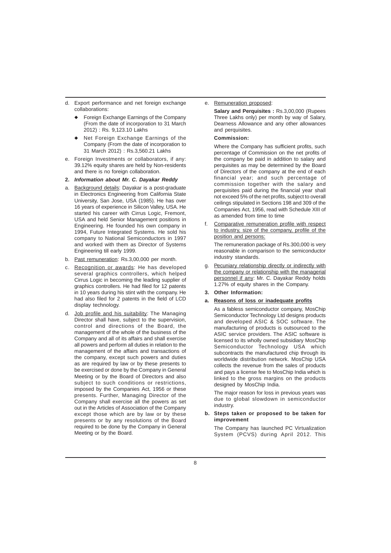- d. Export performance and net foreign exchange collaborations:
	- Foreign Exchange Earnings of the Company (From the date of incorporation to 31 March 2012) : Rs. 9,123.10 Lakhs
	- Net Foreign Exchange Earnings of the Company (From the date of incorporation to 31 March 2012) : Rs.3,560.21 Lakhs
- e. Foreign Investments or collaborators, if any: 39.12% equity shares are held by Non-residents and there is no foreign collaboration.
- **2.** *Information about Mr. C. Dayakar Reddy*
- a. Background details: Dayakar is a post-graduate in Electronics Engineering from California State University, San Jose, USA (1985). He has over 16 years of experience in Silicon Valley, USA. He started his career with Cirrus Logic, Fremont, USA and held Senior Management positions in Engineering. He founded his own company in 1994, Future Integrated Systems. He sold his company to National Semiconductors in 1997 and worked with them as Director of Systems Engineering till early 1999.
- b. Past remuneration: Rs.3,00,000 per month.
- c. Recognition or awards: He has developed several graphics controllers, which helped Cirrus Logic in becoming the leading supplier of graphics controllers. He had filed for 12 patents in 10 years during his stint with the company. He had also filed for 2 patents in the field of LCD display technology.
- d. Job profile and his suitability: The Managing Director shall have, subject to the supervision, control and directions of the Board, the management of the whole of the business of the Company and all of its affairs and shall exercise all powers and perform all duties in relation to the management of the affairs and transactions of the company, except such powers and duties as are required by law or by these presents to be exercised or done by the Company in General Meeting or by the Board of Directors and also subject to such conditions or restrictions, imposed by the Companies Act, 1956 or these presents. Further, Managing Director of the Company shall exercise all the powers as set out in the Articles of Association of the Company except those which are by law or by these presents or by any resolutions of the Board required to be done by the Company in General Meeting or by the Board.

# e. Remuneration proposed:

**Salary and Perquisites :** Rs.3,00,000 (Rupees Three Lakhs only) per month by way of Salary, Dearness Allowance and any other allowances and perquisites.

# **Commission:**

Where the Company has sufficient profits, such percentage of Commission on the net profits of the company be paid in addition to salary and perquisites as may be determined by the Board of Directors of the company at the end of each financial year; and such percentage of commission together with the salary and perquisites paid during the financial year shall not exceed 5% of the net profits, subject to overall ceilings stipulated in Sections 198 and 309 of the Companies Act, 1956, read with Schedule XIII of as amended from time to time

f. Comparative remuneration profile with respect to industry, size of the company, profile of the position and persons:

The remuneration package of Rs.300,000 is very reasonable in comparison to the semiconductor industry standards.

- g. Pecuniary relationship directly or indirectly with the company or relationship with the managerial personnel if any: Mr. C. Dayakar Reddy holds 1.27% of equity shares in the Company.
- **3. Other Information:**
- **a. Reasons of loss or inadequate profits**

As a fabless semiconductor company, MosChip Semiconductor Technology Ltd designs products and developed ASIC & SOC software. The manufacturing of products is outsourced to the ASIC service providers. The ASIC software is licensed to its wholly owned subsidiary MosChip Semiconductor Technology USA which subcontracts the manufactured chip through its worldwide distribution network. MosChip USA collects the revenue from the sales of products and pays a license fee to MosChip India which is linked to the gross margins on the products designed by MosChip India.

The major reason for loss in previous years was due to global slowdown in semiconductor industry.

# **b. Steps taken or proposed to be taken for improvement**

The Company has launched PC Virtualization System (PCVS) during April 2012. This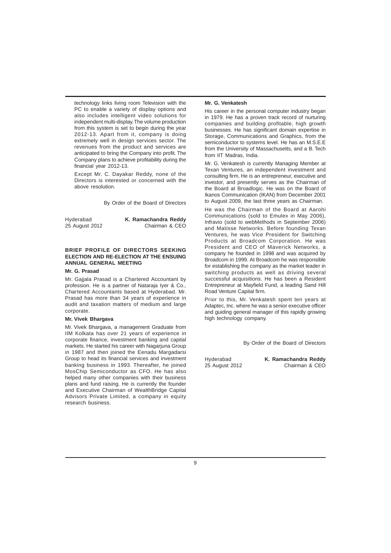technology links living room Television with the PC to enable a variety of display options and also includes intelligent video solutions for independent multi-display. The volume production from this system is set to begin during the year 2012-13. Apart from it, company is doing extremely well in design services sector. The revenues from the product and services are anticipated to bring the Company into profit. The Company plans to achieve profitability during the financial year 2012-13.

Except Mr. C. Dayakar Reddy, none of the Directors is interested or concerned with the above resolution.

By Order of the Board of Directors

| Hyderabad      | K. Ramachandra Reddy |
|----------------|----------------------|
| 25 August 2012 | Chairman & CEO       |

# **BRIEF PROFILE OF DIRECTORS SEEKING ELECTION AND RE-ELECTION AT THE ENSUING ANNUAL GENERAL MEETING**

# **Mr. G. Prasad**

Mr. Gajjala Prasad is a Chartered Accountant by profession. He is a partner of Nataraja Iyer & Co., Chartered Accountants based at Hyderabad. Mr. Prasad has more than 34 years of experience in audit and taxation matters of medium and large corporate.

# **Mr. Vivek Bhargava**

Mr. Vivek Bhargava, a management Graduate from IIM Kolkata has over 21 years of experience in corporate finance, investment banking and capital markets. He started his career with Nagarjuna Group in 1987 and then joined the Eenadu Margadarsi Group to head its financial services and investment banking business in 1993. Thereafter, he joined MosChip Semiconductor as CFO. He has also helped many other companies with their business plans and fund raising. He is currently the founder and Executive Chairman of WealthBridge Capital Advisors Private Limited, a company in equity research business.

# **Mr. G. Venkatesh**

His career in the personal computer industry began in 1979. He has a proven track record of nurturing companies and building profitable, high growth businesses. He has significant domain expertise in Storage, Communications and Graphics, from the semiconductor to systems level. He has an M.S.E.E from the University of Massachusetts, and a B. Tech from IIT Madras, India.

Mr. G. Venkatesh is currently Managing Member at Texan Ventures, an independent investment and consulting firm. He is an entrepreneur, executive and investor, and presently serves as the Chairman of the Board at Broadlogic. He was on the Board of Ikanos Communication (IKAN) from December 2001 to August 2009, the last three years as Chairman.

He was the Chairman of the Board at Aarohi Communications (sold to Emulex in May 2006), Infravio (sold to webMethods in September 2006) and Matisse Networks. Before founding Texan Ventures, he was Vice President for Switching Products at Broadcom Corporation. He was President and CEO of Maverick Networks, a company he founded in 1998 and was acquired by Broadcom in 1999. At Broadcom he was responsible for establishing the company as the market leader in switching products as well as driving several successful acquisitions. He has been a Resident Entrepreneur at Mayfield Fund, a leading Sand Hill Road Venture Capital firm.

Prior to this, Mr. Venkatesh spent ten years at Adaptec, Inc. where he was a senior executive officer and guiding general manager of this rapidly growing high technology company.

By Order of the Board of Directors

 $25$  August 2012

Hyderabad **K. Ramachandra Reddy**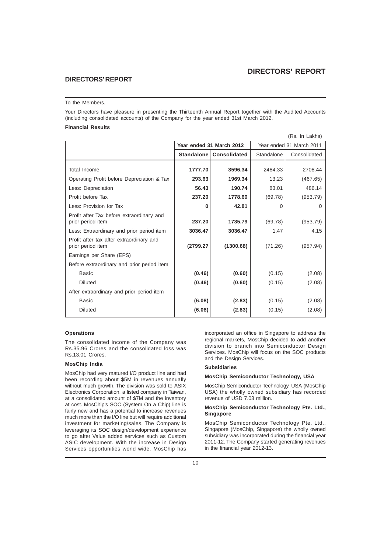# **DIRECTORS' REPORT**

# **DIRECTORS' REPORT**

# To the Members,

Your Directors have pleasure in presenting the Thirteenth Annual Report together with the Audited Accounts (including consolidated accounts) of the Company for the year ended 31st March 2012.

# **Financial Results**

|                                                                |                   |                          |            | (Rs. In Lakhs)           |
|----------------------------------------------------------------|-------------------|--------------------------|------------|--------------------------|
|                                                                |                   | Year ended 31 March 2012 |            | Year ended 31 March 2011 |
|                                                                | <b>Standalone</b> | <b>Consolidated</b>      | Standalone | Consolidated             |
| Total Income                                                   | 1777.70           | 3596.34                  | 2484.33    | 2708.44                  |
| Operating Profit before Depreciation & Tax                     | 293.63            | 1969.34                  | 13.23      | (467.65)                 |
| Less: Depreciation                                             | 56.43             | 190.74                   | 83.01      | 486.14                   |
| Profit before Tax                                              | 237.20            | 1778.60                  | (69.78)    | (953.79)                 |
| Less: Provision for Tax                                        | 0                 | 42.81                    | 0          | 0                        |
| Profit after Tax before extraordinary and<br>prior period item | 237.20            | 1735.79                  | (69.78)    | (953.79)                 |
| Less: Extraordinary and prior period item                      | 3036.47           | 3036.47                  | 1.47       | 4.15                     |
| Profit after tax after extraordinary and<br>prior period item  | (2799.27          | (1300.68)                | (71.26)    | (957.94)                 |
| Earnings per Share (EPS)                                       |                   |                          |            |                          |
| Before extraordinary and prior period item                     |                   |                          |            |                          |
| <b>Basic</b>                                                   | (0.46)            | (0.60)                   | (0.15)     | (2.08)                   |
| <b>Diluted</b>                                                 | (0.46)            | (0.60)                   | (0.15)     | (2.08)                   |
| After extraordinary and prior period item                      |                   |                          |            |                          |
| Basic                                                          | (6.08)            | (2.83)                   | (0.15)     | (2.08)                   |
| <b>Diluted</b>                                                 | (6.08)            | (2.83)                   | (0.15)     | (2.08)                   |

# **Operations**

The consolidated income of the Company was Rs.35.96 Crores and the consolidated loss was Rs.13.01 Crores.

# **MosChip India**

MosChip had very matured I/O product line and had been recording about \$5M in revenues annually without much growth. The division was sold to ASIX Electronics Corporation, a listed company in Taiwan, at a consolidated amount of \$7M and the inventory at cost. MosChip's SOC (System On a Chip) line is fairly new and has a potential to increase revenues much more than the I/O line but will require additional investment for marketing/sales. The Company is leveraging its SOC design/development experience to go after Value added services such as Custom ASIC development. With the increase in Design Services opportunities world wide, MosChip has incorporated an office in Singapore to address the regional markets, MosChip decided to add another division to branch into Semiconductor Design Services. MosChip will focus on the SOC products and the Design Services.

# **Subsidiaries**

# **MosChip Semiconductor Technology, USA**

MosChip Semiconductor Technology, USA (MosChip USA) the wholly owned subsidiary has recorded revenue of USD 7.03 million.

# **MosChip Semiconductor Technology Pte. Ltd., Singapore**

MosChip Semiconductor Technology Pte. Ltd., Singapore (MosChip, Singapore) the wholly owned subsidiary was incorporated during the financial year 2011-12. The Company started generating revenues in the financial year 2012-13.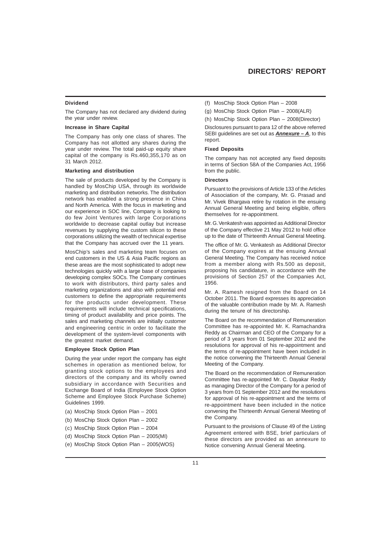# **Dividend**

The Company has not declared any dividend during the year under review.

# **Increase in Share Capital**

The Company has only one class of shares. The Company has not allotted any shares during the year under review. The total paid-up equity share capital of the company is Rs.460,355,170 as on 31 March 2012.

#### **Marketing and distribution**

The sale of products developed by the Company is handled by MosChip USA, through its worldwide marketing and distribution networks. The distribution network has enabled a strong presence in China and North America. With the focus in marketing and our experience in SOC line, Company is looking to do few Joint Ventures with large Corporations worldwide to decrease capital outlay but increase revenues by supplying the custom silicon to these corporations utilizing the wealth of technical expertise that the Company has accrued over the 11 years.

MosChip's sales and marketing team focuses on end customers in the US & Asia Pacific regions as these areas are the most sophisticated to adopt new technologies quickly with a large base of companies developing complex SOCs. The Company continues to work with distributors, third party sales and marketing organizations and also with potential end customers to define the appropriate requirements for the products under development. These requirements will include technical specifications, timing of product availability and price points. The sales and marketing channels are initially customer and engineering centric in order to facilitate the development of the system-level components with the greatest market demand.

# **Employee Stock Option Plan**

During the year under report the company has eight schemes in operation as mentioned below, for granting stock options to the employees and directors of the company and its wholly owned subsidiary in accordance with Securities and Exchange Board of India (Employee Stock Option Scheme and Employee Stock Purchase Scheme) Guidelines 1999.

- (a) MosChip Stock Option Plan 2001
- (b) MosChip Stock Option Plan 2002
- (c) MosChip Stock Option Plan 2004
- (d) MosChip Stock Option Plan 2005(MI)
- (e) MosChip Stock Option Plan 2005(WOS)
- (f) MosChip Stock Option Plan 2008
- (g) MosChip Stock Option Plan 2008(ALR)

(h) MosChip Stock Option Plan – 2008(Director)

Disclosures pursuant to para 12 of the above referred SEBI guidelines are set out as *Annexure – A*, to this report.

# **Fixed Deposits**

The company has not accepted any fixed deposits in terms of Section 58A of the Companies Act, 1956 from the public.

# **Directors**

Pursuant to the provisions of Article 133 of the Articles of Association of the company, Mr. G. Prasad and Mr. Vivek Bhargava retire by rotation in the ensuing Annual General Meeting and being eligible, offers themselves for re-appointment.

Mr. G. Venkatesh was appointed as Additional Director of the Company effective 21 May 2012 to hold office up to the date of Thirteenth Annual General Meeting.

The office of Mr. G. Venkatesh as Additional Director of the Company expires at the ensuing Annual General Meeting. The Company has received notice from a member along with Rs.500 as deposit, proposing his candidature, in accordance with the provisions of Section 257 of the Companies Act, 1956.

Mr. A. Ramesh resigned from the Board on 14 October 2011. The Board expresses its appreciation of the valuable contribution made by Mr. A. Ramesh during the tenure of his directorship.

The Board on the recommendation of Remuneration Committee has re-appointed Mr. K. Ramachandra Reddy as Chairman and CEO of the Company for a period of 3 years from 01 September 2012 and the resolutions for approval of his re-appointment and the terms of re-appointment have been included in the notice convening the Thirteenth Annual General Meeting of the Company.

The Board on the recommendation of Remuneration Committee has re-appointed Mr. C. Dayakar Reddy as managing Director of the Company for a period of 3 years from 01 September 2012 and the resolutions for approval of his re-appointment and the terms of re-appointment have been included in the notice convening the Thirteenth Annual General Meeting of the Company.

Pursuant to the provisions of Clause 49 of the Listing Agreement entered with BSE, brief particulars of these directors are provided as an annexure to Notice convening Annual General Meeting.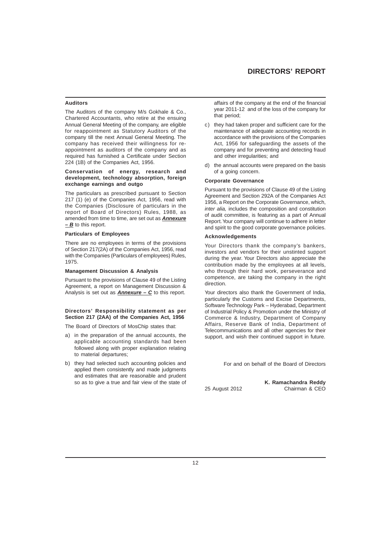# **Auditors**

The Auditors of the company M/s Gokhale & Co., Chartered Accountants, who retire at the ensuing Annual General Meeting of the company, are eligible for reappointment as Statutory Auditors of the company till the next Annual General Meeting. The company has received their willingness for reappointment as auditors of the company and as required has furnished a Certificate under Section 224 (1B) of the Companies Act, 1956.

# **Conservation of energy, research and development, technology absorption, foreign exchange earnings and outgo**

The particulars as prescribed pursuant to Section 217 (1) (e) of the Companies Act, 1956, read with the Companies (Disclosure of particulars in the report of Board of Directors) Rules, 1988, as amended from time to time, are set out as *Annexure – B* to this report.

# **Particulars of Employees**

There are no employees in terms of the provisions of Section 217(2A) of the Companies Act, 1956, read with the Companies (Particulars of employees) Rules, 1975.

# **Management Discussion & Analysis**

Pursuant to the provisions of Clause 49 of the Listing Agreement, a report on Management Discussion & Analysis is set out as *Annexure – C* to this report.

# **Directors' Responsibility statement as per Section 217 (2AA) of the Companies Act, 1956**

The Board of Directors of MosChip states that:

- a) in the preparation of the annual accounts, the applicable accounting standards had been followed along with proper explanation relating to material departures;
- b) they had selected such accounting policies and applied them consistently and made judgments and estimates that are reasonable and prudent so as to give a true and fair view of the state of

affairs of the company at the end of the financial year 2011-12 and of the loss of the company for that period;

- c) they had taken proper and sufficient care for the maintenance of adequate accounting records in accordance with the provisions of the Companies Act, 1956 for safeguarding the assets of the company and for preventing and detecting fraud and other irregularities; and
- d) the annual accounts were prepared on the basis of a going concern.

### **Corporate Governance**

Pursuant to the provisions of Clause 49 of the Listing Agreement and Section 292A of the Companies Act 1956, a Report on the Corporate Governance, which, *inter alia,* includes the composition and constitution of audit committee, is featuring as a part of Annual Report. Your company will continue to adhere in letter and spirit to the good corporate governance policies.

#### **Acknowledgements**

Your Directors thank the company's bankers, investors and vendors for their unstinted support during the year. Your Directors also appreciate the contribution made by the employees at all levels, who through their hard work, perseverance and competence, are taking the company in the right direction.

Your directors also thank the Government of India, particularly the Customs and Excise Departments, Software Technology Park – Hyderabad, Department of Industrial Policy & Promotion under the Ministry of Commerce & Industry, Department of Company Affairs, Reserve Bank of India, Department of Telecommunications and all other agencies for their support, and wish their continued support in future.

For and on behalf of the Board of Directors

**K. Ramachandra Reddy** 25 August 2012 Chairman & CEO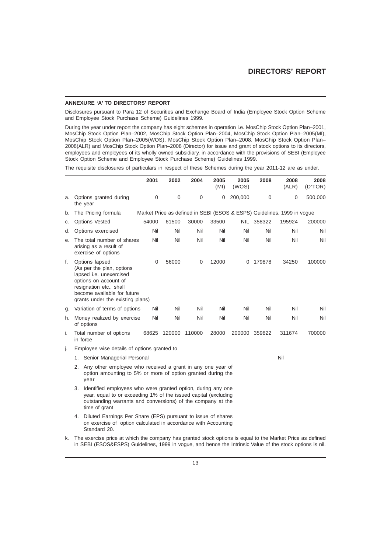# **ANNEXURE 'A' TO DIRECTORS' REPORT**

Disclosures pursuant to Para 12 of Securities and Exchange Board of India (Employee Stock Option Scheme and Employee Stock Purchase Scheme) Guidelines 1999.

During the year under report the company has eight schemes in operation i.e. MosChip Stock Option Plan–2001, MosChip Stock Option Plan–2002, MosChip Stock Option Plan–2004, MosChip Stock Option Plan–2005(MI), MosChip Stock Option Plan–2005(WOS), MosChip Stock Option Plan–2008, MosChip Stock Option Plan– 2008(ALR) and MosChip Stock Option Plan–2008 (Director) for issue and grant of stock options to its directors, employees and employees of its wholly owned subsidiary, in accordance with the provisions of SEBI (Employee Stock Option Scheme and Employee Stock Purchase Scheme) Guidelines 1999.

The requisite disclosures of particulars in respect of these Schemes during the year 2011-12 are as under.

|    |                                                                                                                                                                                                                    | 2001  | 2002        | 2004        | 2005<br>(MI) | 2005<br>(WOS) | 2008          | 2008<br>(ALR)                                                           | 2008<br>(D'TOR) |
|----|--------------------------------------------------------------------------------------------------------------------------------------------------------------------------------------------------------------------|-------|-------------|-------------|--------------|---------------|---------------|-------------------------------------------------------------------------|-----------------|
| а. | Options granted during<br>the year                                                                                                                                                                                 | 0     | $\mathbf 0$ | $\mathbf 0$ | 0            | 200,000       | $\mathbf 0$   | 0                                                                       | 500,000         |
| b. | The Pricing formula                                                                                                                                                                                                |       |             |             |              |               |               | Market Price as defined in SEBI (ESOS & ESPS) Guidelines, 1999 in vogue |                 |
| С. | <b>Options Vested</b>                                                                                                                                                                                              | 54000 | 61500       | 30000       | 33500        |               | NIL 358322    | 195924                                                                  | 200000          |
| d. | Options exercised                                                                                                                                                                                                  | Nil   | Nil         | Nil         | Nil          | Nil           | Nil           | Nil                                                                     | Nil             |
| е. | The total number of shares<br>arising as a result of<br>exercise of options                                                                                                                                        | Nil   | Nil         | Nil         | Nil          | Nil           | Nil           | Nil                                                                     | Nil             |
| f. | Options lapsed<br>(As per the plan, options<br>lapsed i.e. unexercised<br>options on account of<br>resignation etc., shall<br>become available for future<br>grants under the existing plans)                      | 0     | 56000       | 0           | 12000        | 0             | 179878        | 34250                                                                   | 100000          |
| g. | Variation of terms of options                                                                                                                                                                                      | Nil   | Nil         | Nil         | Nil          | Nil           | Nil           | Nil                                                                     | Nil             |
| h. | Money realized by exercise<br>of options                                                                                                                                                                           | Nil   | Nil         | Nil         | Nil          | Nil           | Nil           | Nil                                                                     | Nil             |
| i. | Total number of options<br>in force                                                                                                                                                                                | 68625 | 120000      | 110000      | 28000        |               | 200000 359822 | 311674                                                                  | 700000          |
| j. | Employee wise details of options granted to                                                                                                                                                                        |       |             |             |              |               |               |                                                                         |                 |
|    | 1. Senior Managerial Personal                                                                                                                                                                                      |       |             |             |              |               |               | Nil                                                                     |                 |
|    | Any other employee who received a grant in any one year of<br>2.<br>option amounting to 5% or more of option granted during the<br>year                                                                            |       |             |             |              |               |               |                                                                         |                 |
|    | 3. Identified employees who were granted option, during any one<br>year, equal to or exceeding 1% of the issued capital (excluding<br>outstanding warrants and conversions) of the company at the<br>time of grant |       |             |             |              |               |               |                                                                         |                 |
|    | 4. Diluted Earnings Per Share (EPS) pursuant to issue of shares<br>on exercise of option calculated in accordance with Accounting<br>Standard 20.                                                                  |       |             |             |              |               |               |                                                                         |                 |
| k. | The exercise price at which the company has granted stock options is equal to the Market Price as defined                                                                                                          |       |             |             |              |               |               |                                                                         |                 |

in SEBI (ESOS&ESPS) Guidelines, 1999 in vogue, and hence the Intrinsic Value of the stock options is nil.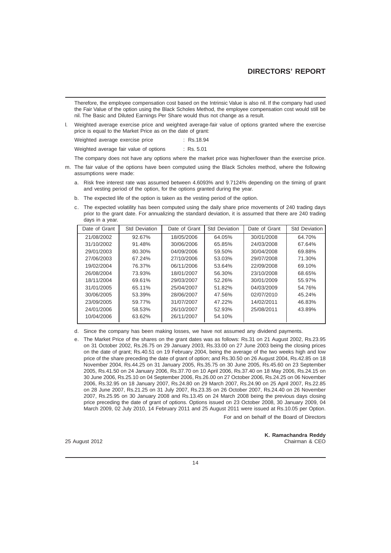# **DIRECTORS' REPORT**

Therefore, the employee compensation cost based on the Intrinsic Value is also nil. If the company had used the Fair Value of the option using the Black Scholes Method, the employee compensation cost would still be nil. The Basic and Diluted Earnings Per Share would thus not change as a result.

l. Weighted average exercise price and weighted average-fair value of options granted where the exercise price is equal to the Market Price as on the date of grant:

Weighted average exercise price : Rs.18.94

Weighted average fair value of options : Rs. 5.01

The company does not have any options where the market price was higher/lower than the exercise price.

- m. The fair value of the options have been computed using the Black Scholes method, where the following assumptions were made:
	- a. Risk free interest rate was assumed between 4.6093% and 9.7124% depending on the timing of grant and vesting period of the option, for the options granted during the year.
	- b. The expected life of the option is taken as the vesting period of the option.
	- c. The expected volatility has been computed using the daily share price movements of 240 trading days prior to the grant date. For annualizing the standard deviation, it is assumed that there are 240 trading days in a year.

| Date of Grant | <b>Std Deviation</b> | Date of Grant | <b>Std Deviation</b> | Date of Grant | <b>Std Deviation</b> |
|---------------|----------------------|---------------|----------------------|---------------|----------------------|
| 21/08/2002    | 92.67%               | 18/05/2006    | 64.05%               | 30/01/2008    | 64.70%               |
| 31/10/2002    | 91.48%               | 30/06/2006    | 65.85%               | 24/03/2008    | 67.64%               |
| 29/01/2003    | 80.30%               | 04/09/2006    | 59.50%               | 30/04/2008    | 69.88%               |
| 27/06/2003    | 67.24%               | 27/10/2006    | 53.03%               | 29/07/2008    | 71.30%               |
| 19/02/2004    | 76.37%               | 06/11/2006    | 53.64%               | 22/09/2008    | 69.10%               |
| 26/08/2004    | 73.93%               | 18/01/2007    | 56.30%               | 23/10/2008    | 68.65%               |
| 18/11/2004    | 69.61%               | 29/03/2007    | 52.26%               | 30/01/2009    | 55.97%               |
| 31/01/2005    | 65.11%               | 25/04/2007    | 51.82%               | 04/03/2009    | 54.76%               |
| 30/06/2005    | 53.39%               | 28/06/2007    | 47.56%               | 02/07/2010    | 45.24%               |
| 23/09/2005    | 59.77%               | 31/07/2007    | 47.22%               | 14/02/2011    | 46.83%               |
| 24/01/2006    | 58.53%               | 26/10/2007    | 52.93%               | 25/08/2011    | 43.89%               |
| 10/04/2006    | 63.62%               | 26/11/2007    | 54.10%               |               |                      |

d. Since the company has been making losses, we have not assumed any dividend payments.

e. The Market Price of the shares on the grant dates was as follows: Rs.31 on 21 August 2002, Rs.23.95 on 31 October 2002, Rs.26.75 on 29 January 2003, Rs.33.00 on 27 June 2003 being the closing prices on the date of grant; Rs.40.51 on 19 February 2004, being the average of the two weeks high and low price of the share preceding the date of grant of option; and Rs.30.50 on 26 August 2004, Rs.42.85 on 18 November 2004, Rs.44.25 on 31 January 2005, Rs.35.75 on 30 June 2005, Rs.45.60 on 23 September 2005, Rs.41.50 on 24 January 2006, Rs.37.70 on 10 April 2006, Rs.37.40 on 18 May 2006, Rs.24.15 on 30 June 2006, Rs.25.10 on 04 September 2006, Rs.26.00 on 27 October 2006, Rs.24.25 on 06 November 2006, Rs.32.95 on 18 January 2007, Rs.24.80 on 29 March 2007, Rs.24.90 on 25 April 2007, Rs.22.85 on 28 June 2007, Rs.21.25 on 31 July 2007, Rs.23.35 on 26 October 2007, Rs.24.40 on 26 November 2007, Rs.25.95 on 30 January 2008 and Rs.13.45 on 24 March 2008 being the previous days closing price preceding the date of grant of options. Options issued on 23 October 2008, 30 January 2009, 04 March 2009, 02 July 2010, 14 February 2011 and 25 August 2011 were issued at Rs.10.05 per Option.

For and on behalf of the Board of Directors

25 August 2012

**K. Ramachandra Reddy**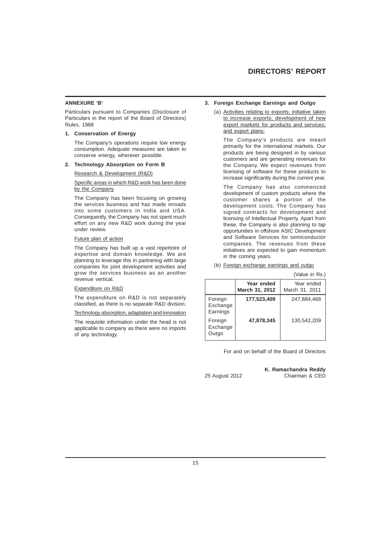# **ANNEXURE 'B'**

Particulars pursuant to Companies (Disclosure of Particulars in the report of the Board of Directors) Rules, 1988

# **1. Conservation of Energy**

The Company's operations require low energy consumption. Adequate measures are taken to conserve energy, wherever possible.

# **2. Technology Absorption on Form B**

Research & Development (R&D)

Specific areas in which R&D work has been done by the Company

The Company has been focusing on growing the services business and has made inroads into some customers in India and USA. Consequently, the Company has not spent much effort on any new R&D work during the year under review.

#### Future plan of action

The Company has built up a vast repertoire of expertise and domain knowledge. We are planning to leverage this in partnering with large companies for joint development activities and grow the services business as an another revenue vertical.

#### Expenditure on R&D

The expenditure on R&D is not separately classified, as there is no separate R&D division.

Technology absorption, adaptation and innovation

The requisite information under the head is not applicable to company as there were no imports of any technology.

#### **3. Foreign Exchange Earnings and Outgo**

(a) Activities relating to exports; initiative taken to increase exports; development of new export markets for products and services; and export plans:

The Company's products are meant primarily for the international markets. Our products are being designed in by various customers and are generating revenues for the Company. We expect revenues from licensing of software for these products to increase significantly during the current year.

The Company has also commenced development of custom products where the customer shares a portion of the development costs. The Company has signed contracts for development and licensing of Intellectual Property. Apart from these, the Company is also planning to tap opportunities in offshore ASIC Development and Software Services for semiconductor companies. The revenues from these initiatives are expected to gain momentum in the coming years.

(b) Foreign exchange earnings and outgo

|                                 |                              | 1 valut III 113.1            |
|---------------------------------|------------------------------|------------------------------|
|                                 | Year ended<br>March 31, 2012 | Year ended<br>March 31, 2011 |
| Foreign<br>Exchange<br>Earnings | 177,523,409                  | 247.884.468                  |
| Foreign<br>Exchange<br>Outgo    | 47,878,345                   | 130,542,209                  |

For and on behalf of the Board of Directors

**K. Ramachandra Reddy** 25 August 2012 Chairman & CEO

(Value in Rs.)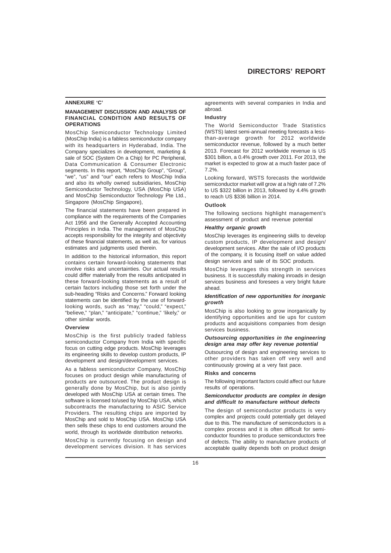#### **ANNEXURE 'C'**

# **MANAGEMENT DISCUSSION AND ANALYSIS OF FINANCIAL CONDITION AND RESULTS OF OPERATIONS**

MosChip Semiconductor Technology Limited (MosChip India) is a fabless semiconductor company with its headquarters in Hyderabad, India. The Company specializes in development, marketing & sale of SOC (System On a Chip) for PC Peripheral, Data Communication & Consumer Electronic segments. In this report, "MosChip Group", "Group", "we", "us" and "our" each refers to MosChip India and also its wholly owned subsidiaries, MosChip Semiconductor Technology, USA (MosChip USA) and MosChip Semiconductor Technology Pte Ltd., Singapore (MosChip Singapore),

The financial statements have been prepared in compliance with the requirements of the Companies Act 1956 and the Generally Accepted Accounting Principles in India. The management of MosChip accepts responsibility for the integrity and objectivity of these financial statements, as well as, for various estimates and judgments used therein.

In addition to the historical information, this report contains certain forward-looking statements that involve risks and uncertainties. Our actual results could differ materially from the results anticipated in these forward-looking statements as a result of certain factors including those set forth under the sub-heading "Risks and Concerns." Forward looking statements can be identified by the use of forwardlooking words, such as "may," "could," "expect," "believe," "plan," "anticipate," "continue," 'likely," or other similar words.

#### **Overview**

MosChip is the first publicly traded fabless semiconductor Company from India with specific focus on cutting edge products. MosChip leverages its engineering skills to develop custom products, IP development and design/development services.

As a fabless semiconductor Company, MosChip focuses on product design while manufacturing of products are outsourced. The product design is generally done by MosChip, but is also jointly developed with MosChip USA at certain times. The software is licensed to/used by MosChip USA, which subcontracts the manufacturing to ASIC Service Providers. The resulting chips are imported by MosChip and sold to MosChip USA. MosChip USA then sells these chips to end customers around the world, through its worldwide distribution networks.

MosChip is currently focusing on design and development services division. It has services agreements with several companies in India and abroad.

# **Industry**

The World Semiconductor Trade Statistics (WSTS) latest semi-annual meeting forecasts a lessthan-average growth for 2012 worldwide semiconductor revenue, followed by a much better 2013. Forecast for 2012 worldwide revenue is US \$301 billion, a 0.4% growth over 2011. For 2013, the market is expected to grow at a much faster pace of 7.2%.

Looking forward, WSTS forecasts the worldwide semiconductor market will grow at a high rate of 7.2% to US \$322 billion in 2013, followed by 4.4% growth to reach US \$336 billion in 2014.

# **Outlook**

The following sections highlight management's assessment of product and revenue potential

# *Healthy organic growth*

MosChip leverages its engineering skills to develop custom products, IP development and design/ development services. After the sale of I/O products of the company, it is focusing itself on value added design services and sale of its SOC products.

MosChip leverages this strength in services business. It is successfully making inroads in design services business and foresees a very bright future ahead.

# *Identification of new opportunities for inorganic growth*

MosChip is also looking to grow inorganically by identifying opportunities and tie ups for custom products and acquisitions companies from design services business.

# *Outsourcing opportunities in the engineering design area may offer key revenue potential*

Outsourcing of design and engineering services to other providers has taken off very well and continuously growing at a very fast pace.

# **Risks and concerns**

The following important factors could affect our future results of operations.

# *Semiconductor products are complex in design and difficult to manufacture without defects*

The design of semiconductor products is very complex and projects could potentially get delayed due to this. The manufacture of semiconductors is a complex process and it is often difficult for semiconductor foundries to produce semiconductors free of defects. The ability to manufacture products of acceptable quality depends both on product design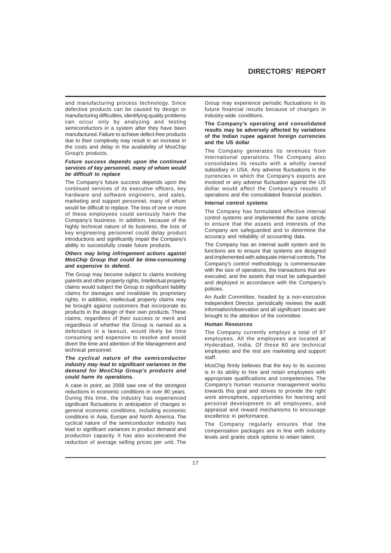and manufacturing process technology. Since defective products can be caused by design or manufacturing difficulties, identifying quality problems can occur only by analyzing and testing semiconductors in a system after they have been manufactured. Failure to achieve defect-free products due to their complexity may result in an increase in the costs and delay in the availability of MosChip Group's products.

## *Future success depends upon the continued services of key personnel, many of whom would be difficult to replace*

The Company's future success depends upon the continued services of its executive officers, key hardware and software engineers, and sales, marketing and support personnel, many of whom would be difficult to replace. The loss of one or more of these employees could seriously harm the Company's business. In addition, because of the highly technical nature of its business, the loss of key engineering personnel could delay product introductions and significantly impair the Company's ability to successfully create future products.

# *Others may bring infringement actions against MosChip Group that could be time-consuming and expensive to defend.*

The Group may become subject to claims involving patents and other property rights. Intellectual property claims would subject the Group to significant liability claims for damages and invalidate its proprietary rights. In addition, intellectual property claims may be brought against customers that incorporate its products in the design of their own products. These claims, regardless of their success or merit and regardless of whether the Group is named as a defendant in a lawsuit, would likely be time consuming and expensive to resolve and would divert the time and attention of the Management and technical personnel.

# *The cyclical nature of the semiconductor industry may lead to significant variances in the demand for MosChip Group's products and could harm its operations.*

A case in point, as 2008 saw one of the strongest reductions in economic conditions in over 80 years. During this time, the industry has experienced significant fluctuations in anticipation of changes in general economic conditions, including economic conditions in Asia, Europe and North America. The cyclical nature of the semiconductor industry has lead to significant variances in product demand and production capacity. It has also accelerated the reduction of average selling prices per unit. The Group may experience periodic fluctuations in its future financial results because of changes in industry-wide conditions.

### **The Company's operating and consolidated results may be adversely affected by variations of the Indian rupee against foreign currencies and the US dollar**

The Company generates its revenues from international operations. The Company also consolidates its results with a wholly owned subsidiary in USA. Any adverse fluctuations in the currencies in which the Company's exports are invoiced or any adverse fluctuation against the US dollar would affect the Company's results of operations and the consolidated financial position.

# **Internal control systems**

The Company has formulated effective internal control systems and implemented the same strictly to ensure that the assets and interests of the Company are safeguarded and to determine the accuracy and reliability of accounting data.

The Company has an internal audit system and its functions are to ensure that systems are designed and implemented with adequate internal controls. The Company's control methodology is commensurate with the size of operations, the transactions that are executed, and the assets that must be safeguarded and deployed in accordance with the Company's policies.

An Audit Committee, headed by a non-executive independent Director, periodically reviews the audit information/observation and all significant issues are brought to the attention of the committee.

# **Human Resources**

The Company currently employs a total of 97 employees. All the employees are located at Hyderabad, India. Of these 80 are technical employees and the rest are marketing and support staff.

MosChip firmly believes that the key to its success is in its ability to hire and retain employees with appropriate qualifications and competencies. The Company's human resource management works towards this goal and strives to provide the right work atmosphere, opportunities for learning and personal development to all employees, and appraisal and reward mechanisms to encourage excellence in performance.

The Company regularly ensures that the compensation packages are in line with industry levels and grants stock options to retain talent.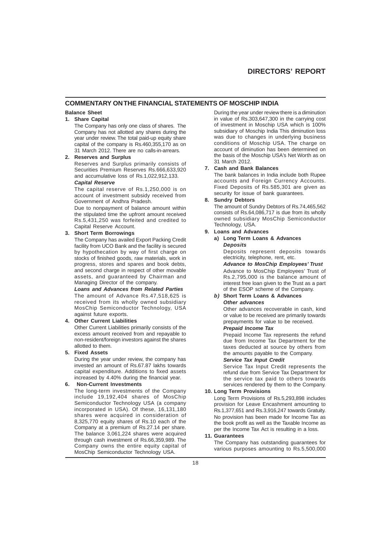# **COMMENTARY ON THE FINANCIAL STATEMENTS OF MOSCHIP INDIA**

# **Balance Sheet**

# **1. Share Capital**

The Company has only one class of shares. The Company has not allotted any shares during the year under review. The total paid-up equity share capital of the company is Rs.460,355,170 as on 31 March 2012. There are no calls-in-arrears.

# **2. Reserves and Surplus**

Reserves and Surplus primarily consists of Securities Premium Reserves Rs.666,633,920 and accumulative loss of Rs.1,022,912,133.

# *Capital Reserve*

The capital reserve of Rs.1,250,000 is on account of investment subsidy received from Government of Andhra Pradesh.

Due to nonpayment of balance amount within the stipulated time the upfront amount received Rs.5,431,250 was forfeited and credited to Capital Reserve Account.

# **3. Short Term Borrowings**

The Company has availed Export Packing Credit facility from UCO Bank and the facility is secured by hypothecation by way of first charge on stocks of finished goods, raw materials, work in progress, stores and spares and book debts, and second charge in respect of other movable assets, and guaranteed by Chairman and Managing Director of the company.

# *Loans and Advances from Related Parties*

The amount of Advance Rs.47,518,625 is received from its wholly owned subsidiary MosChip Semiconductor Technology, USA against future exports.

# **4. Other Current Liabilities**

Other Current Liabilities primarily consists of the excess amount received from and repayable to non-resident/foreign investors against the shares allotted to them.

# **5. Fixed Assets**

During the year under review, the company has invested an amount of Rs.67.87 lakhs towards capital expenditure. Additions to fixed assets increased by 4.40% during the financial year.

# **6. Non-Current Investments**

The long-term investments of the Company include 19,192,404 shares of MosChip Semiconductor Technology USA (a company incorporated in USA). Of these, 16,131,180 shares were acquired in consideration of 8,325,770 equity shares of Rs.10 each of the Company at a premium of Rs.27.14 per share. The balance 3,061,224 shares were acquired through cash investment of Rs.66,359,989. The Company owns the entire equity capital of MosChip Semiconductor Technology USA.

During the year under review there is a diminution in value of Rs.303,647,300 in the carrying cost of investment in Moschip USA which is 100% subsidiary of Moschip India This diminution loss was due to changes in underlying business conditions of Moschip USA. The charge on account of diminution has been determined on the basis of the Moschip USA's Net Worth as on 31 March 2012.

# **7. Cash and Bank Balances**

The bank balances in India include both Rupee accounts and Foreign Currency Accounts. Fixed Deposits of Rs.585,301 are given as security for issue of bank guarantees.

# **8. Sundry Debtors**

The amount of Sundry Debtors of Rs.74,465,562 consists of Rs.64,086,717 is due from its wholly owned subsidiary MosChip Semiconductor Technology, USA.

# **9. Loans and Advances**

# **a) Long Term Loans & Advances** *Deposits*

Deposits represent deposits towards electricity, telephone, rent, etc.

*Advance to MosChip Employees' Trust* Advance to MosChip Employees' Trust of Rs.2,795,000 is the balance amount of interest free loan given to the Trust as a part of the ESOP scheme of the Company.

#### *b)* **Short Term Loans & Advances** *Other advances*

Other advances recoverable in cash, kind or value to be received are primarily towards prepayments for value to be received. *Prepaid Income Tax*

# Prepaid Income Tax represents the refund due from Income Tax Department for the taxes deducted at source by others from the amounts payable to the Company.

# *Service Tax Input Credit*

Service Tax Input Credit represents the refund due from Service Tax Department for the service tax paid to others towards services rendered by them to the Company.

# **10. Long Term Provisions**

Long Term Provisions of Rs.5,293,898 includes provision for Leave Encashment amounting to Rs.1,377,651 and Rs.3,916,247 towards Gratuity. No provision has been made for Income Tax as the book profit as well as the Taxable Income as per the Income Tax Act is resulting in a loss.

# **11. Guarantees**

The Company has outstanding guarantees for various purposes amounting to Rs.5,500,000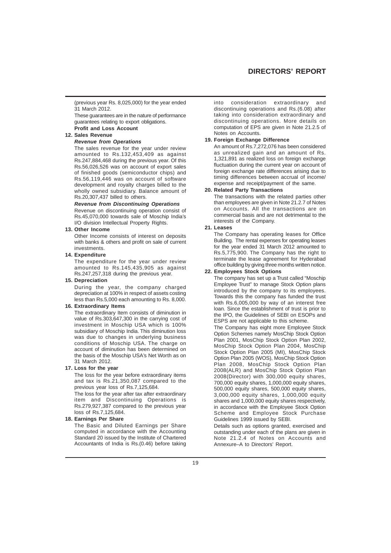# **DIRECTORS' REPORT**

(previous year Rs. 8,025,000) for the year ended 31 March 2012.

These guarantees are in the nature of performance guarantees relating to export obligations. **Profit and Loss Account**

# **12. Sales Revenue**

#### *Revenue from Operations*

The sales revenue for the year under review amounted to Rs.132,453,409 as against Rs.247,884,468 during the previous year. Of this Rs.56,026,526 was on account of export sales of finished goods (semiconductor chips) and Rs.56,119,446 was on account of software development and royalty charges billed to the wholly owned subsidiary. Balance amount of Rs.20,307,437 billed to others.

# *Revenue from Discontinuing Operations*

Revenue on discontinuing operation consist of Rs.45,070,000 towards sale of Moschip India's I/O division Intellectual Property Rights.

# **13. Other Income**

Other Income consists of interest on deposits with banks & others and profit on sale of current investments.

# **14. Expenditure**

The expenditure for the year under review amounted to Rs.145,435,905 as against Rs.247,257,318 during the previous year.

# **15. Depreciation**

During the year, the company charged depreciation at 100% in respect of assets costing less than Rs.5,000 each amounting to Rs. 8,000.

# **16. Extraordinary Items**

The extraordinary Item consists of diminution in value of Rs.303,647,300 in the carrying cost of investment in Moschip USA which is 100% subsidiary of Moschip India. This diminution loss was due to changes in underlying business conditions of Moschip USA. The charge on account of diminution has been determined on the basis of the Moschip USA's Net Worth as on 31 March 2012.

#### **17. Loss for the year**

The loss for the year before extraordinary items and tax is Rs.21,350,087 compared to the previous year loss of Rs.7,125,684.

The loss for the year after tax after extraordinary item and Discontinuing Operations is Rs.279,927,387 compared to the previous year loss of Rs.7,125,684.

#### **18. Earnings Per Share**

The Basic and Diluted Earnings per Share computed in accordance with the Accounting Standard 20 issued by the Institute of Chartered Accountants of India is Rs.(0.46) before taking into consideration extraordinary and discontinuing operations and Rs.(6.08) after taking into consideration extraordinary and discontinuing operations. More details on computation of EPS are given in Note 21.2.5 of Notes on Accounts.

# **19. Foreign Exchange Difference**

An amount of Rs.7,272,076 has been considered as unrealized gain and an amount of Rs. 1,321,891 as realized loss on foreign exchange fluctuation during the current year on account of foreign exchange rate differences arising due to timing differences between accrual of income/ expense and receipt/payment of the same.

# **20. Related Party Transactions**

The transactions with the related parties other than employees are given in Note 21.2.7 of Notes on Accounts. All the transactions are on commercial basis and are not detrimental to the interests of the Company.

# **21. Leases**

The Company has operating leases for Office Building. The rental expenses for operating leases for the year ended 31 March 2012 amounted to Rs.5,775,900. The Company has the right to terminate the lease agreement for Hyderabad office building by giving three months written notice.

# **22. Employees Stock Options**

The company has set up a Trust called "Moschip Employee Trust" to manage Stock Option plans introduced by the company to its employees. Towards this the company has funded the trust with Rs.6,005,000 by way of an interest free loan. Since the establishment of trust is prior to the IPO, the Guidelines of SEBI on ESOPs and ESPS are not applicable to this scheme.

The Company has eight more Employee Stock Option Schemes namely MosChip Stock Option Plan 2001, MosChip Stock Option Plan 2002, MosChip Stock Option Plan 2004, MosChip Stock Option Plan 2005 (MI), MosChip Stock Option Plan 2005 (WOS), MosChip Stock Option Plan 2008, MosChip Stock Option Plan 2008(ALR) and MosChip Stock Option Plan 2008(Director) with 300,000 equity shares, 700,000 equity shares, 1,000,000 equity shares, 500,000 equity shares, 500,000 equity shares, 3,000,000 equity shares, 1,000,000 equity shares and 1,000,000 equity shares respectively, in accordance with the Employee Stock Option Scheme and Employee Stock Purchase Guidelines 1999 issued by SEBI.

Details such as options granted, exercised and outstanding under each of the plans are given in Note 21.2.4 of Notes on Accounts and Annexure–A to Directors' Report.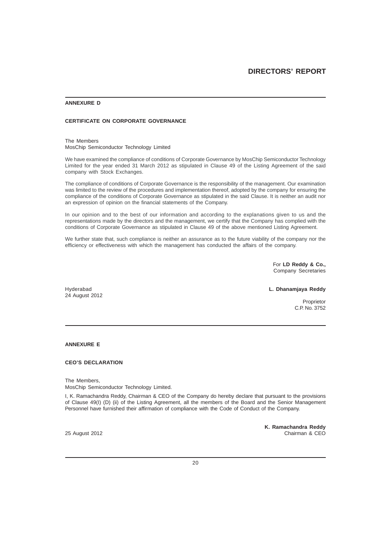# **ANNEXURE D**

# **CERTIFICATE ON CORPORATE GOVERNANCE**

The Members MosChip Semiconductor Technology Limited

We have examined the compliance of conditions of Corporate Governance by MosChip Semiconductor Technology Limited for the year ended 31 March 2012 as stipulated in Clause 49 of the Listing Agreement of the said company with Stock Exchanges.

The compliance of conditions of Corporate Governance is the responsibility of the management. Our examination was limited to the review of the procedures and implementation thereof, adopted by the company for ensuring the compliance of the conditions of Corporate Governance as stipulated in the said Clause. It is neither an audit nor an expression of opinion on the financial statements of the Company.

In our opinion and to the best of our information and according to the explanations given to us and the representations made by the directors and the management, we certify that the Company has complied with the conditions of Corporate Governance as stipulated in Clause 49 of the above mentioned Listing Agreement.

We further state that, such compliance is neither an assurance as to the future viability of the company nor the efficiency or effectiveness with which the management has conducted the affairs of the company.

> For **LD Reddy & Co.,** Company Secretaries

24 August 2012

Hyderabad **L. Dhanamjaya Reddy**

 Proprietor C.P. No. 3752

# **ANNEXURE E**

# **CEO'S DECLARATION**

The Members, MosChip Semiconductor Technology Limited.

I, K. Ramachandra Reddy, Chairman & CEO of the Company do hereby declare that pursuant to the provisions of Clause 49(I) (D) (ii) of the Listing Agreement, all the members of the Board and the Senior Management Personnel have furnished their affirmation of compliance with the Code of Conduct of the Company.

**K. Ramachandra Reddy** 25 August 2012 Chairman & CEO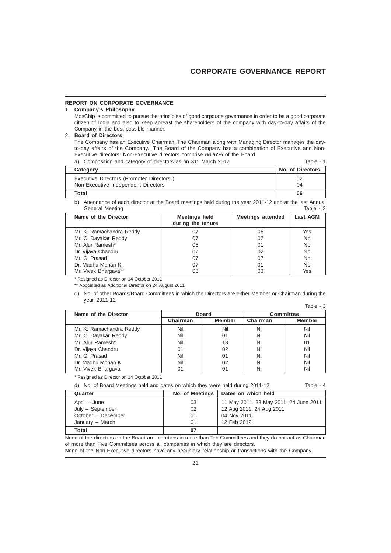# **REPORT ON CORPORATE GOVERNANCE**

# 1. **Company's Philosophy**

MosChip is committed to pursue the principles of good corporate governance in order to be a good corporate citizen of India and also to keep abreast the shareholders of the company with day-to-day affairs of the Company in the best possible manner.

# 2. **Board of Directors**

The Company has an Executive Chairman. The Chairman along with Managing Director manages the dayto-day affairs of the Company. The Board of the Company has a combination of Executive and Non-Executive directors. Non-Executive directors comprise *66.67%* of the Board.

| Composition and category of directors as on 31 <sup>st</sup> March 2012 | Table - 1        |
|-------------------------------------------------------------------------|------------------|
| Category                                                                | No. of Directors |
| Executive Directors (Promoter Directors)                                | 02               |
| Non-Executive Independent Directors                                     | 04               |
| Total                                                                   | 06               |

b) Attendance of each director at the Board meetings held during the year 2011-12 and at the last Annual<br>Ceneral Meeting General Meeting

| Name of the Director     | <b>Meetings held</b><br>during the tenure | <b>Meetings attended</b> | Last AGM |
|--------------------------|-------------------------------------------|--------------------------|----------|
| Mr. K. Ramachandra Reddy | 07                                        | 06                       | Yes      |
| Mr. C. Dayakar Reddy     | 07                                        | 07                       | No       |
| Mr. Alur Ramesh*         | 05                                        | 01                       | No       |
| Dr. Vijaya Chandru       | 07                                        | 02                       | No       |
| Mr. G. Prasad            | 07                                        | 07                       | No       |
| Dr. Madhu Mohan K.       | 07                                        | 01                       | No       |
| Mr. Vivek Bhargava**     | 03                                        | 03                       | Yes      |

\* Resigned as Director on 14 October 2011

\*\* Appointed as Additional Director on 24 August 2011

c) No. of other Boards/Board Committees in which the Directors are either Member or Chairman during the year 2011-12  $Table 3$ 

|                          |              |               |                  | o - Jubi      |
|--------------------------|--------------|---------------|------------------|---------------|
| Name of the Director     | <b>Board</b> |               | <b>Committee</b> |               |
|                          | Chairman     | <b>Member</b> | Chairman         | <b>Member</b> |
| Mr. K. Ramachandra Reddy | Nil          | Nil           | Nil              | Nil           |
| Mr. C. Dayakar Reddy     | Nil          | $^{\circ}$    | Nil              | Nil           |
| Mr. Alur Ramesh*         | Nil          | 13            | Nil              | 01            |
| Dr. Vijaya Chandru       | 01           | 02            | Nil              | Nil           |
| Mr. G. Prasad            | Nil          | $^{\circ}$    | Nil              | Nil           |
| Dr. Madhu Mohan K.       | Nil          | 02            | Nil              | Nil           |
| Mr. Vivek Bhargava       | 01           | 01            | Nil              | Nil           |

\* Resigned as Director on 14 October 2011

| $\sim$ $\sim$                                                                  | i si esa el mercato este es |           |
|--------------------------------------------------------------------------------|-----------------------------|-----------|
| d) No. of Board Meetings held and dates on which they were held during 2011-12 |                             | Table - 4 |

| Quarter            | No. of Meetings | Dates on which held                    |
|--------------------|-----------------|----------------------------------------|
| April – June       | 03              | 11 May 2011, 23 May 2011, 24 June 2011 |
| July - September   | 02              | 12 Aug 2011, 24 Aug 2011               |
| October - December | 01              | 04 Nov 2011                            |
| January - March    | 01              | 12 Feb 2012                            |
| Total              | 07              |                                        |

None of the directors on the Board are members in more than Ten Committees and they do not act as Chairman of more than Five Committees across all companies in which they are directors.

None of the Non-Executive directors have any pecuniary relationship or transactions with the Company.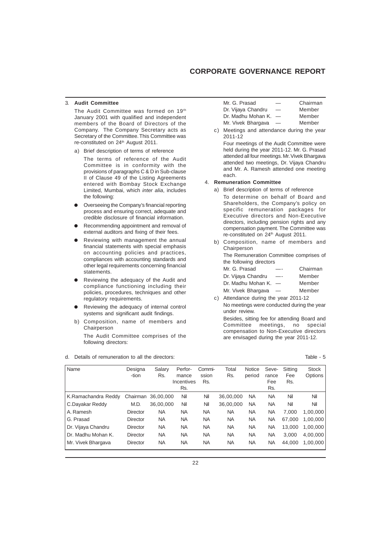# **CORPORATE GOVERNANCE REPORT**

# 3. **Audit Committee**

The Audit Committee was formed on 19<sup>th</sup> January 2001 with qualified and independent members of the Board of Directors of the Company. The Company Secretary acts as Secretary of the Committee. This Committee was re-constituted on 24th August 2011.

a) Brief description of terms of reference

The terms of reference of the Audit Committee is in conformity with the provisions of paragraphs C & D in Sub-clause II of Clause 49 of the Listing Agreements entered with Bombay Stock Exchange Limited, Mumbai, which *inter alia*, includes the following:

- l Overseeing the Company's financial reporting process and ensuring correct, adequate and credible disclosure of financial information.
- Recommending appointment and removal of external auditors and fixing of their fees.
- Reviewing with management the annual financial statements with special emphasis on accounting policies and practices, compliances with accounting standards and other legal requirements concerning financial statements.
- Reviewing the adequacy of the Audit and compliance functioning including their policies, procedures, techniques and other regulatory requirements.
- Reviewing the adequacy of internal control systems and significant audit findings.
- b) Composition, name of members and Chairperson The Audit Committee comprises of the

following directors:

d. Details of remuneration to all the directors: Table - 5

| Mr. G. Prasad      | -                        | Chairman |
|--------------------|--------------------------|----------|
| Dr. Vijaya Chandru | -                        | Member   |
| Dr. Madhu Mohan K. | $\overline{\phantom{m}}$ | Member   |
| Mr. Vivek Bhargava |                          | Member   |

c) Meetings and attendance during the year 2011-12

Four meetings of the Audit Committee were held during the year 2011-12. Mr. G. Prasad attended all four meetings. Mr. Vivek Bhargava attended two meetings, Dr. Vijaya Chandru and Mr. A. Ramesh attended one meeting each.

#### 4. **Remuneration Committee**

- a) Brief description of terms of reference To determine on behalf of Board and Shareholders, the Company's policy on specific remuneration packages for Executive directors and Non-Executive directors, including pension rights and any compensation payment. The Committee was re-constituted on 24<sup>th</sup> August 2011.
- b) Composition, name of members and Chairperson

The Remuneration Committee comprises of the following directors

| Mr. G. Prasad          |                          | Chairman |
|------------------------|--------------------------|----------|
| Dr. Vijaya Chandru     |                          | Member   |
| Dr. Madhu Mohan K. $-$ |                          | Member   |
| Mr. Vivek Bhargava     | $\overline{\phantom{m}}$ | Member   |
|                        |                          |          |

c) Attendance during the year 2011-12 No meetings were conducted during the year under review.

Besides, sitting fee for attending Board and Committee meetings, no special compensation to Non-Executive directors are envisaged during the year 2011-12.

| Name                | Designa<br>-tion | Salarv<br>Rs. | Perfor-<br>mance<br>Incentives<br>Rs. | Commi-<br>ssion<br>Rs. | Total<br>Rs. | Notice<br>period | Seve-<br>rance<br>Fee<br>Rs. | Sitting<br>Fee<br>Rs. | <b>Stock</b><br>Options |
|---------------------|------------------|---------------|---------------------------------------|------------------------|--------------|------------------|------------------------------|-----------------------|-------------------------|
| K.Ramachandra Reddy | Chairman         | 36.00.000     | Nil                                   | Nil                    | 36.00.000    | NA               | NA                           | Nil                   | Nil                     |
| C.Dayakar Reddy     | M.D.             | 36.00.000     | Nil                                   | Nil                    | 36.00.000    | <b>NA</b>        | NA                           | Nil                   | Nil                     |
| A. Ramesh           | Director         | <b>NA</b>     | NA                                    | <b>NA</b>              | <b>NA</b>    | <b>NA</b>        | <b>NA</b>                    | 7.000                 | 1,00,000                |
| G. Prasad           | Director         | <b>NA</b>     | NA                                    | <b>NA</b>              | <b>NA</b>    | <b>NA</b>        | <b>NA</b>                    | 67.000                | 1,00,000                |
| Dr. Vijaya Chandru  | Director         | <b>NA</b>     | <b>NA</b>                             | <b>NA</b>              | <b>NA</b>    | <b>NA</b>        | <b>NA</b>                    | 13.000                | 1,00,000                |
| Dr. Madhu Mohan K.  | Director         | <b>NA</b>     | <b>NA</b>                             | <b>NA</b>              | <b>NA</b>    | <b>NA</b>        | <b>NA</b>                    | 3.000                 | 4,00,000                |
| Mr. Vivek Bhargava  | Director         | <b>NA</b>     | NA                                    | ΝA                     | NA           | NA               | <b>NA</b>                    | 44.000                | 1.00.000                |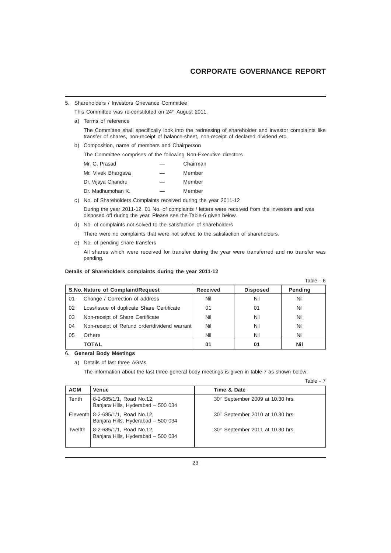5. Shareholders / Investors Grievance Committee

This Committee was re-constituted on 24<sup>th</sup> August 2011.

a) Terms of reference

The Committee shall specifically look into the redressing of shareholder and investor complaints like transfer of shares, non-receipt of balance-sheet, non-receipt of declared dividend etc.

b) Composition, name of members and Chairperson

The Committee comprises of the following Non-Executive directors

| Mr. G. Prasad      |    | Chairman |
|--------------------|----|----------|
| Mr. Vivek Bhargava |    | Member   |
| Dr. Vijaya Chandru |    | Member   |
| Dr. Madhumohan K.  | -- | Member   |

c) No. of Shareholders Complaints received during the year 2011-12

During the year 2011-12, 01 No. of complaints / letters were received from the investors and was disposed off during the year. Please see the Table-6 given below.

d) No. of complaints not solved to the satisfaction of shareholders

There were no complaints that were not solved to the satisfaction of shareholders.

e) No. of pending share transfers All shares which were received for transfer during the year were transferred and no transfer was pending.

# **Details of Shareholders complaints during the year 2011-12**

|    |                                              |                 |                 | Table - 6 |
|----|----------------------------------------------|-----------------|-----------------|-----------|
|    | S.No. Nature of Complaint/Request            | <b>Received</b> | <b>Disposed</b> | Pending   |
| 01 | Change / Correction of address               | Nil             | Nil             | Nil       |
| 02 | Loss/Issue of duplicate Share Certificate    | 01              | 01              | Nil       |
| 03 | Non-receipt of Share Certificate             | Nil             | Nil             | Nil       |
| 04 | Non-receipt of Refund order/dividend warrant | Nil             | Nil             | Nil       |
| 05 | <b>Others</b>                                | Nil             | Nil             | Nil       |
|    | <b>TOTAL</b>                                 | 01              | 01              | Nil       |

#### 6. **General Body Meetings**

a) Details of last three AGMs

The information about the last three general body meetings is given in table-7 as shown below:

Table - 7

| <b>AGM</b> | Venue                                                                   | Time & Date                                   |
|------------|-------------------------------------------------------------------------|-----------------------------------------------|
| Tenth      | 8-2-685/1/1, Road No.12,<br>Banjara Hills, Hyderabad - 500 034          | 30 <sup>th</sup> September 2009 at 10.30 hrs. |
|            | Eleventh 8-2-685/1/1, Road No.12,<br>Banjara Hills, Hyderabad - 500 034 | 30 <sup>th</sup> September 2010 at 10.30 hrs. |
| Twelfth    | 8-2-685/1/1, Road No.12,<br>Banjara Hills, Hyderabad - 500 034          | 30 <sup>th</sup> September 2011 at 10.30 hrs. |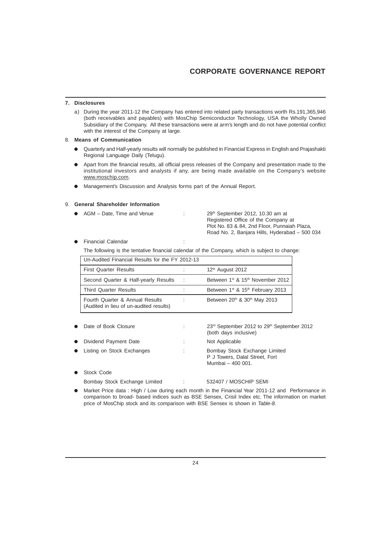# **CORPORATE GOVERNANCE REPORT**

# **7. Disclosures**

a) During the year 2011-12 the Company has entered into related party transactions worth Rs.191,365,946 (both receivables and payables) with MosChip Semiconductor Technology, USA the Wholly Owned Subsidiary of the Company. All these transactions were at arm's length and do not have potential conflict with the interest of the Company at large.

# 8. **Means of Communication**

- l Quarterly and Half-yearly results will normally be published in Financial Express in English and Prajashakti Regional Language Daily (Telugu).
- l Apart from the financial results, all official press releases of the Company and presentation made to the institutional investors and analysts if any, are being made available on the Company's website www.moschip.com.
- Management's Discussion and Analysis forms part of the Annual Report.

# 9. **General Shareholder Information**

| • AGM – Date. Time and Venue | $29th$ September 2012, 10.30 am at<br>Registered Office of the Company at |
|------------------------------|---------------------------------------------------------------------------|
|                              | Plot No. 83 & 84, 2nd Floor, Punnaiah Plaza.                              |
|                              | Road No. 2, Banjara Hills, Hyderabad – 500 034                            |

**Financial Calendar : in the State of Taylor State Calendar : in the State of Taylor State Calendar : in the St** 

The following is the tentative financial calendar of the Company, which is subject to change:

| Un-Audited Financial Results for the FY 2012-13                            |  |                                                          |  |  |
|----------------------------------------------------------------------------|--|----------------------------------------------------------|--|--|
| <b>First Quarter Results</b>                                               |  | 12 <sup>th</sup> August 2012                             |  |  |
| Second Quarter & Half-yearly Results                                       |  | Between 1 <sup>st</sup> & 15 <sup>th</sup> November 2012 |  |  |
| <b>Third Quarter Results</b>                                               |  | Between 1 <sup>st</sup> & 15 <sup>th</sup> February 2013 |  |  |
| Fourth Quarter & Annual Results<br>(Audited in lieu of un-audited results) |  | Between 20 <sup>th</sup> & 30 <sup>th</sup> May 2013     |  |  |

|           | Date of Book Closure       | ٠ | 23rd September 2012 to 29th September 2012<br>(both days inclusive)                  |
|-----------|----------------------------|---|--------------------------------------------------------------------------------------|
| $\bullet$ | Dividend Payment Date      | ÷ | Not Applicable                                                                       |
|           | Listing on Stock Exchanges | ٠ | Bombay Stock Exchange Limited<br>P J Towers, Dalal Street, Fort<br>Mumbai - 400 001. |
|           | Stock Code                 |   |                                                                                      |

Bombay Stock Exchange Limited : 532407 / MOSCHIP SEMI

Market Price data : High / Low during each month in the Financial Year 2011-12 and Performance in comparison to broad- based indices such as BSE Sensex, Crisil Index etc. The information on market price of MosChip stock and its comparison with BSE Sensex is shown in *Table-8*.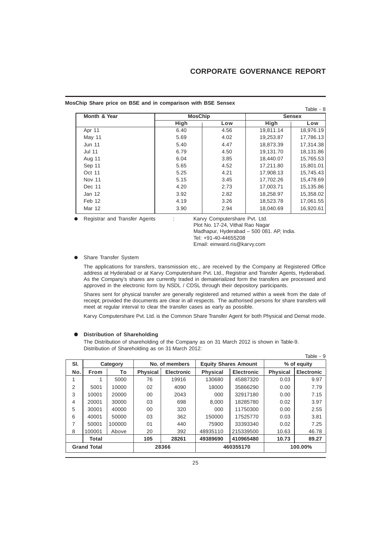#### **MosChip Share price on BSE and in comparison with BSE Sensex**

| Month & Year  |      | <b>MosChip</b> |           | <b>Sensex</b> |  |  |
|---------------|------|----------------|-----------|---------------|--|--|
|               | High | Low            | High      | Low           |  |  |
| Apr 11        | 6.40 | 4.56           | 19,811.14 | 18,976.19     |  |  |
| May 11        | 5.69 | 4.02           | 19,253.87 | 17,786.13     |  |  |
| <b>Jun 11</b> | 5.40 | 4.47           | 18,873.39 | 17,314.38     |  |  |
| <b>Jul 11</b> | 6.79 | 4.50           | 19,131.70 | 18,131.86     |  |  |
| Aug 11        | 6.04 | 3.85           | 18,440.07 | 15,765.53     |  |  |
| Sep 11        | 5.65 | 4.52           | 17,211.80 | 15,801.01     |  |  |
| Oct 11        | 5.25 | 4.21           | 17,908.13 | 15,745.43     |  |  |
| <b>Nov 11</b> | 5.15 | 3.45           | 17.702.26 | 15,478.69     |  |  |
| Dec 11        | 4.20 | 2.73           | 17.003.71 | 15,135.86     |  |  |
| Jan 12        | 3.92 | 2.82           | 18,258.97 | 15,358.02     |  |  |
| Feb 12        | 4.19 | 3.26           | 18,523.78 | 17,061.55     |  |  |
| <b>Mar 12</b> | 3.90 | 2.94           | 18,040.69 | 16,920.61     |  |  |

**e** Registrar and Transfer Agents : Karvy Computershare Pvt. Ltd.

Plot No. 17-24, Vithal Rao Nagar Madhapur, Hyderabad – 500 081. AP, India. Tel: +91-40-44655208 Email: einward.ris@karvy.com

#### **•** Share Transfer System

The applications for transfers, transmission etc., are received by the Company at Registered Office address at Hyderabad or at Karvy Computershare Pvt. Ltd., Registrar and Transfer Agents, Hyderabad. As the Company's shares are currently traded in dematerialized form the transfers are processed and approved in the electronic form by NSDL / CDSL through their depository participants.

Shares sent for physical transfer are generally registered and returned within a week from the date of receipt; provided the documents are clear in all respects. The authorised persons for share transfers will meet at regular interval to clear the transfer cases as early as possible.

Karvy Computershare Pvt. Ltd. is the Common Share Transfer Agent for both Physical and Demat mode.

# $\bullet$  Distribution of Shareholding

The Distribution of shareholding of the Company as on 31 March 2012 is shown in Table-9. Distribution of Shareholding as on 31 March 2012:

|                 |                    |                |                 |                             |                 |                   |                 | Table - 9         |
|-----------------|--------------------|----------------|-----------------|-----------------------------|-----------------|-------------------|-----------------|-------------------|
| SI.<br>Category |                    | No. of members |                 | <b>Equity Shares Amount</b> |                 | % of equity       |                 |                   |
| No.             | From               | To             | <b>Physical</b> | <b>Electronic</b>           | <b>Physical</b> | <b>Electronic</b> | <b>Physical</b> | <b>Electronic</b> |
|                 |                    | 5000           | 76              | 19916                       | 130680          | 45887320          | 0.03            | 9.97              |
| 2               | 5001               | 10000          | 02              | 4090                        | 18000           | 35866290          | 0.00            | 7.79              |
| 3               | 10001              | 20000          | 00              | 2043                        | 000             | 32917180          | 0.00            | 7.15              |
| 4               | 20001              | 30000          | 03              | 698                         | 8.000           | 18285780          | 0.02            | 3.97              |
| 5               | 30001              | 40000          | 00              | 320                         | 000             | 11750300          | 0.00            | 2.55              |
| 6               | 40001              | 50000          | 03              | 362                         | 150000          | 17525770          | 0.03            | 3.81              |
| 7               | 50001              | 100000         | 01              | 440                         | 75900           | 33393340          | 0.02            | 7.25              |
| 8               | 100001             | Above          | 20              | 392                         | 48935110        | 215339500         | 10.63           | 46.78             |
|                 | Total              |                | 105             | 28261                       | 49389690        | 410965480         | 10.73           | 89.27             |
|                 | <b>Grand Total</b> |                |                 | 28366                       |                 | 460355170         |                 | 100.00%           |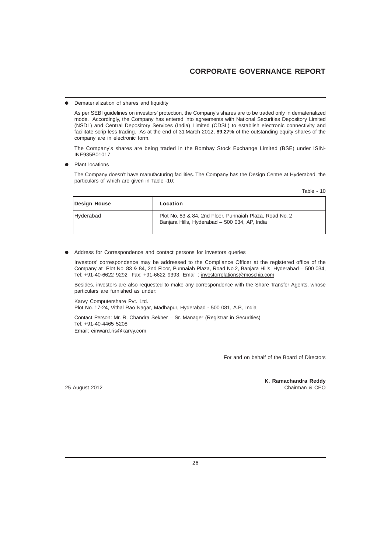# **CORPORATE GOVERNANCE REPORT**

Dematerialization of shares and liquidity

As per SEBI guidelines on investors' protection, the Company's shares are to be traded only in dematerialized mode. Accordingly, the Company has entered into agreements with National Securities Depository Limited (NSDL) and Central Depository Services (India) Limited (CDSL) to establish electronic connectivity and facilitate scrip-less trading. As at the end of 31 March 2012, **89.27%** of the outstanding equity shares of the company are in electronic form.

The Company's shares are being traded in the Bombay Stock Exchange Limited (BSE) under ISIN-INE935B01017

Plant locations

The Company doesn't have manufacturing facilities. The Company has the Design Centre at Hyderabad, the particulars of which are given in Table -10:

Table - 10

| Design House     | Location                                                                                                 |
|------------------|----------------------------------------------------------------------------------------------------------|
| <b>Hvderabad</b> | Plot No. 83 & 84, 2nd Floor, Punnaiah Plaza, Road No. 2<br>Banjara Hills, Hyderabad - 500 034, AP, India |

Address for Correspondence and contact persons for investors queries

Investors' correspondence may be addressed to the Compliance Officer at the registered office of the Company at Plot No. 83 & 84, 2nd Floor, Punnaiah Plaza, Road No.2, Banjara Hills, Hyderabad – 500 034, Tel: +91-40-6622 9292 Fax: +91-6622 9393, Email : investorrelations@moschip.com

Besides, investors are also requested to make any correspondence with the Share Transfer Agents, whose particulars are furnished as under:

Karvy Computershare Pvt. Ltd. Plot No. 17-24, Vithal Rao Nagar, Madhapur, Hyderabad - 500 081, A.P., India

Contact Person: Mr. R. Chandra Sekher – Sr. Manager (Registrar in Securities) Tel: +91-40-4465 5208 Email: einward.ris@karvy.com

For and on behalf of the Board of Directors

25 August 2012

**K. Ramachandra Reddy**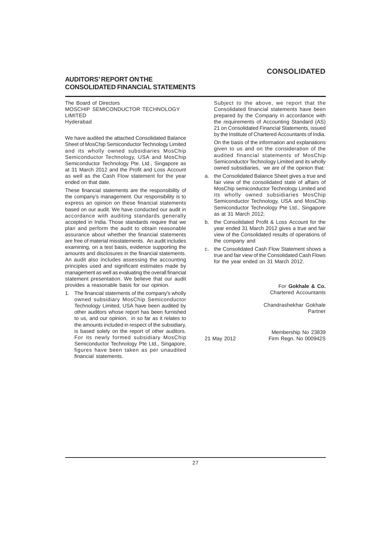# **AUDITORS' REPORT ON THE CONSOLIDATED FINANCIAL STATEMENTS**

The Board of Directors MOSCHIP SEMICONDUCTOR TECHNOLOGY LIMITED Hyderabad

We have audited the attached Consolidated Balance Sheet of MosChip Semiconductor Technology Limited and its wholly owned subsidiaries MosChip Semiconductor Technology, USA and MosChip Semiconductor Technology Pte. Ltd., Singapore as at 31 March 2012 and the Profit and Loss Account as well as the Cash Flow statement for the year ended on that date.

These financial statements are the responsibility of the company's management. Our responsibility is to express an opinion on these financial statements based on our audit. We have conducted our audit in accordance with auditing standards generally accepted in India. Those standards require that we plan and perform the audit to obtain reasonable assurance about whether the financial statements are free of material misstatements. An audit includes examining, on a test basis, evidence supporting the amounts and disclosures in the financial statements. An audit also includes assessing the accounting principles used and significant estimates made by management as well as evaluating the overall financial statement presentation. We believe that our audit provides a reasonable basis for our opinion.

1. The financial statements of the company's wholly owned subsidiary MosChip Semiconductor Technology Limited, USA have been audited by other auditors whose report has been furnished to us, and our opinion, in so far as it relates to the amounts included in respect of the subsidiary, is based solely on the report of other auditors. For its newly formed subsidiary MosChip Semiconductor Technology Pte Ltd., Singapore, figures have been taken as per unaudited financial statements.

Subject to the above, we report that the Consolidated financial statements have been prepared by the Company in accordance with the requirements of Accounting Standard (AS) 21 on Consolidated Financial Statements, issued by the Institute of Chartered Accountants of India. On the basis of the information and explanations given to us and on the consideration of the audited financial statements of MosChip Semiconductor Technology Limited and its wholly owned subsidiaries, we are of the opinion that:

- a. the Consolidated Balance Sheet gives a true and fair view of the consolidated state of affairs of MosChip semiconductor Technology Limited and its wholly owned subsidiaries MosChip Semiconductor Technology, USA and MosChip Semiconductor Technology Pte Ltd., Singapore as at 31 March 2012;
- b. the Consolidated Profit & Loss Account for the year ended 31 March 2012 gives a true and fair view of the Consolidated results of operations of the company and
- c. the Consolidated Cash Flow Statement shows a true and fair view of the Consolidated Cash Flows for the year ended on 31 March 2012.

For **Gokhale & Co.** Chartered Accountants

Chandrashekhar Gokhale Partner

Membership No 23839 21 May 2012 Firm Regn. No 000942S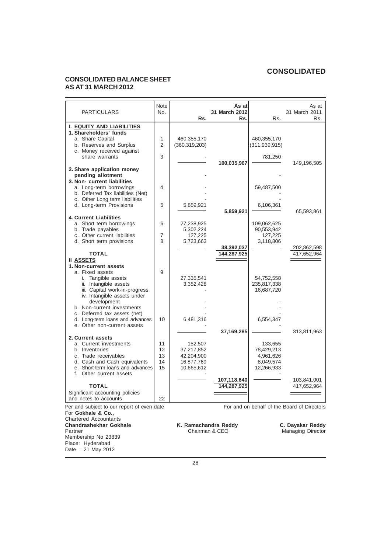# **CONSOLIDATED BALANCE SHEET AS AT 31 MARCH 2012**

Membership No 23839 Place: Hyderabad Date : 21 May 2012

| <b>PARTICULARS</b>                                                                                                                                                                   | Note<br>No.                | Rs.                                                             | As at<br>31 March 2012<br>Rs. | Rs.                                                           | As at<br>31 March 2011<br>Rs.                |
|--------------------------------------------------------------------------------------------------------------------------------------------------------------------------------------|----------------------------|-----------------------------------------------------------------|-------------------------------|---------------------------------------------------------------|----------------------------------------------|
| I. EQUITY AND LIABILITIES                                                                                                                                                            |                            |                                                                 |                               |                                                               |                                              |
| 1. Shareholders' funds<br>a. Share Capital<br>b. Reserves and Surplus<br>c. Money received against<br>share warrants                                                                 | 1<br>$\mathfrak{p}$<br>3   | 460,355,170<br>(360, 319, 203)                                  |                               | 460,355,170<br>(311, 939, 915)<br>781,250                     |                                              |
| 2. Share application money<br>pending allotment<br>3. Non- current liabilities                                                                                                       |                            |                                                                 | 100,035,967                   |                                                               | 149,196,505                                  |
| a. Long-term borrowings<br>b. Deferred Tax liabilities (Net)                                                                                                                         | 4                          |                                                                 |                               | 59,487,500                                                    |                                              |
| c. Other Long term liabilities<br>d. Long-term Provisions                                                                                                                            | 5                          | 5,859,921                                                       | 5,859,921                     | 6,106,361                                                     | 65,593,861                                   |
| <b>4. Current Liabilities</b><br>a. Short term borrowings<br>b. Trade payables<br>c. Other current liabilities                                                                       | 6<br>$\overline{7}$        | 27,238,925<br>5,302,224<br>127,225                              |                               | 109,062,625<br>90,553,942<br>127,225                          |                                              |
| d. Short term provisions<br><b>TOTAL</b><br><b>II ASSETS</b>                                                                                                                         | 8                          | 5,723,663                                                       | 38,392,037<br>144,287,925     | 3,118,806                                                     | 202,862,598<br>417,652,964                   |
| 1. Non-current assets<br>a. Fixed assets<br>i. Tangible assets<br>ii. Intangible assets<br>iii. Capital work-in-progress<br>iv. Intangible assets under<br>development               | 9                          | 27,335,541<br>3,352,428                                         |                               | 54,752,558<br>235,817,338<br>16,687,720                       |                                              |
| b. Non-current investments<br>c. Deferred tax assets (net)<br>d. Long-term loans and advances<br>e. Other non-current assets                                                         | 10                         | 6,481,316                                                       |                               | 6,554,347                                                     |                                              |
| 2. Current assets<br>a. Current investments<br>b. Inventories<br>c. Trade receivables<br>d. Cash and Cash equivalents<br>e. Short-term loans and advances<br>f. Other current assets | 11<br>12<br>13<br>14<br>15 | 152,507<br>37,217,852<br>42,204,900<br>16,877,769<br>10,665,612 | 37,169,285                    | 133,655<br>78,429,213<br>4,961,626<br>8,049,574<br>12,266,933 | 313,811,963                                  |
| <b>TOTAL</b><br>Significant accounting policies                                                                                                                                      |                            |                                                                 | 107,118,640<br>144,287,925    |                                                               | 103,841,001<br>417,652,964                   |
| and notes to accounts                                                                                                                                                                | 22                         |                                                                 |                               |                                                               |                                              |
| Per and subject to our report of even date<br>For Gokhale & Co.,<br><b>Chartered Accountants</b>                                                                                     |                            |                                                                 |                               |                                                               | For and on behalf of the Board of Directors  |
| Chandrashekhar Gokhale<br>Partner                                                                                                                                                    |                            | K. Ramachandra Reddy<br>Chairman & CEO                          |                               |                                                               | C. Dayakar Reddy<br><b>Managing Director</b> |

28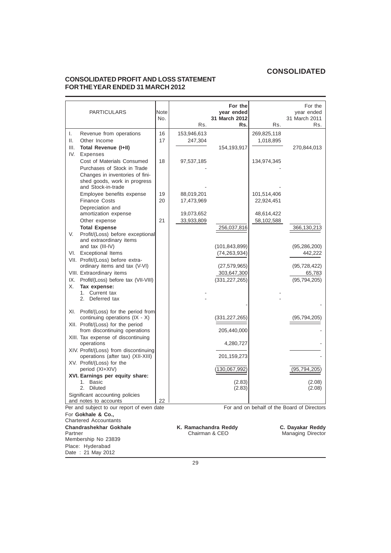# **CONSOLIDATED PROFIT AND LOSS STATEMENT FOR THE YEAR ENDED 31 MARCH 2012**

| <b>PARTICULARS</b>                                                                                                                                     | Note<br>No. | Rs.                      | For the<br>year ended<br>31 March 2012<br>Rs. | Rs.                       | For the<br>year ended<br>31 March 2011<br>Rs. |
|--------------------------------------------------------------------------------------------------------------------------------------------------------|-------------|--------------------------|-----------------------------------------------|---------------------------|-----------------------------------------------|
| I.<br>Revenue from operations<br>ΙΙ.<br>Other Income<br>Ш.<br>Total Revenue (I+II)                                                                     | 16<br>17    | 153,946,613<br>247,304   | 154,193,917                                   | 269,825,118<br>1,018,895  | 270,844,013                                   |
| IV.<br><b>Expenses</b><br>Cost of Materials Consumed<br>Purchases of Stock in Trade<br>Changes in inventories of fini-<br>shed goods, work in progress | 18          | 97,537,185               |                                               | 134,974,345               |                                               |
| and Stock-in-trade<br>Employee benefits expense<br><b>Finance Costs</b>                                                                                | 19<br>20    | 88,019,201<br>17,473,969 |                                               | 101,514,406<br>22,924,451 |                                               |
| Depreciation and<br>amortization expense<br>Other expense<br><b>Total Expense</b>                                                                      | 21          | 19,073,652<br>33,933,809 | 256,037,816                                   | 48,614,422<br>58,102,588  | 366,130,213                                   |
| V.<br>Profit/(Loss) before exceptional<br>and extraordinary items<br>and tax (III-IV)                                                                  |             |                          | (101,843,899)                                 |                           | (95,286,200)                                  |
| VI. Exceptional Items<br>VII. Profit/(Loss) before extra-<br>ordinary items and tax (V-VI)                                                             |             |                          | (74, 263, 934)<br>(27, 579, 965)              |                           | 442,222<br>(95, 728, 422)                     |
| VIII. Extraordinary items<br>IX. Profit/(Loss) before tax (VII-VIII)<br>Х.<br>Tax expense:<br>1. Current tax                                           |             |                          | 303,647,300<br>(331, 227, 265)                |                           | 65,783<br>(95, 794, 205)                      |
| 2. Deferred tax                                                                                                                                        |             |                          |                                               |                           |                                               |
| XI. Profit/(Loss) for the period from<br>continuing operations (IX - X)<br>XII. Profit/(Loss) for the period                                           |             |                          | (331,227,265)                                 |                           | (95,794,205)                                  |
| from discontinuing operations<br>XIII. Tax expense of discontinuing                                                                                    |             |                          | 205,440,000                                   |                           |                                               |
| operations<br>XIV. Profit/(Loss) from discontinuing                                                                                                    |             |                          | 4,280,727                                     |                           |                                               |
| operations (after tax) (XII-XIII)<br>XV. Profit/(Loss) for the<br>period (XI+XIV)                                                                      |             |                          | 201,159,273<br>(130,067,992)                  |                           | (95, 794, 205)                                |
| XVI. Earnings per equity share:<br>1. Basic                                                                                                            |             |                          | (2.83)                                        |                           | (2.08)                                        |
| 2. Diluted<br>Significant accounting policies<br>and notes to accounts                                                                                 | 22          |                          | (2.83)                                        |                           | (2.08)                                        |
| Per and subject to our report of even date<br>For Gokhale & Co.,                                                                                       |             |                          |                                               |                           | For and on behalf of the Board of Directors   |
| <b>Chartered Accountants</b><br><b>Chandrashekhar Gokhale</b><br>Partner<br>Membership No 23839                                                        |             | K. Ramachandra Reddy     | Chairman & CEO                                |                           | C. Dayakar Reddy<br><b>Managing Director</b>  |
| Place: Hyderabad<br>Date: 21 May 2012                                                                                                                  |             |                          |                                               |                           |                                               |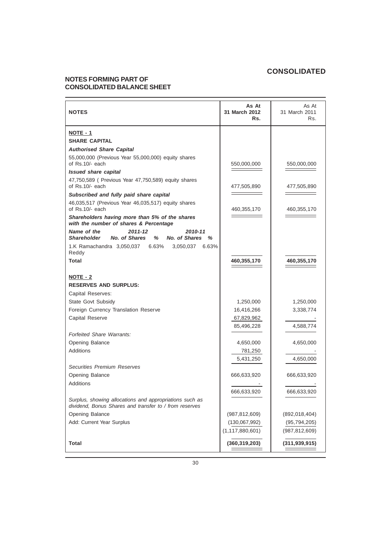# **NOTES FORMING PART OF CONSOLIDATED BALANCE SHEET**

| <b>NOTES</b>                                                                                                      | As At<br>31 March 2012<br>Rs. | As At<br>31 March 2011<br>Rs. |
|-------------------------------------------------------------------------------------------------------------------|-------------------------------|-------------------------------|
| NOTE - 1                                                                                                          |                               |                               |
| <b>SHARE CAPITAL</b>                                                                                              |                               |                               |
| <b>Authorised Share Capital</b>                                                                                   |                               |                               |
| 55,000,000 (Previous Year 55,000,000) equity shares<br>of Rs.10/- each                                            | 550,000,000                   | 550,000,000                   |
| <b>Issued share capital</b>                                                                                       |                               |                               |
| 47,750,589 ( Previous Year 47,750,589) equity shares<br>of Rs.10/- each                                           | 477,505,890                   | 477,505,890                   |
| Subscribed and fully paid share capital                                                                           |                               |                               |
| 46,035,517 (Previous Year 46,035,517) equity shares<br>of Rs.10/- each                                            | 460,355,170                   | 460,355,170                   |
| Shareholders having more than 5% of the shares<br>with the number of shares & Percentage                          |                               |                               |
| Name of the<br>2011-12<br>2010-11<br>No. of Shares<br>%<br>No. of Shares<br><b>Shareholder</b><br>℅               |                               |                               |
| 1.K Ramachandra 3,050,037 6.63%<br>3,050,037<br>6.63%<br>Reddy                                                    |                               |                               |
| <b>Total</b>                                                                                                      | 460,355,170                   | 460,355,170                   |
| NOTE - 2                                                                                                          |                               |                               |
| <b>RESERVES AND SURPLUS:</b>                                                                                      |                               |                               |
| Capital Reserves:                                                                                                 |                               |                               |
| State Govt Subsidy                                                                                                | 1,250,000                     | 1,250,000                     |
| Foreign Currency Translation Reserve                                                                              | 16,416,266                    | 3,338,774                     |
| Capital Reserve                                                                                                   | 67,829,962                    |                               |
|                                                                                                                   | 85,496,228                    | 4,588,774                     |
| <b>Forfeited Share Warrants:</b>                                                                                  |                               |                               |
| Opening Balance                                                                                                   | 4,650,000                     | 4,650,000                     |
| <b>Additions</b>                                                                                                  | 781,250                       |                               |
|                                                                                                                   | 5,431,250                     | 4,650,000                     |
| <b>Securities Premium Reserves</b>                                                                                |                               |                               |
| Opening Balance                                                                                                   | 666,633,920                   | 666,633,920                   |
| <b>Additions</b>                                                                                                  | 666,633,920                   | 666,633,920                   |
| Surplus, showing allocations and appropriations such as<br>dividend. Bonus Shares and transfer to / from reserves |                               |                               |
| Opening Balance                                                                                                   | (987, 812, 609)               | (892,018,404)                 |
| Add: Current Year Surplus                                                                                         | (130,067,992)                 | (95, 794, 205)                |
|                                                                                                                   | (1, 117, 880, 601)            | (987, 812, 609)               |
| Total                                                                                                             | (360, 319, 203)               | (311, 939, 915)               |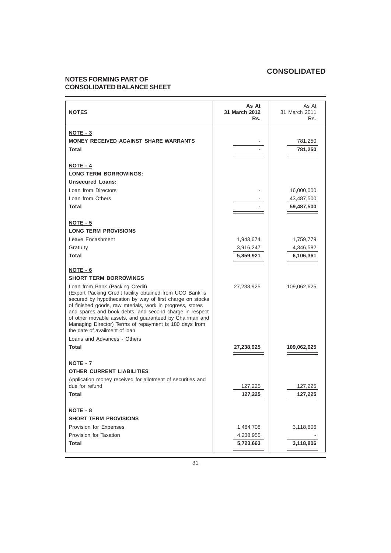# **NOTES FORMING PART OF CONSOLIDATED BALANCE SHEET**

| <b>NOTES</b>                                                                                                                                                                                                                                                                                                                                                                                                                            | As At<br>31 March 2012<br>Rs. | As At<br>31 March 2011<br>Rs. |
|-----------------------------------------------------------------------------------------------------------------------------------------------------------------------------------------------------------------------------------------------------------------------------------------------------------------------------------------------------------------------------------------------------------------------------------------|-------------------------------|-------------------------------|
| NOTE - 3<br><b>MONEY RECEIVED AGAINST SHARE WARRANTS</b><br><b>Total</b>                                                                                                                                                                                                                                                                                                                                                                |                               | 781,250<br>781,250            |
| NOTE - 4<br><b>LONG TERM BORROWINGS:</b><br><b>Unsecured Loans:</b>                                                                                                                                                                                                                                                                                                                                                                     |                               |                               |
| Loan from Directors<br>Loan from Others                                                                                                                                                                                                                                                                                                                                                                                                 |                               | 16,000,000<br>43,487,500      |
| <b>Total</b><br>NOTE - 5                                                                                                                                                                                                                                                                                                                                                                                                                |                               | 59,487,500                    |
| <b>LONG TERM PROVISIONS</b><br>Leave Encashment                                                                                                                                                                                                                                                                                                                                                                                         | 1,943,674                     | 1,759,779                     |
| Gratuity<br><b>Total</b>                                                                                                                                                                                                                                                                                                                                                                                                                | 3,916,247<br>5,859,921        | 4,346,582<br>6,106,361        |
| NOTE - 6<br><b>SHORT TERM BORROWINGS</b>                                                                                                                                                                                                                                                                                                                                                                                                |                               |                               |
| Loan from Bank (Packing Credit)<br>(Export Packing Credit facility obtained from UCO Bank is<br>secured by hypothecation by way of first charge on stocks<br>of finished goods, raw mterials, work in progress, stores<br>and spares and book debts, and second charge in respect<br>of other movable assets, and guaranteed by Chairman and<br>Managing Director) Terms of repayment is 180 days from<br>the date of availment of loan | 27,238,925                    | 109,062,625                   |
| Loans and Advances - Others<br>Total                                                                                                                                                                                                                                                                                                                                                                                                    | 27,238,925                    | 109,062,625                   |
| NOTE - 7<br><b>OTHER CURRENT LIABILITIES</b>                                                                                                                                                                                                                                                                                                                                                                                            |                               |                               |
| Application money received for allotment of securities and<br>due for refund<br>Total                                                                                                                                                                                                                                                                                                                                                   | 127,225<br>127,225            | 127,225<br>127,225            |
| NOTE - 8<br><b>SHORT TERM PROVISIONS</b>                                                                                                                                                                                                                                                                                                                                                                                                |                               |                               |
| Provision for Expenses<br>Provision for Taxation                                                                                                                                                                                                                                                                                                                                                                                        | 1,484,708<br>4,238,955        | 3,118,806                     |
| Total                                                                                                                                                                                                                                                                                                                                                                                                                                   | 5,723,663                     | 3,118,806                     |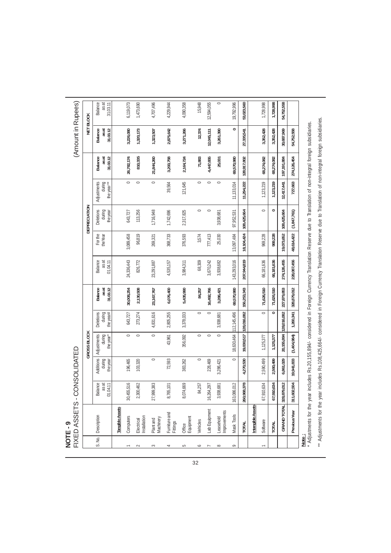|             | FIXED ASSETS-C<br>NOTE-9                                                                                                                                          |                                           | <b>ONSOLIDATED</b>                     |                                    |                                  |                                     |                                                                                                                                      |                     |                                 |                                     |                              | (Amount in Rupees)                 |                                     |
|-------------|-------------------------------------------------------------------------------------------------------------------------------------------------------------------|-------------------------------------------|----------------------------------------|------------------------------------|----------------------------------|-------------------------------------|--------------------------------------------------------------------------------------------------------------------------------------|---------------------|---------------------------------|-------------------------------------|------------------------------|------------------------------------|-------------------------------------|
|             |                                                                                                                                                                   |                                           |                                        | <b>GROSS BLOCK</b>                 |                                  |                                     |                                                                                                                                      |                     | DEPRECIATION                    |                                     |                              |                                    | <b>NET BLOCK</b>                    |
| S. No.      | Description                                                                                                                                                       | <b>Balance</b><br>as at<br>04.11<br>$\Xi$ | <b>Additions</b><br>during<br>the year | Adjustments<br>during<br>the year* | Deletions<br>the year#<br>during | <b>Balance</b><br>31.03.12<br>as at | Balance<br>as at<br>01.04.11                                                                                                         | For the<br>the Year | Deletions<br>during<br>the year | during<br>the year**<br>Adjustments | 31.03.12<br>Balance<br>as at | <b>Balance</b><br>31.03.12<br>asat | <b>Balance</b><br>as at<br>31.03.11 |
|             | <b>Tangible Assets</b>                                                                                                                                            |                                           |                                        |                                    |                                  |                                     |                                                                                                                                      |                     |                                 |                                     |                              |                                    |                                     |
|             | Computers                                                                                                                                                         | 30,455,516                                | 196,465                                | $\circ$                            | 643,727                          | 30,008,254                          | 24,336,443                                                                                                                           | 3,089,458           | 643,727                         | $\circ$                             | 26,782,174                   | 3,226,080                          | 6,119,073                           |
| $\sim$      | nstallation<br>Electrical                                                                                                                                         | 2,300,462                                 | 103,320                                | $\circ$                            | 273,274                          | 2,130,508                           | 826,772                                                                                                                              | 96,819              | 113,256                         | $\circ$                             | 810,335                      | 1,320,173                          | 1,473,690                           |
| 3           | Machinery<br>Plant and                                                                                                                                            | 27,999,383                                | $\circ$                                | $\circ$                            | 4,831,616                        | 23,167,767                          | 23,291,887                                                                                                                           | 269,321             | 1,716,948                       | $\circ$                             | 21,844,260                   | 1,323,507                          | 4,707,496                           |
| 4           | Furniture and<br>Fittings                                                                                                                                         | 8,765,101                                 | 72,593                                 | 43,961                             | 2,805,255                        | 6,076,400                           | 4,535,157                                                                                                                            | 368,733             | 1,742,696                       | 39,564                              | 3,200,758                    | 2,875,642                          | 4,229,944                           |
| 5           | Equipment<br>Office                                                                                                                                               | 8,074,669                                 | 383,262                                | 356,092                            | 3,378,033                        | 5,435,990                           | 3,984,311                                                                                                                            | 376,593             | 2,317,825                       | 121,645                             | 2,164,724                    | 3,271,266                          | 4,090,358                           |
| P           | Vehicles                                                                                                                                                          | 84,257                                    | $\circ$                                | $\circ$                            | $\circ$                          | 84,257                              | 68,309                                                                                                                               | 3,574               | $\circ$                         | $\circ$                             | 71,883                       | 12,374                             | 15,948                              |
|             | Lab Equipment                                                                                                                                                     | 16,264,297                                | 228,469                                | $\circ$                            | $\circ$                          | 16,492,766                          | 3,670,242                                                                                                                            | 777,413             | $\circ$                         | $\circ$                             | 4,447,655                    | 12,045,111                         | 12,594,055                          |
| $\infty$    | Improvements<br>Leasehold                                                                                                                                         | 3,938,681                                 | 3,286,421                              | $\circ$                            | 3,938,681                        | 3,286,421                           | 3,938,682                                                                                                                            | 25,030              | 3,938,681                       | $\circ$                             | 25,031                       | 3,261,390                          | $\circ$                             |
| $\circ$     | Mask Tools                                                                                                                                                        | 163,086,012                               | $\circ$                                |                                    | 18,630,464 112,145,496           | 69,570,980                          | 143,293,016                                                                                                                          | 13,097,484          | 97,952,531                      | 11,133,014                          | 69,570,980                   | 0                                  | 19,792,996                          |
|             | <b>TOTAL</b>                                                                                                                                                      | 260,968,378                               | 4,270,530                              | 19,030,517                         | 128,016,082                      | 156,253,343                         | 207,944,819                                                                                                                          | 18,104,424          | 108,425,664                     | 11,294,222                          | 128,917,802                  | 27,335,541                         | 53,023,560                          |
|             | Intangible Assets                                                                                                                                                 |                                           |                                        |                                    |                                  |                                     |                                                                                                                                      |                     |                                 |                                     |                              |                                    |                                     |
|             | Software                                                                                                                                                          | 67,910,634                                | 2,590,499                              | 1,125,377                          | $\circ$                          | 71,626,510                          | 66,181,636                                                                                                                           | 969,228             | $\circ$                         | 1,123,219                           | 68,274,082                   | 3,352,428                          | 1,728,998                           |
|             | TOTAL                                                                                                                                                             | 67,910,634                                | 2,590,499                              | 1,125,377                          | $\circ$                          | 71,626,510                          | 66,181,636                                                                                                                           | 969,228             | $\circ$                         | 1,123,219                           | 68,274,082                   | 3,352,428                          | 1,728,998                           |
|             | <b>GRAND TOTAL</b>                                                                                                                                                | 328,879,012                               | 6,861,029                              | 20,155,894                         | 128,016,082                      | 227,879,853                         | 274,126,455                                                                                                                          | 19,073,652          | 108,425,664                     | 12,417,441                          | 197,191,884                  | 30,687,969                         | 54,752,558                          |
|             | Previous Year                                                                                                                                                     | 311,602,504                               | 19,941,833                             | (1,404,984)                        | 1,260,341                        | 328,879,012                         | 228,087,456                                                                                                                          | 48,614,422          | (1, 847, 761)                   | 727,663                             | 274,126,454                  | 54,752,558                         |                                     |
| <b>Note</b> | Adjustments for the year                                                                                                                                          |                                           |                                        |                                    |                                  |                                     | includes Rs.20,155,894/- considered in Foreign Currency Translation Reserve due to Translation of non-integral foreign subsidiaries. |                     |                                 |                                     |                              |                                    |                                     |
|             | ** Adjustments for the year includes Rs.108,425,664/- considered in Foreign Currency Translation Reserve due to Translation of non-integral foreign subsidiaries. |                                           |                                        |                                    |                                  |                                     |                                                                                                                                      |                     |                                 |                                     |                              |                                    |                                     |

32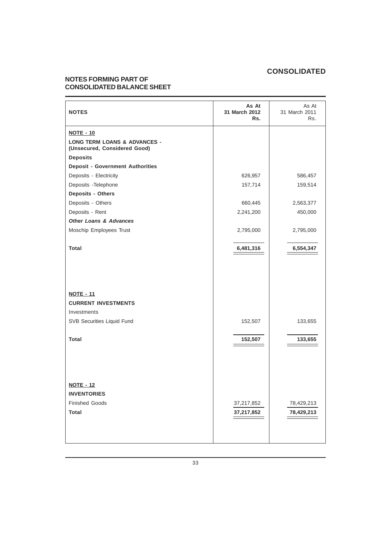# **NOTES FORMING PART OF CONSOLIDATED BALANCE SHEET**

| <b>NOTES</b>                                                                    | As At<br>31 March 2012<br>Rs. | As At<br>31 March 2011<br>Rs. |
|---------------------------------------------------------------------------------|-------------------------------|-------------------------------|
| <b>NOTE - 10</b>                                                                |                               |                               |
| <b>LONG TERM LOANS &amp; ADVANCES -</b><br>(Unsecured, Considered Good)         |                               |                               |
| <b>Deposits</b>                                                                 |                               |                               |
| <b>Deposit - Government Authorities</b>                                         |                               |                               |
| Deposits - Electricity                                                          | 626,957                       | 586,457                       |
| Deposits - Telephone                                                            | 157,714                       | 159,514                       |
| Deposits - Others                                                               |                               |                               |
| Deposits - Others                                                               | 660,445                       | 2,563,377                     |
| Deposits - Rent                                                                 | 2,241,200                     | 450,000                       |
| <b>Other Loans &amp; Advances</b>                                               |                               |                               |
| Moschip Employees Trust                                                         | 2,795,000                     | 2,795,000                     |
| <b>Total</b>                                                                    | 6,481,316                     | 6,554,347                     |
| <b>NOTE - 11</b>                                                                |                               |                               |
| <b>CURRENT INVESTMENTS</b>                                                      |                               |                               |
| Investments                                                                     |                               |                               |
| SVB Securities Liquid Fund                                                      | 152,507                       | 133,655                       |
| <b>Total</b>                                                                    | 152,507                       | 133,655                       |
| <b>NOTE - 12</b><br><b>INVENTORIES</b><br><b>Finished Goods</b><br><b>Total</b> | 37,217,852<br>37,217,852      | 78,429,213<br>78,429,213      |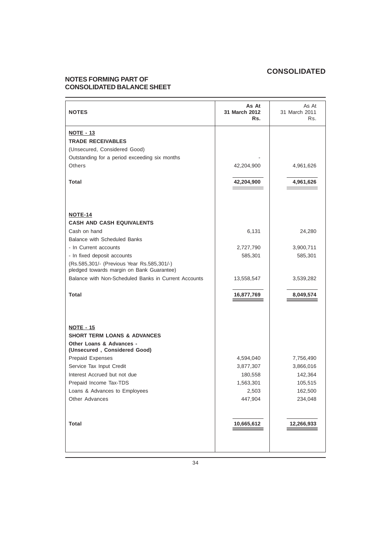# **NOTES FORMING PART OF CONSOLIDATED BALANCE SHEET**

| <b>NOTES</b>                                                                            | As At<br>31 March 2012<br>Rs. | As At<br>31 March 2011<br>Rs. |
|-----------------------------------------------------------------------------------------|-------------------------------|-------------------------------|
| <b>NOTE - 13</b>                                                                        |                               |                               |
| <b>TRADE RECEIVABLES</b>                                                                |                               |                               |
| (Unsecured, Considered Good)                                                            |                               |                               |
| Outstanding for a period exceeding six months                                           |                               |                               |
| Others                                                                                  | 42,204,900                    | 4,961,626                     |
| Total                                                                                   | 42,204,900                    | 4,961,626                     |
|                                                                                         |                               |                               |
| <b>NOTE-14</b>                                                                          |                               |                               |
| <b>CASH AND CASH EQUIVALENTS</b>                                                        |                               |                               |
| Cash on hand                                                                            | 6,131                         | 24,280                        |
| <b>Balance with Scheduled Banks</b>                                                     |                               |                               |
| - In Current accounts                                                                   | 2,727,790                     | 3,900,711                     |
| - In fixed deposit accounts                                                             | 585,301                       | 585,301                       |
| (Rs.585,301/- (Previous Year Rs.585,301/-)<br>pledged towards margin on Bank Guarantee) |                               |                               |
| Balance with Non-Scheduled Banks in Current Accounts                                    | 13,558,547                    | 3,539,282                     |
| <b>Total</b>                                                                            | 16,877,769                    | 8,049,574                     |
|                                                                                         |                               |                               |
|                                                                                         |                               |                               |
| <b>NOTE - 15</b><br><b>SHORT TERM LOANS &amp; ADVANCES</b>                              |                               |                               |
| Other Loans & Advances -<br>(Unsecured, Considered Good)                                |                               |                               |
| <b>Prepaid Expenses</b>                                                                 | 4,594,040                     | 7,756,490                     |
| Service Tax Input Credit                                                                | 3,877,307                     | 3,866,016                     |
| Interest Accrued but not due                                                            | 180,558                       | 142,364                       |
| Prepaid Income Tax-TDS                                                                  | 1,563,301                     | 105,515                       |
| Loans & Advances to Employees                                                           | 2,503                         | 162,500                       |
| Other Advances                                                                          | 447,904                       | 234,048                       |
|                                                                                         |                               |                               |
| <b>Total</b>                                                                            | 10,665,612                    | 12,266,933                    |
|                                                                                         |                               |                               |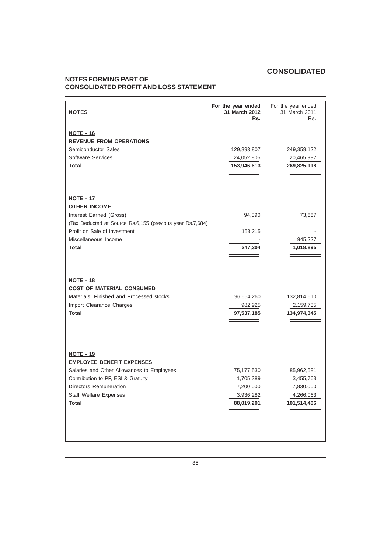# **NOTES FORMING PART OF CONSOLIDATED PROFIT AND LOSS STATEMENT**

| <b>NOTES</b>                                                                                                                                                                                                        | For the year ended<br>31 March 2012<br>Rs.                      | For the year ended<br>31 March 2011<br>Rs.                       |
|---------------------------------------------------------------------------------------------------------------------------------------------------------------------------------------------------------------------|-----------------------------------------------------------------|------------------------------------------------------------------|
| <b>NOTE - 16</b><br><b>REVENUE FROM OPERATIONS</b><br>Semiconductor Sales<br>Software Services<br>Total                                                                                                             | 129,893,807<br>24,052,805<br>153,946,613                        | 249,359,122<br>20,465,997<br>269,825,118                         |
| <b>NOTE - 17</b><br><b>OTHER INCOME</b><br>Interest Earned (Gross)<br>(Tax Deducted at Source Rs.6,155 (previous year Rs.7,684)<br>Profit on Sale of Investment<br>Miscellaneous Income<br><b>Total</b>             | 94,090<br>153,215<br>247,304                                    | 73,667<br>945,227<br>1,018,895                                   |
| <b>NOTE - 18</b><br><b>COST OF MATERIAL CONSUMED</b><br>Materials, Finished and Processed stocks<br>Import Clearance Charges<br><b>Total</b>                                                                        | 96,554,260<br>982,925<br>97,537,185                             | 132,814,610<br>2,159,735<br>134,974,345                          |
| <b>NOTE - 19</b><br><b>EMPLOYEE BENEFIT EXPENSES</b><br>Salaries and Other Allowances to Employees<br>Contribution to PF, ESI & Gratuity<br>Directors Remuneration<br><b>Staff Welfare Expenses</b><br><b>Total</b> | 75,177,530<br>1,705,389<br>7,200,000<br>3,936,282<br>88,019,201 | 85,962,581<br>3,455,763<br>7,830,000<br>4,266,063<br>101,514,406 |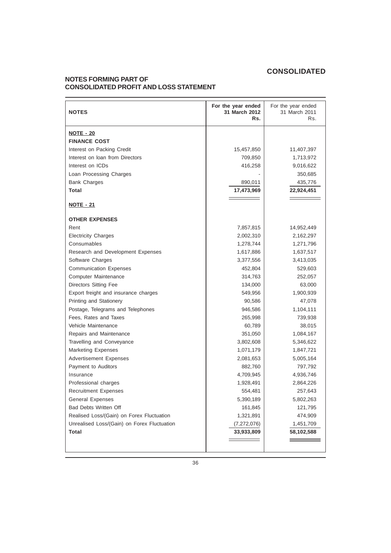# **NOTES FORMING PART OF CONSOLIDATED PROFIT AND LOSS STATEMENT**

| <b>NOTES</b>                                | For the year ended<br>31 March 2012<br>Rs. | For the year ended<br>31 March 2011<br>Rs. |
|---------------------------------------------|--------------------------------------------|--------------------------------------------|
| <b>NOTE - 20</b>                            |                                            |                                            |
| <b>FINANCE COST</b>                         |                                            |                                            |
| Interest on Packing Credit                  | 15,457,850                                 | 11,407,397                                 |
| Interest on Ioan from Directors             | 709,850                                    | 1,713,972                                  |
| Interest on ICDs                            | 416,258                                    | 9,016,622                                  |
| Loan Processing Charges                     |                                            | 350,685                                    |
| <b>Bank Charges</b>                         | 890,011                                    | 435,776                                    |
| <b>Total</b>                                | 17,473,969                                 | 22,924,451                                 |
|                                             |                                            |                                            |
| <b>NOTE - 21</b>                            |                                            |                                            |
| <b>OTHER EXPENSES</b>                       |                                            |                                            |
| Rent                                        | 7,857,815                                  | 14,952,449                                 |
| <b>Electricity Charges</b>                  | 2,002,310                                  | 2,162,297                                  |
| Consumables                                 | 1,278,744                                  | 1,271,796                                  |
| Research and Development Expenses           | 1,617,886                                  | 1,637,517                                  |
| Software Charges                            | 3,377,556                                  | 3,413,035                                  |
| <b>Communication Expenses</b>               | 452,804                                    | 529,603                                    |
| Computer Maintenance                        | 314,763                                    | 252,057                                    |
| Directors Sitting Fee                       | 134,000                                    | 63,000                                     |
| Export freight and insurance charges        | 549,956                                    | 1,900,939                                  |
| Printing and Stationery                     | 90,586                                     | 47,078                                     |
| Postage, Telegrams and Telephones           | 946,586                                    | 1,104,111                                  |
| Fees, Rates and Taxes                       | 265,998                                    | 739,938                                    |
| Vehicle Maintenance                         | 60,789                                     | 38,015                                     |
| Repairs and Maintenance                     | 351,050                                    | 1,084,167                                  |
| Travelling and Conveyance                   | 3,802,608                                  | 5,346,622                                  |
| <b>Marketing Expenses</b>                   | 1,071,179                                  | 1,847,721                                  |
| <b>Advertisement Expenses</b>               | 2,081,653                                  | 5,005,164                                  |
| Payment to Auditors                         | 882,760                                    | 797,792                                    |
| Insurance                                   | 4,709,945                                  | 4,936,746                                  |
| Professional charges                        | 1,928,491                                  | 2,864,226                                  |
| <b>Recruitment Expenses</b>                 | 554,481                                    | 257,643                                    |
| <b>General Expenses</b>                     | 5,390,189                                  | 5,802,263                                  |
| <b>Bad Debts Written Off</b>                | 161,845                                    | 121,795                                    |
| Realised Loss/(Gain) on Forex Fluctuation   | 1,321,891                                  | 474,909                                    |
| Unrealised Loss/(Gain) on Forex Fluctuation | (7,272,076)                                | 1,451,709                                  |
| <b>Total</b>                                | 33,933,809                                 | 58,102,588                                 |
|                                             |                                            |                                            |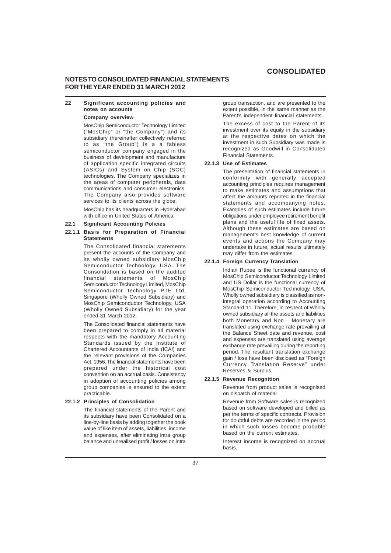## **NOTES TO CONSOLIDATED FINANCIAL STATEMENTS FOR THE YEAR ENDED 31 MARCH 2012**

### **22 Significant accounting policies and notes on accounts**

### **Company overview**

MosChip Semiconductor Technology Limited ("MosChip" or "the Company") and its subsidiary (hereinafter collectively referred to as "the Group") is a a fabless semiconductor company engaged in the business of development and manufacture of application specific integrated circuits (ASICs) and System on Chip (SOC) technologies. The Company specializes in the areas of computer peripherals, data communications and consumer electronics. The Company also provides software services to its clients across the globe.

MosChip has its headquarters in Hyderabad with office in United States of America.

#### **22.1 Significant Accounting Policies**

### **22.1.1 Basis for Preparation of Financial Statements**

The Consolidated financial statements present the accounts of the Company and its wholly owned subsidiary MosChip Semiconductor Technology, USA. The Consolidation is based on the audited financial statements of MosChip Semiconductor Technology Limited, MosChip Semiconductor Technology PTE Ltd, Singapore (Wholly Owned Subsidiary) and MosChip Semiconductor Technology, USA (Wholly Owned Subsidiary) for the year ended 31 March 2012.

The Consolidated financial statements have been prepared to comply in all material respects with the mandatory Accounting Standards issued by the Institute of Chartered Accountants of India (ICAI) and the relevant provisions of the Companies Act, 1956. The financial statements have been prepared under the historical cost convention on an accrual basis. Consistency in adoption of accounting policies among group companies is ensured to the extent practicable.

#### **22.1.2 Principles of Consolidation**

The financial statements of the Parent and its subsidiary have been Consolidated on a line-by-line basis by adding together the book value of like item of assets, liabilities, income and expenses, after eliminating intra group balance and unrealised profit / losses on intra group transaction, and are presented to the extent possible, in the same manner as the Parent's independent financial statements.

The excess of cost to the Parent of its investment over its equity in the subsidiary at the respective dates on which the investment in such Subsidiary was made is recognized as Goodwill in Consolidated Financial Statements.

### **22.1.3 Use of Estimates**

The presentation of financial statements in conformity with generally accepted accounting principles requires management to make estimates and assumptions that affect the amounts reported in the financial statements and accompanying notes. Examples of such estimates include future obligations under employee retirement benefit plans and the useful life of fixed assets. Although these estimates are based on management's best knowledge of current events and actions the Company may undertake in future, actual results ultimately may differ from the estimates.

### **22.1.4 Foreign Currency Translation**

Indian Rupee is the functional currency of MosChip Semiconductor Technology Limited and US Dollar is the functional currency of MosChip Semiconductor Technology, USA. Wholly owned subsidiary is classified as nonintegral operation according to Accounting Standard 11. Therefore, in respect of Wholly owned subsidiary all the assets and liabilities both Monetary and Non – Monetary are translated using exchange rate prevailing at the Balance Sheet date and revenue, cost and expenses are translated using average exchange rate prevailing during the reporting period. The resultant translation exchange gain / loss have been disclosed as "Foreign Currency Translation Reserve" under Reserves & Surplus.

#### **22.1.5 Revenue Recognition**

Revenue from product sales is recognised on dispatch of material

Revenue from Software sales is recognized based on software developed and billed as per the terms of specific contracts. Provision for doubtful debts are recorded in the period in which such losses become probable based on the current estimates.

Interest income is recognized on accrual basis.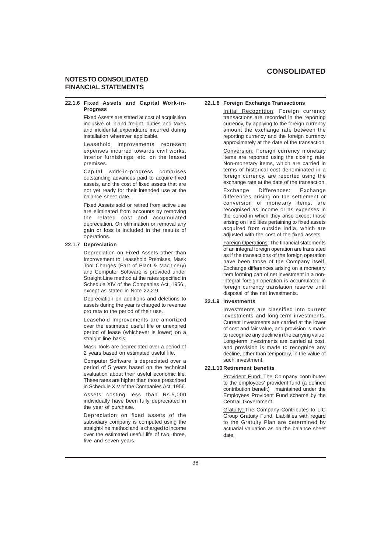## **NOTES TO CONSOLIDATED FINANCIAL STATEMENTS**

#### **22.1.6 Fixed Assets and Capital Work-in-Progress**

Fixed Assets are stated at cost of acquisition inclusive of inland freight, duties and taxes and incidental expenditure incurred during installation wherever applicable.

Leasehold improvements represent expenses incurred towards civil works, interior furnishings, etc. on the leased premises.

Capital work-in-progress comprises outstanding advances paid to acquire fixed assets, and the cost of fixed assets that are not yet ready for their intended use at the balance sheet date.

Fixed Assets sold or retired from active use are eliminated from accounts by removing the related cost and accumulated depreciation. On elimination or removal any gain or loss is included in the results of operations.

#### **22.1.7 Depreciation**

Depreciation on Fixed Assets other than Improvement to Leasehold Premises, Mask Tool Charges (Part of Plant & Machinery) and Computer Software is provided under Straight Line method at the rates specified in Schedule XIV of the Companies Act, 1956. except as stated in Note 22.2.9.

Depreciation on additions and deletions to assets during the year is charged to revenue pro rata to the period of their use.

Leasehold Improvements are amortized over the estimated useful life or unexpired period of lease (whichever is lower) on a straight line basis.

Mask Tools are depreciated over a period of 2 years based on estimated useful life.

Computer Software is depreciated over a period of 5 years based on the technical evaluation about their useful economic life. These rates are higher than those prescribed in Schedule XIV of the Companies Act, 1956.

Assets costing less than Rs.5,000 individually have been fully depreciated in the year of purchase.

Depreciation on fixed assets of the subsidiary company is computed using the straight-line method and is charged to income over the estimated useful life of two, three, five and seven years.

### **22.1.8 Foreign Exchange Transactions**

Initial Recognition: Foreign currency transactions are recorded in the reporting currency, by applying to the foreign currency amount the exchange rate between the reporting currency and the foreign currency approximately at the date of the transaction.

Conversion: Foreign currency monetary items are reported using the closing rate. Non-monetary items, which are carried in terms of historical cost denominated in a foreign currency, are reported using the exchange rate at the date of the transaction.

Exchange Differences: Exchange differences arising on the settlement or conversion of monetary items, are recognised as income or as expenses in the period in which they arise except those arising on liabilities pertaining to fixed assets acquired from outside India, which are adjusted with the cost of the fixed assets.

Foreign Operations: The financial statements of an integral foreign operation are translated as if the transactions of the foreign operation have been those of the Company itself. Exchange differences arising on a monetary item forming part of net investment in a nonintegral foreign operation is accumulated in foreign currency translation reserve until disposal of the net investments.

### **22.1.9 Investments**

Investments are classified into current investments and long-term investments. Current Investments are carried at the lower of cost and fair value, and provision is made to recognize any decline in the carrying value. Long-term investments are carried at cost, and provision is made to recognize any decline, other than temporary, in the value of such investment.

#### **22.1.10 Retirement benefits**

Provident Fund: The Company contributes to the employees' provident fund (a defined contribution benefit) maintained under the Employees Provident Fund scheme by the Central Government.

Gratuity: The Company Contributes to LIC Group Gratuity Fund. Liabilities with regard to the Gratuity Plan are determined by actuarial valuation as on the balance sheet date.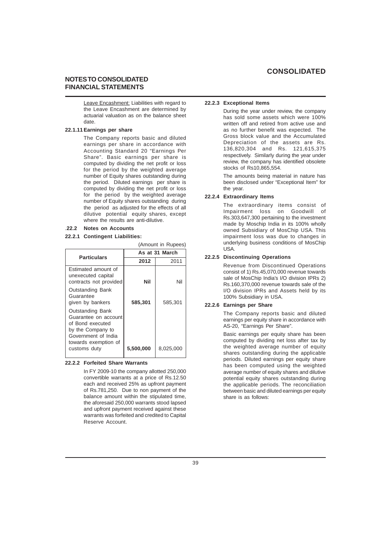### **NOTES TO CONSOLIDATED FINANCIAL STATEMENTS**

Leave Encashment: Liabilities with regard to the Leave Encashment are determined by actuarial valuation as on the balance sheet date.

#### **22.1.11 Earnings per share**

The Company reports basic and diluted earnings per share in accordance with Accounting Standard 20 "Earnings Per Share". Basic earnings per share is computed by dividing the net profit or loss for the period by the weighted average number of Equity shares outstanding during the period. Diluted earnings per share is computed by dividing the net profit or loss for the period by the weighted average number of Equity shares outstanding during the period as adjusted for the effects of all dilutive potential equity shares, except where the results are anti-dilutive.

(Amount in Rupees)

#### .**22.2 Notes on Accounts**

#### **22.2.1 Contingent Liabilities:**

| <b>Particulars</b>                                                                                                                                      | As at 31 March |           |
|---------------------------------------------------------------------------------------------------------------------------------------------------------|----------------|-----------|
|                                                                                                                                                         | 2012           | 2011      |
| Estimated amount of<br>unexecuted capital<br>contracts not provided                                                                                     | Nil            | Nil       |
| <b>Outstanding Bank</b><br>Guarantee<br>given by bankers                                                                                                | 585,301        | 585.301   |
| <b>Outstanding Bank</b><br>Guarantee on account<br>of Bond executed<br>by the Company to<br>Government of India<br>towards exemption of<br>customs duty | 5,500,000      | 8.025,000 |
|                                                                                                                                                         |                |           |

#### **22.2.2 Forfeited Share Warrants**

In FY 2009-10 the company allotted 250,000 convertible warrants at a price of Rs.12.50 each and received 25% as upfront payment of Rs.781,250. Due to non payment of the balance amount within the stipulated time, the aforesaid 250,000 warrants stood lapsed and upfront payment received against these warrants was forfeited and credited to Capital Reserve Account.

#### **22.2.3 Exceptional Items**

During the year under review, the company has sold some assets which were 100% written off and retired from active use and as no further benefit was expected. The Gross block value and the Accumulated Depreciation of the assets are Rs. 136,820,304 and Rs. 121,615,375 respectively. Similarly during the year under review, the company has identified obsolete stocks of Rs10,865,554.

The amounts being material in nature has been disclosed under "Exceptional Item" for the year.

### **22.2.4 Extraordinary Items**

The extraordinary items consist of Impairment loss on Goodwill of Rs.303,647,300 pertaining to the investment made by Moschip India in its 100% wholly owned Subsidiary of MosChip USA. This impairment loss was due to changes in underlying business conditions of MosChip USA.

### **22.2.5 Discontinuing Operations**

Revenue from Discontinued Operations consist of 1) Rs.45,070,000 revenue towards sale of MosChip India's I/O division IPRs 2) Rs.160,370,000 revenue towards sale of the I/O division IPRs and Assets held by its 100% Subsidiary in USA.

#### **22.2.6 Earnings per Share**

The Company reports basic and diluted earnings per equity share in accordance with AS-20, "Earnings Per Share".

Basic earnings per equity share has been computed by dividing net loss after tax by the weighted average number of equity shares outstanding during the applicable periods. Diluted earnings per equity share has been computed using the weighted average number of equity shares and dilutive potential equity shares outstanding during the applicable periods. The reconciliation between basic and diluted earnings per equity share is as follows: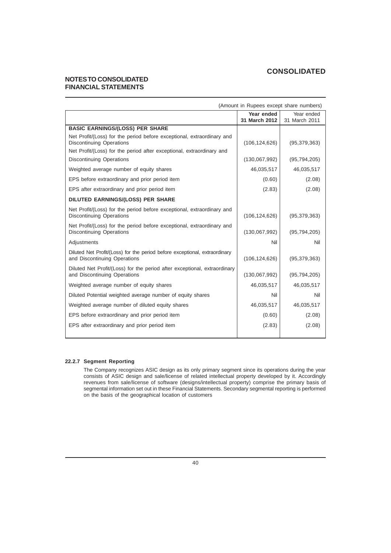## **NOTES TO CONSOLIDATED FINANCIAL STATEMENTS**

| (Amount in Rupees except share numbers)                                                                    |                 |                |
|------------------------------------------------------------------------------------------------------------|-----------------|----------------|
|                                                                                                            | Year ended      | Year ended     |
|                                                                                                            | 31 March 2012   | 31 March 2011  |
| <b>BASIC EARNINGS/(LOSS) PER SHARE</b>                                                                     |                 |                |
| Net Profit/(Loss) for the period before exceptional, extraordinary and<br><b>Discontinuing Operations</b>  | (106, 124, 626) | (95, 379, 363) |
| Net Profit/(Loss) for the period after exceptional, extraordinary and                                      |                 |                |
| <b>Discontinuing Operations</b>                                                                            | (130,067,992)   | (95, 794, 205) |
| Weighted average number of equity shares                                                                   | 46,035,517      | 46,035,517     |
| EPS before extraordinary and prior period item                                                             | (0.60)          | (2.08)         |
| EPS after extraordinary and prior period item                                                              | (2.83)          | (2.08)         |
| DILUTED EARNINGS/(LOSS) PER SHARE                                                                          |                 |                |
| Net Profit/(Loss) for the period before exceptional, extraordinary and<br><b>Discontinuing Operations</b>  | (106, 124, 626) | (95, 379, 363) |
| Net Profit/(Loss) for the period before exceptional, extraordinary and<br><b>Discontinuing Operations</b>  | (130,067,992)   | (95, 794, 205) |
| Adjustments                                                                                                | Nil             | Nil            |
| Diluted Net Profit/(Loss) for the period before exceptional, extraordinary<br>and Discontinuing Operations | (106, 124, 626) | (95, 379, 363) |
| Diluted Net Profit/(Loss) for the period after exceptional, extraordinary<br>and Discontinuing Operations  | (130,067,992)   | (95, 794, 205) |
| Weighted average number of equity shares                                                                   | 46,035,517      | 46,035,517     |
| Diluted Potential weighted average number of equity shares                                                 | Nil             | Nil            |
| Weighted average number of diluted equity shares                                                           | 46,035,517      | 46,035,517     |
| EPS before extraordinary and prior period item                                                             | (0.60)          | (2.08)         |
| EPS after extraordinary and prior period item                                                              | (2.83)          | (2.08)         |
|                                                                                                            |                 |                |

### **22.2.7 Segment Reporting**

The Company recognizes ASIC design as its only primary segment since its operations during the year consists of ASIC design and sale/license of related intellectual property developed by it. Accordingly revenues from sale/license of software (designs/intellectual property) comprise the primary basis of segmental information set out in these Financial Statements. Secondary segmental reporting is performed on the basis of the geographical location of customers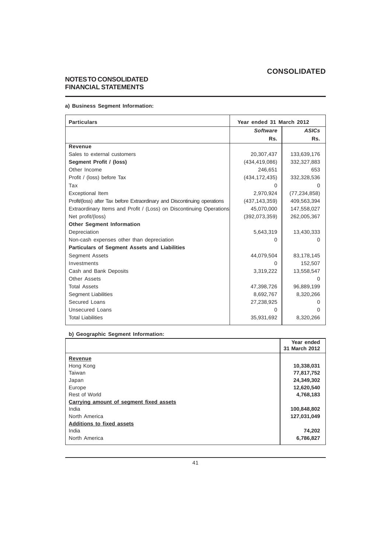## **NOTES TO CONSOLIDATED FINANCIAL STATEMENTS**

## **a) Business Segment Information:**

| <b>Particulars</b>                                                        | Year ended 31 March 2012 |                |
|---------------------------------------------------------------------------|--------------------------|----------------|
|                                                                           | <b>Software</b>          | <b>ASICs</b>   |
|                                                                           | Rs.                      | Rs.            |
| Revenue                                                                   |                          |                |
| Sales to external customers                                               | 20,307,437               | 133,639,176    |
| Segment Profit / (loss)                                                   | (434, 419, 086)          | 332,327,883    |
| Other Income                                                              | 246,651                  | 653            |
| Profit / (loss) before Tax                                                | (434, 172, 435)          | 332,328,536    |
| Tax                                                                       | 0                        |                |
| Exceptional Item                                                          | 2,970,924                | (77, 234, 858) |
| Profit/(loss) after Tax before Extraordinary and Discontinuing operations | (437, 143, 359)          | 409,563,394    |
| Extraordinary Items and Profit / (Loss) on Discontinuing Operations       | 45,070,000               | 147,558,027    |
| Net profit/(loss)                                                         | (392,073,359)            | 262,005,367    |
| <b>Other Segment Information</b>                                          |                          |                |
| Depreciation                                                              | 5,643,319                | 13,430,333     |
| Non-cash expenses other than depreciation                                 | 0                        | $\Omega$       |
| <b>Particulars of Segment Assets and Liabilities</b>                      |                          |                |
| <b>Segment Assets</b>                                                     | 44,079,504               | 83,178,145     |
| Investments                                                               | 0                        | 152,507        |
| Cash and Bank Deposits                                                    | 3,319,222                | 13,558,547     |
| Other Assets                                                              |                          | $\Omega$       |
| <b>Total Assets</b>                                                       | 47,398,726               | 96,889,199     |
| <b>Segment Liabilities</b>                                                | 8,692,767                | 8,320,266      |
| Secured Loans                                                             | 27,238,925               |                |
| <b>Unsecured Loans</b>                                                    | $\Omega$                 | $\Omega$       |
| <b>Total Liabilities</b>                                                  | 35,931,692               | 8,320,266      |

## **b) Geographic Segment Information:**

|                                         | Year ended<br>31 March 2012 |
|-----------------------------------------|-----------------------------|
| Revenue                                 |                             |
| Hong Kong                               | 10,338,031                  |
| Taiwan                                  | 77,817,752                  |
| Japan                                   | 24,349,302                  |
| Europe                                  | 12,620,540                  |
| Rest of World                           | 4,768,183                   |
| Carrying amount of segment fixed assets |                             |
| India                                   | 100,848,802                 |
| North America                           | 127,031,049                 |
| <b>Additions to fixed assets</b>        |                             |
| India                                   | 74,202                      |
| North America                           | 6,786,827                   |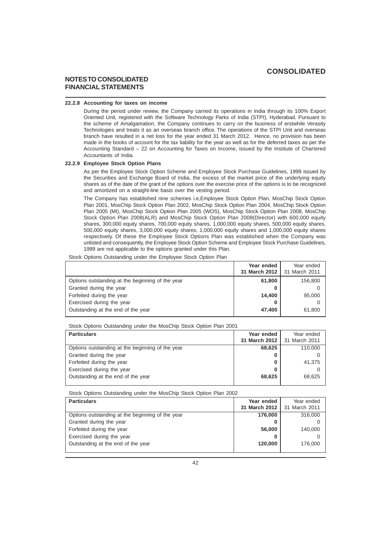## **NOTES TO CONSOLIDATED FINANCIAL STATEMENTS**

### **22.2.8 Accounting for taxes on income**

During the period under review, the Company carried its operations in India through its 100% Export Oriented Unit, registered with the Software Technology Parks of India (STPI), Hyderabad. Pursuant to the scheme of Amalgamation, the Company continues to carry on the business of erstwhile Verasity Technologies and treats it as an overseas branch office. The operations of the STPI Unit and overseas branch have resulted in a net loss for the year ended 31 March 2012. Hence, no provision has been made in the books of account for the tax liability for the year as well as for the deferred taxes as per the Accounting Standard – 22 on Accounting for Taxes on Income, issued by the Institute of Chartered Accountants of India.

#### **22.2.9 Employee Stock Option Plans**

As per the Employee Stock Option Scheme and Employee Stock Purchase Guidelines, 1999 issued by the Securities and Exchange Board of India, the excess of the market price of the underlying equity shares as of the date of the grant of the options over the exercise price of the options is to be recognized and amortized on a straight-line basis over the vesting period.

The Company has established nine schemes i.e,Employee Stock Option Plan, MosChip Stock Option Plan 2001, MosChip Stock Option Plan 2002, MosChip Stock Option Plan 2004, MosChip Stock Option Plan 2005 (MI), MosChip Stock Option Plan 2005 (WOS), MosChip Stock Option Plan 2008, MosChip Stock Option Plan 2008(ALR) and MosChip Stock Option Plan 2008(Director) with 600,000 equity shares, 300,000 equity shares, 700,000 equity shares, 1,000,000 equity shares, 500,000 equity shares, 500,000 equity shares, 3,000,000 equity shares, 1,000,000 equity shares and 1,000,000 equity shares respectively. Of these the Employee Stock Options Plan was established when the Company was unlisted and consequently, the Employee Stock Option Scheme and Employee Stock Purchase Guidelines, 1999 are not applicable to the options granted under this Plan.

Stock Options Outstanding under the Employee Stock Option Plan

|                                                  | Year ended<br>31 March 2012 | Year ended<br>31 March 2011 |
|--------------------------------------------------|-----------------------------|-----------------------------|
| Options outstanding at the beginning of the year | 61,800                      | 156,800                     |
| Granted during the year                          |                             |                             |
| Forfeited during the year                        | 14,400                      | 95,000                      |
| Exercised during the year                        |                             |                             |
| Outstanding at the end of the year               | 47,400                      | 61,800                      |

Stock Options Outstanding under the MosChip Stock Option Plan 2001

| Year ended                    | Year ended |
|-------------------------------|------------|
| 31 March 2012   31 March 2011 |            |
| 68.625                        | 110,000    |
|                               |            |
| 0                             | 41,375     |
|                               |            |
| 68.625                        | 68.625     |
|                               |            |

Stock Options Outstanding under the MosChip Stock Option Plan 2002

| <b>Particulars</b>                               | Year ended    | Year ended    |
|--------------------------------------------------|---------------|---------------|
|                                                  | 31 March 2012 | 31 March 2011 |
| Options outstanding at the beginning of the year | 176,000       | 316,000       |
| Granted during the year                          |               |               |
| Forfeited during the year                        | 56,000        | 140.000       |
| Exercised during the year                        |               |               |
| Outstanding at the end of the year               | 120,000       | 176,000       |
|                                                  |               |               |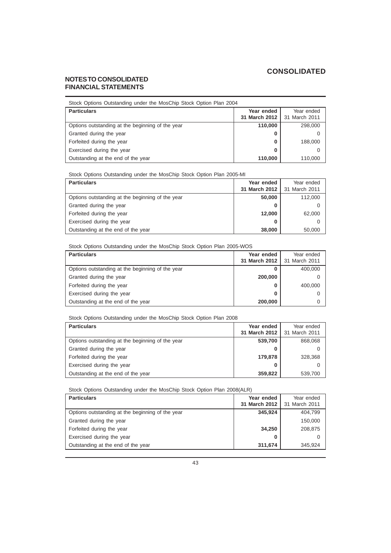## **NOTES TO CONSOLIDATED FINANCIAL STATEMENTS**

| Stock Options Outstanding under the MosChip Stock Option Plan 2004 |                             |                             |
|--------------------------------------------------------------------|-----------------------------|-----------------------------|
| <b>Particulars</b>                                                 | Year ended<br>31 March 2012 | Year ended<br>31 March 2011 |
| Options outstanding at the beginning of the year                   | 110,000                     | 298,000                     |
| Granted during the year                                            | 0                           | 0                           |
| Forfeited during the year                                          | 0                           | 188,000                     |
| Exercised during the year                                          | 0                           | 0                           |
| Outstanding at the end of the year                                 | 110,000                     | 110,000                     |

Stock Options Outstanding under the MosChip Stock Option Plan 2005-MI

| <b>Particulars</b>                               | Year ended<br>31 March 2012 | Year ended<br>31 March 2011 |
|--------------------------------------------------|-----------------------------|-----------------------------|
| Options outstanding at the beginning of the year | 50,000                      | 112,000                     |
| Granted during the year                          | O                           |                             |
| Forfeited during the year                        | 12.000                      | 62,000                      |
| Exercised during the year                        | O                           |                             |
| Outstanding at the end of the year               | 38,000                      | 50,000                      |

Stock Options Outstanding under the MosChip Stock Option Plan 2005-WOS

| <b>Particulars</b>                               | Year ended    | Year ended    |
|--------------------------------------------------|---------------|---------------|
|                                                  | 31 March 2012 | 31 March 2011 |
| Options outstanding at the beginning of the year | O             | 400,000       |
| Granted during the year                          | 200,000       |               |
| Forfeited during the year                        |               | 400,000       |
| Exercised during the year                        |               |               |
| Outstanding at the end of the year               | 200,000       |               |

Stock Options Outstanding under the MosChip Stock Option Plan 2008

| <b>Particulars</b>                               | Year ended<br>31 March 2012 | Year ended<br>31 March 2011 |
|--------------------------------------------------|-----------------------------|-----------------------------|
| Options outstanding at the beginning of the year | 539,700                     | 868,068                     |
| Granted during the year                          | o                           |                             |
| Forfeited during the year                        | 179,878                     | 328,368                     |
| Exercised during the year                        | o                           |                             |
| Outstanding at the end of the year               | 359,822                     | 539.700                     |

Stock Options Outstanding under the MosChip Stock Option Plan 2008(ALR)

| <b>Particulars</b>                               | Year ended<br>31 March 2012 | Year ended<br>31 March 2011 |
|--------------------------------------------------|-----------------------------|-----------------------------|
| Options outstanding at the beginning of the year | 345.924                     | 404,799                     |
| Granted during the year                          |                             | 150,000                     |
| Forfeited during the year                        | 34.250                      | 208,875                     |
| Exercised during the year                        | 0                           |                             |
| Outstanding at the end of the year               | 311,674                     | 345,924                     |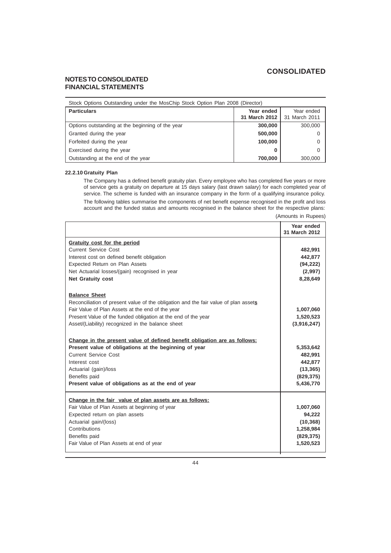(Amounts in Rupees)

## **NOTES TO CONSOLIDATED FINANCIAL STATEMENTS**

| Stock Options Outstanding under the MosChip Stock Option Plan 2008 (Director) |                             |                             |
|-------------------------------------------------------------------------------|-----------------------------|-----------------------------|
| <b>Particulars</b>                                                            | Year ended<br>31 March 2012 | Year ended<br>31 March 2011 |
| Options outstanding at the beginning of the year                              | 300,000                     | 300,000                     |
| Granted during the year                                                       | 500,000                     |                             |
| Forfeited during the year                                                     | 100,000                     |                             |
| Exercised during the year                                                     | o                           |                             |
| Outstanding at the end of the year                                            | 700,000                     | 300,000                     |

### **22.2.10 Gratuity Plan**

The Company has a defined benefit gratuity plan. Every employee who has completed five years or more of service gets a gratuity on departure at 15 days salary (last drawn salary) for each completed year of service. The scheme is funded with an insurance company in the form of a qualifying insurance policy. The following tables summarise the components of net benefit expense recognised in the profit and loss account and the funded status and amounts recognised in the balance sheet for the respective plans:

|                                                                                     | Year ended<br>31 March 2012 |
|-------------------------------------------------------------------------------------|-----------------------------|
| Gratuity cost for the period                                                        |                             |
| <b>Current Service Cost</b>                                                         | 482,991                     |
| Interest cost on defined benefit obligation                                         | 442,877                     |
| Expected Return on Plan Assets                                                      | (94, 222)                   |
| Net Actuarial losses/(gain) recognised in year                                      | (2,997)                     |
| <b>Net Gratuity cost</b>                                                            | 8,28,649                    |
| <b>Balance Sheet</b>                                                                |                             |
| Reconciliation of present value of the obligation and the fair value of plan assets |                             |
| Fair Value of Plan Assets at the end of the year                                    | 1,007,060                   |
| Present Value of the funded obligation at the end of the year                       | 1,520,523                   |
| Asset/(Liability) recognized in the balance sheet                                   | (3,916,247)                 |
| Change in the present value of defined benefit obligation are as follows:           |                             |
| Present value of obligations at the beginning of year                               | 5,353,642                   |
| <b>Current Service Cost</b>                                                         | 482,991                     |
| Interest cost                                                                       | 442,877                     |
| Actuarial (gain)/loss                                                               | (13, 365)                   |
| Benefits paid                                                                       | (829, 375)                  |
| Present value of obligations as at the end of year                                  | 5,436,770                   |
| Change in the fair value of plan assets are as follows:                             |                             |
| Fair Value of Plan Assets at beginning of year                                      | 1,007,060                   |
| Expected return on plan assets                                                      | 94,222                      |
| Actuarial gain/(loss)                                                               | (10, 368)                   |
| Contributions                                                                       | 1,258,984                   |
| Benefits paid                                                                       | (829, 375)                  |
| Fair Value of Plan Assets at end of year                                            | 1,520,523                   |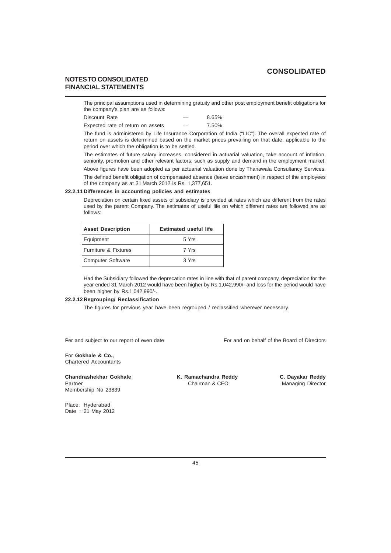## **NOTES TO CONSOLIDATED FINANCIAL STATEMENTS**

The principal assumptions used in determining gratuity and other post employment benefit obligations for the company's plan are as follows:

| Discount Rate                     |                          | 8.65% |
|-----------------------------------|--------------------------|-------|
| Expected rate of return on assets | $\overline{\phantom{a}}$ | 7.50% |

The fund is administered by Life Insurance Corporation of India ("LIC"). The overall expected rate of return on assets is determined based on the market prices prevailing on that date, applicable to the period over which the obligation is to be settled.

The estimates of future salary increases, considered in actuarial valuation, take account of inflation, seniority, promotion and other relevant factors, such as supply and demand in the employment market.

Above figures have been adopted as per actuarial valuation done by Thanawala Consultancy Services.

The defined benefit obligation of compensated absence (leave encashment) in respect of the employees of the company as at 31 March 2012 is Rs. 1,377,651.

### **22.2.11 Differences in accounting policies and estimates**

Depreciation on certain fixed assets of subsidiary is provided at rates which are different from the rates used by the parent Company. The estimates of useful life on which different rates are followed are as follows:

| <b>Asset Description</b> | <b>Estimated useful life</b> |
|--------------------------|------------------------------|
| Equipment                | 5 Yrs                        |
| Furniture & Fixtures     | 7 Yrs                        |
| <b>Computer Software</b> | 3 Yrs                        |

Had the Subsidiary followed the deprecation rates in line with that of parent company, depreciation for the year ended 31 March 2012 would have been higher by Rs.1,042,990/- and loss for the period would have been higher by Rs.1,042,990/-.

### **22.2.12 Regrouping/ Reclassification**

The figures for previous year have been regrouped / reclassified wherever necessary.

Per and subject to our report of even date For and on behalf of the Board of Directors

# For **Gokhale & Co.,**

Chartered Accountants

# **Chandrashekhar Gokhale K. Ramachandra Reddy C. Dayakar Reddy**<br>Partner **C. Dayakar Reddy** Chairman & CEO **Managing Director** Membership No 23839

Managing Director

Place: Hyderabad Date : 21 May 2012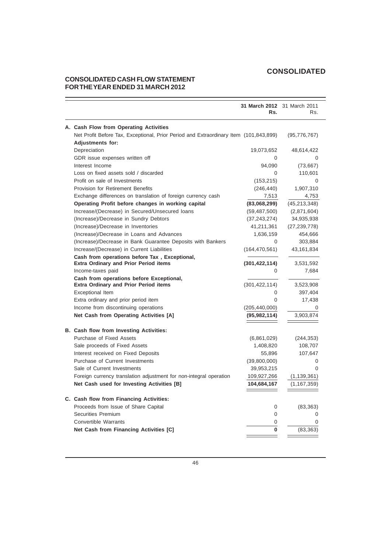# **CONSOLIDATED CASH FLOW STATEMENT FOR THE YEAR ENDED 31 MARCH 2012**

|                                                                                       | Rs.             | 31 March 2012 31 March 2011<br>Rs. |
|---------------------------------------------------------------------------------------|-----------------|------------------------------------|
| A. Cash Flow from Operating Activities                                                |                 |                                    |
| Net Profit Before Tax, Exceptional, Prior Period and Extraordinary Item (101,843,899) |                 | (95, 776, 767)                     |
| <b>Adjustments for:</b>                                                               |                 |                                    |
| Depreciation                                                                          | 19,073,652      | 48,614,422                         |
| GDR issue expenses written off                                                        | 0               | 0                                  |
| Interest Income                                                                       | 94,090          | (73, 667)                          |
| Loss on fixed assets sold / discarded                                                 | 0               | 110,601                            |
| Profit on sale of Investments                                                         | (153, 215)      | $\Omega$                           |
| <b>Provision for Retirement Benefits</b>                                              | (246, 440)      | 1,907,310                          |
| Exchange differences on translation of foreign currency cash                          | 7,513           | 4,753                              |
| Operating Profit before changes in working capital                                    | (83,068,299)    | (45, 213, 348)                     |
| Increase/(Decrease) in Secured/Unsecured loans                                        | (59, 487, 500)  | (2,871,604)                        |
| (Increase)/Decrease in Sundry Debtors                                                 | (37, 243, 274)  | 34,935,938                         |
| (Increase)/Decrease in Inventories                                                    | 41,211,361      | (27, 239, 778)                     |
| (Increase)/Decrease in Loans and Advances                                             | 1,636,159       | 454,666                            |
| (Increase)/Decrease in Bank Guarantee Deposits with Bankers                           | $\Omega$        | 303,884                            |
| Increase/(Decrease) in Current Liabilities                                            | (164, 470, 561) | 43,161,834                         |
| Cash from operations before Tax, Exceptional,                                         |                 |                                    |
| <b>Extra Ordinary and Prior Period items</b>                                          | (301, 422, 114) | 3,531,592                          |
| Income-taxes paid                                                                     | 0               | 7,684                              |
| Cash from operations before Exceptional,                                              |                 |                                    |
| <b>Extra Ordinary and Prior Period items</b>                                          | (301, 422, 114) | 3,523,908                          |
| Exceptional Item                                                                      | 0               | 397,404                            |
| Extra ordinary and prior period item                                                  | $\overline{0}$  | 17,438                             |
| Income from discontinuing operations                                                  | (205, 440, 000) | 0                                  |
| Net Cash from Operating Activities [A]                                                | (95, 982, 114)  | 3,903,874                          |
| B. Cash flow from Investing Activities:                                               |                 |                                    |
| Purchase of Fixed Assets                                                              | (6,861,029)     | (244, 353)                         |
| Sale proceeds of Fixed Assets                                                         | 1,408,820       | 108,707                            |
| Interest received on Fixed Deposits                                                   | 55,896          | 107,647                            |
| Purchase of Current Investments                                                       | (39,800,000)    | 0                                  |
| Sale of Current Investments                                                           | 39,953,215      | $\overline{0}$                     |
| Foreign currency translation adjustment for non-integral operation                    | 109,927,266     | (1, 139, 361)                      |
| Net Cash used for Investing Activities [B]                                            | 104,684,167     | (1, 167, 359)                      |
| C. Cash flow from Financing Activities:                                               |                 |                                    |
| Proceeds from Issue of Share Capital                                                  | 0               | (83, 363)                          |
| Securities Premium                                                                    | $\overline{0}$  | 0                                  |
| Convertible Warrants                                                                  | 0               | ∩                                  |
| Net Cash from Financing Activities [C]                                                | $\bf{0}$        | (83, 363)                          |
|                                                                                       |                 |                                    |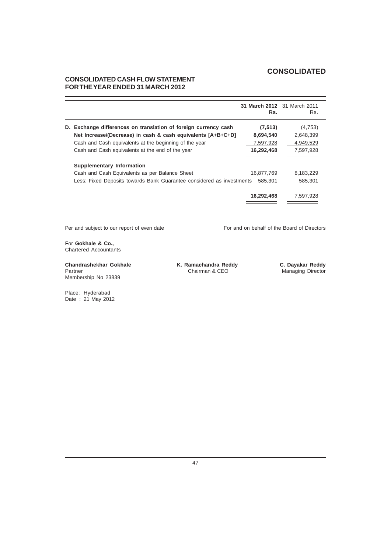# **CONSOLIDATED CASH FLOW STATEMENT FOR THE YEAR ENDED 31 MARCH 2012**

|                                                                       | 31 March 2012 31 March 2011<br>Rs. | Rs.       |
|-----------------------------------------------------------------------|------------------------------------|-----------|
| D. Exchange differences on translation of foreign currency cash       | (7, 513)                           | (4,753)   |
| Net Increase/(Decrease) in cash & cash equivalents [A+B+C+D]          | 8,694,540                          | 2,648,399 |
| Cash and Cash equivalents at the beginning of the year                | 7,597,928                          | 4,949,529 |
| Cash and Cash equivalents at the end of the year                      | 16,292,468                         | 7,597,928 |
| <b>Supplementary Information</b>                                      |                                    |           |
| Cash and Cash Equivalents as per Balance Sheet                        | 16.877.769                         | 8,183,229 |
| Less: Fixed Deposits towards Bank Guarantee considered as investments | 585.301                            | 585,301   |
|                                                                       | 16,292,468                         | 7,597,928 |

Per and subject to our report of even date For and on behalf of the Board of Directors

For **Gokhale & Co.,** Chartered Accountants

**Chandrashekhar Gokhale K. Ramachandra Reddy C. Dayakar Reddy** Membership No 23839

Managing Director

Place: Hyderabad Date : 21 May 2012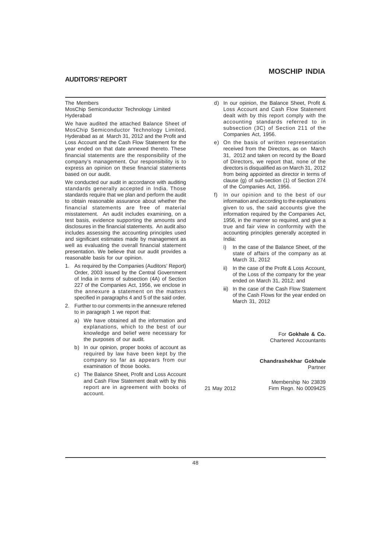### **AUDITORS' REPORT**

#### The Members

MosChip Semiconductor Technology Limited Hyderabad

We have audited the attached Balance Sheet of MosChip Semiconductor Technology Limited, Hyderabad as at March 31, 2012 and the Profit and Loss Account and the Cash Flow Statement for the year ended on that date annexed thereto. These financial statements are the responsibility of the company's management. Our responsibility is to express an opinion on these financial statements based on our audit.

We conducted our audit in accordance with auditing standards generally accepted in India. Those standards require that we plan and perform the audit to obtain reasonable assurance about whether the financial statements are free of material misstatement. An audit includes examining, on a test basis, evidence supporting the amounts and disclosures in the financial statements. An audit also includes assessing the accounting principles used and significant estimates made by management as well as evaluating the overall financial statement presentation. We believe that our audit provides a reasonable basis for our opinion.

- 1. As required by the Companies (Auditors' Report) Order, 2003 issued by the Central Government of India in terms of subsection (4A) of Section 227 of the Companies Act, 1956, we enclose in the annexure a statement on the matters specified in paragraphs 4 and 5 of the said order.
- 2. Further to our comments in the annexure referred to in paragraph 1 we report that:
	- a) We have obtained all the information and explanations, which to the best of our knowledge and belief were necessary for the purposes of our audit.
	- b) In our opinion, proper books of account as required by law have been kept by the company so far as appears from our examination of those books.
	- c) The Balance Sheet, Profit and Loss Account and Cash Flow Statement dealt with by this report are in agreement with books of account.
- d) In our opinion, the Balance Sheet, Profit & Loss Account and Cash Flow Statement dealt with by this report comply with the accounting standards referred to in subsection (3C) of Section 211 of the
- e) On the basis of written representation received from the Directors, as on March 31, 2012 and taken on record by the Board of Directors, we report that, none of the directors is disqualified as on March 31, 2012 from being appointed as director in terms of clause (g) of sub-section (1) of Section 274 of the Companies Act, 1956.

Companies Act, 1956.

- In our opinion and to the best of our information and according to the explanations given to us, the said accounts give the information required by the Companies Act, 1956, in the manner so required, and give a true and fair view in conformity with the accounting principles generally accepted in India:
	- i) In the case of the Balance Sheet, of the state of affairs of the company as at March 31, 2012
	- ii) In the case of the Profit & Loss Account, of the Loss of the company for the year ended on March 31, 2012; and
	- iii) In the case of the Cash Flow Statement of the Cash Flows for the year ended on March 31, 2012

For **Gokhale & Co.** Chartered Accountants

**Chandrashekhar Gokhale** Partner

Membership No 23839 21 May 2012 Firm Regn. No 000942S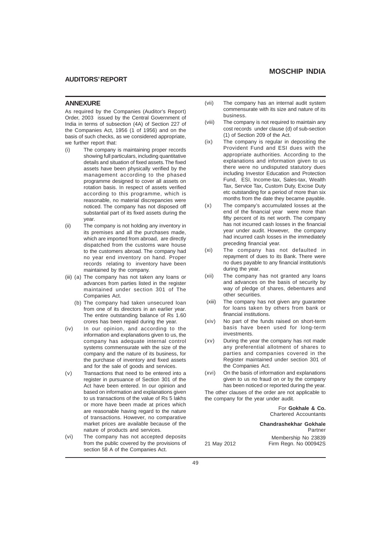### **AUDITORS' REPORT**

### **ANNEXURE**

As required by the Companies (Auditor's Report) Order, 2003 issued by the Central Government of India in terms of subsection (4A) of Section 227 of the Companies Act, 1956 (1 of 1956) and on the basis of such checks, as we considered appropriate, we further report that:

- (i) The company is maintaining proper records showing full particulars, including quantitative details and situation of fixed assets. The fixed assets have been physically verified by the management according to the phased programme designed to cover all assets on rotation basis. In respect of assets verified according to this programme, which is reasonable, no material discrepancies were noticed. The company has not disposed off substantial part of its fixed assets during the year.
- (ii) The company is not holding any inventory in its premises and all the purchases made, which are imported from abroad, are directly dispatched from the customs ware house to the customers abroad. The company had no year end inventory on hand. Proper records relating to inventory have been maintained by the company.
- (iii) (a) The company has not taken any loans or advances from parties listed in the register maintained under section 301 of The Companies Act.
	- (b) The company had taken unsecured loan from one of its directors in an earlier year. The entire outstanding balance of Rs 1.60 crores has been repaid during the year.
- (iv) In our opinion, and according to the information and explanations given to us, the company has adequate internal control systems commensurate with the size of the company and the nature of its business, for the purchase of inventory and fixed assets and for the sale of goods and services.
- (v) Transactions that need to be entered into a register in pursuance of Section 301 of the Act have been entered. In our opinion and based on information and explanations given to us transactions of the value of Rs 5 lakhs or more have been made at prices which are reasonable having regard to the nature of transactions. However, no comparative market prices are available because of the nature of products and services.
- (vi) The company has not accepted deposits from the public covered by the provisions of section 58 A of the Companies Act.
- (vii) The company has an internal audit system commensurate with its size and nature of its business.
- (viii) The company is not required to maintain any cost records under clause (d) of sub-section (1) of Section 209 of the Act.
- (ix) The company is regular in depositing the Provident Fund and ESI dues with the appropriate authorities. According to the explanations and information given to us there were no undisputed statutory dues including Investor Education and Protection Fund, ESI, Income-tax, Sales-tax, Wealth Tax, Service Tax, Custom Duty, Excise Duty etc outstanding for a period of more than six months from the date they became payable.
- (x) The company's accumulated losses at the end of the financial year were more than fifty percent of its net worth. The company has not incurred cash losses in the financial year under audit. However, the company had incurred cash losses in the immediately preceding financial year.
- (xi) The company has not defaulted in repayment of dues to its Bank. There were no dues payable to any financial institution/s during the year.
- (xii) The company has not granted any loans and advances on the basis of security by way of pledge of shares, debentures and other securities.
- (xiii) The company has not given any guarantee for loans taken by others from bank or financial institutions.
- (xiv) No part of the funds raised on short-term basis have been used for long-term investments.
- (xv) During the year the company has not made any preferential allotment of shares to parties and companies covered in the Register maintained under section 301 of the Companies Act.
- (xvi) On the basis of information and explanations given to us no fraud on or by the company has been noticed or reported during the year.

The other clauses of the order are not applicable to the company for the year under audit.

> For **Gokhale & Co.** Chartered Accountants

**Chandrashekhar Gokhale** Partner Membership No 23839 21 May 2012 Firm Regn. No 000942S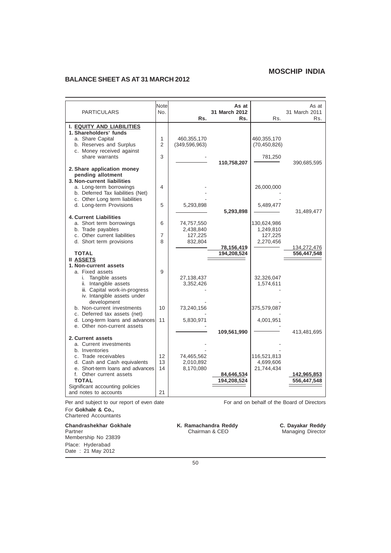## **BALANCE SHEET AS AT 31 MARCH 2012**

| <b>PARTICULARS</b>                                                                                                                                              | Note<br>No.    | Rs.                                           | As at<br>31 March 2012<br>Rs. | Rs.                                              | As at<br>31 March 2011<br>Rs. |
|-----------------------------------------------------------------------------------------------------------------------------------------------------------------|----------------|-----------------------------------------------|-------------------------------|--------------------------------------------------|-------------------------------|
| <b>I. EQUITY AND LIABILITIES</b><br>1. Shareholders' funds<br>a. Share Capital<br>b. Reserves and Surplus<br>c. Money received against<br>share warrants        | 1<br>2<br>3    | 460,355,170<br>(349, 596, 963)                |                               | 460,355,170<br>(70, 450, 826)<br>781,250         |                               |
| 2. Share application money<br>pending allotment<br>3. Non-current liabilities<br>a. Long-term borrowings                                                        | 4              |                                               | 110,758,207                   | 26,000,000                                       | 390,685,595                   |
| b. Deferred Tax liabilities (Net)<br>c. Other Long term liabilities<br>d. Long-term Provisions<br><b>4. Current Liabilities</b>                                 | 5              | 5,293,898                                     | 5,293,898                     | 5,489,477                                        | 31,489,477                    |
| a. Short term borrowings<br>b. Trade payables<br>c. Other current liabilities<br>d. Short term provisions                                                       | 6<br>7<br>8    | 74,757,550<br>2,438,840<br>127,225<br>832,804 | 78,156,419                    | 130,624,986<br>1,249,810<br>127,225<br>2,270,456 | 134,272,476                   |
| <b>TOTAL</b><br><b>II ASSETS</b><br>1. Non-current assets<br>a. Fixed assets<br>i. Tangible assets                                                              | 9              | 27,138,437                                    | 194,208,524                   | 32,326,047                                       | 556,447,548                   |
| ii. Intangible assets<br>iii. Capital work-in-progress<br>iv. Intangible assets under<br>development<br>b. Non-current investments                              | 10             | 3,352,426<br>73,240,156                       |                               | 1,574,611<br>375,579,087                         |                               |
| c. Deferred tax assets (net)<br>d. Long-term loans and advances<br>e. Other non-current assets<br>2. Current assets                                             | 11             | 5,830,971                                     | 109,561,990                   | 4,001,951                                        | 413,481,695                   |
| a. Current investments<br>b. Inventories<br>c. Trade receivables<br>d. Cash and Cash equivalents<br>e. Short-term loans and advances<br>f. Other current assets | 12<br>13<br>14 | 74,465,562<br>2,010,892<br>8,170,080          | 84,646,534                    | 116,521,813<br>4,699,606<br>21,744,434           | 142,965,853                   |
| <b>TOTAL</b><br>Significant accounting policies<br>and notes to accounts                                                                                        | 21             |                                               | 194,208,524                   |                                                  | 556,447,548                   |

Per and subject to our report of even date For and on behalf of the Board of Directors For **Gokhale & Co.,** Chartered Accountants

Membership No 23839 Place: Hyderabad Date : 21 May 2012

**Chandrashekhar Gokhale K. Ramachandra Reddy C. Dayakar Reddy Partner C. Dayakar Reddy Partner C. Dayakar Reddy Partner C. Dayakar Reddy Partner C. Dayakar Reddy Chairman & CEO Managing Director** K. Ramachandra Reddy<br>Chairman & CEO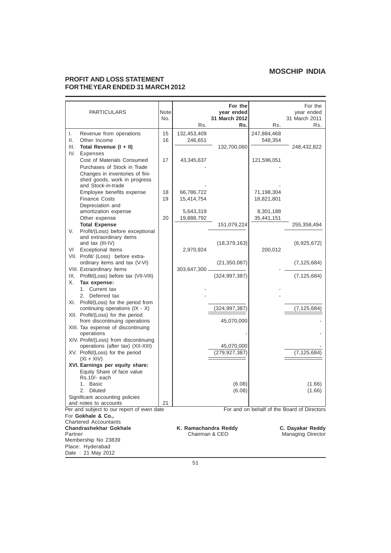## **PROFIT AND LOSS STATEMENT FOR THE YEAR ENDED 31 MARCH 2012**

|         | <b>PARTICULARS</b>                                                  | Note<br>No. | Rs.                  | For the<br>year ended<br>31 March 2012<br>Rs. | Rs.         | For the<br>year ended<br>31 March 2011<br>Rs. |
|---------|---------------------------------------------------------------------|-------------|----------------------|-----------------------------------------------|-------------|-----------------------------------------------|
| I.      | Revenue from operations                                             | 15          | 132,453,409          |                                               | 247,884,468 |                                               |
| ΙΙ.     | Other Income                                                        | 16          | 246,651              |                                               | 548,354     |                                               |
| III.    | Total Revenue (I + II)                                              |             |                      | 132,700,060                                   |             | 248,432,822                                   |
| IV.     | Expenses                                                            |             |                      |                                               |             |                                               |
|         | Cost of Materials Consumed<br>Purchases of Stock in Trade           | 17          | 43,345,637           |                                               | 121,596,051 |                                               |
|         | Changes in inventories of fini-                                     |             |                      |                                               |             |                                               |
|         | shed goods, work in progress                                        |             |                      |                                               |             |                                               |
|         | and Stock-in-trade                                                  |             |                      |                                               |             |                                               |
|         | Employee benefits expense                                           | 18          | 66,786,722           |                                               | 71,198,304  |                                               |
|         | <b>Finance Costs</b>                                                | 19          | 15,414,754           |                                               | 18,821,801  |                                               |
|         | Depreciation and<br>amortization expense                            |             | 5,643,319            |                                               | 8,301,188   |                                               |
|         | Other expense                                                       | 20          | 19,888,792           |                                               | 35,441,151  |                                               |
|         | <b>Total Expense</b>                                                |             |                      | 151,079,224                                   |             | 255,358,494                                   |
| V.      | Profit/(Loss) before exceptional                                    |             |                      |                                               |             |                                               |
|         | and extraordinary items<br>and tax (III-IV)                         |             |                      | (18, 379, 163)                                |             | (6,925,672)                                   |
| VI      | <b>Exceptional Items</b>                                            |             | 2,970,924            |                                               | 200,012     |                                               |
|         | VII. Profit/ (Loss) before extra-                                   |             |                      |                                               |             |                                               |
|         | ordinary items and tax (V-VI)                                       |             |                      | (21, 350, 087)                                |             | (7, 125, 684)                                 |
|         | VIII. Extraordinary items                                           |             | 303,647,300.         |                                               |             |                                               |
|         | IX. Profit/(Loss) before tax (VII-VIII)                             |             |                      | (324, 997, 387)                               |             | (7, 125, 684)                                 |
| Х.      | Tax expense:<br>1. Current tax                                      |             |                      |                                               |             |                                               |
|         | 2. Deferred tax                                                     |             |                      |                                               |             |                                               |
|         | XI. Profit/(Loss) for the period from                               |             |                      |                                               |             |                                               |
|         | continuing operations $(IX - X)$                                    |             |                      | (324, 997, 387)                               |             | (7, 125, 684)                                 |
|         | XII. Profit/(Loss) for the period                                   |             |                      |                                               |             |                                               |
|         | from discontinuing operations<br>XIII. Tax expense of discontinuing |             |                      | 45,070,000                                    |             |                                               |
|         | operations                                                          |             |                      |                                               |             |                                               |
|         | XIV. Profit/(Loss) from discontinuing                               |             |                      |                                               |             |                                               |
|         | operations (after tax) (XII-XIII)                                   |             |                      | 45,070,000                                    |             |                                               |
|         | XV. Profit/(Loss) for the period<br>$(XI + XIV)$                    |             |                      | (279, 927, 387)                               |             | (7, 125, 684)                                 |
|         | XVI. Earnings per equity share:                                     |             |                      |                                               |             |                                               |
|         | Equity Share of face value                                          |             |                      |                                               |             |                                               |
|         | Rs.10/- each                                                        |             |                      |                                               |             |                                               |
|         | 1.<br><b>Basic</b><br>2. Diluted                                    |             |                      | (6.08)                                        |             | (1.66)                                        |
|         | Significant accounting policies                                     |             |                      | (6.08)                                        |             | (1.66)                                        |
|         | and notes to accounts                                               | 21          |                      |                                               |             |                                               |
|         | Per and subject to our report of even date                          |             |                      |                                               |             | For and on behalf of the Board of Directors   |
|         | For Gokhale & Co.,                                                  |             |                      |                                               |             |                                               |
|         | <b>Chartered Accountants</b><br><b>Chandrashekhar Gokhale</b>       |             | K. Ramachandra Reddy |                                               |             | C. Dayakar Reddy                              |
| Partner |                                                                     |             |                      | Chairman & CEO                                |             | <b>Managing Director</b>                      |
|         | Membership No 23839                                                 |             |                      |                                               |             |                                               |
|         | Place: Hyderabad                                                    |             |                      |                                               |             |                                               |
|         | Date: 21 May 2012                                                   |             |                      |                                               |             |                                               |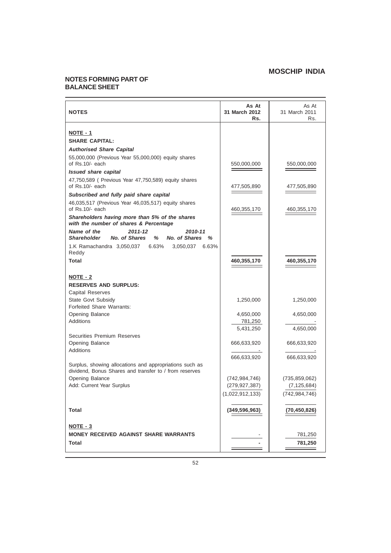## **NOTES FORMING PART OF BALANCE SHEET**

| <b>NOTES</b>                                                                                            | As At<br>31 March 2012<br>Rs. | As At<br>31 March 2011<br>Rs. |
|---------------------------------------------------------------------------------------------------------|-------------------------------|-------------------------------|
| NOTE - 1                                                                                                |                               |                               |
| <b>SHARE CAPITAL:</b>                                                                                   |                               |                               |
| <b>Authorised Share Capital</b>                                                                         |                               |                               |
| 55,000,000 (Previous Year 55,000,000) equity shares                                                     |                               |                               |
| of Rs.10/- each                                                                                         | 550,000,000                   | 550,000,000                   |
| <b>Issued share capital</b>                                                                             |                               |                               |
| 47,750,589 ( Previous Year 47,750,589) equity shares<br>of Rs.10/- each                                 | 477,505,890                   | 477,505,890                   |
| Subscribed and fully paid share capital                                                                 |                               |                               |
| 46,035,517 (Previous Year 46,035,517) equity shares<br>of Rs.10/- each                                  | 460,355,170                   | 460,355,170                   |
| Shareholders having more than 5% of the shares<br>with the number of shares & Percentage                |                               |                               |
| Name of the<br>$2011 - 12$<br>2010-11<br>No. of Shares<br>%<br>No. of Shares<br><b>Shareholder</b><br>% |                               |                               |
| 1.K Ramachandra 3,050,037 6.63%<br>3,050,037 6.63%<br>Reddy                                             |                               |                               |
| <b>Total</b>                                                                                            | 460,355,170                   | 460,355,170                   |
| NOTE - 2                                                                                                |                               |                               |
| <b>RESERVES AND SURPLUS:</b>                                                                            |                               |                               |
| <b>Capital Reserves</b>                                                                                 |                               |                               |
| State Govt Subsidy                                                                                      | 1,250,000                     | 1,250,000                     |
| Forfeited Share Warrants:                                                                               |                               |                               |
| Opening Balance                                                                                         | 4,650,000                     | 4,650,000                     |
| <b>Additions</b>                                                                                        | 781,250                       |                               |
| <b>Securities Premium Reserves</b>                                                                      | 5,431,250                     | 4,650,000                     |
| Opening Balance                                                                                         | 666,633,920                   | 666,633,920                   |
| <b>Additions</b>                                                                                        |                               |                               |
|                                                                                                         | 666,633,920                   | 666,633,920                   |
| Surplus, showing allocations and appropriations such as                                                 |                               |                               |
| dividend, Bonus Shares and transfer to / from reserves                                                  |                               |                               |
| Opening Balance<br>Add: Current Year Surplus                                                            | (742, 984, 746)               | (735, 859, 062)               |
|                                                                                                         | (279, 927, 387)               | (7, 125, 684)                 |
|                                                                                                         | (1,022,912,133)               | (742, 984, 746)               |
| <b>Total</b>                                                                                            | (349, 596, 963)               | (70,450,826                   |
| $NOTE - 3$                                                                                              |                               |                               |
| <b>MONEY RECEIVED AGAINST SHARE WARRANTS</b>                                                            |                               | 781,250                       |
| <b>Total</b>                                                                                            |                               | 781,250                       |
|                                                                                                         |                               |                               |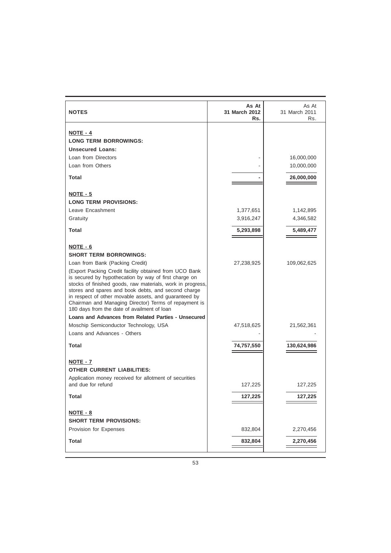| <b>NOTES</b>                                                                                                                                                                                                                                                                                                                                                                                          | As At<br>31 March 2012<br>Rs. | As At<br>31 March 2011<br>Rs. |
|-------------------------------------------------------------------------------------------------------------------------------------------------------------------------------------------------------------------------------------------------------------------------------------------------------------------------------------------------------------------------------------------------------|-------------------------------|-------------------------------|
|                                                                                                                                                                                                                                                                                                                                                                                                       |                               |                               |
| NOTE - 4<br><b>LONG TERM BORROWINGS:</b>                                                                                                                                                                                                                                                                                                                                                              |                               |                               |
| <b>Unsecured Loans:</b>                                                                                                                                                                                                                                                                                                                                                                               |                               |                               |
| Loan from Directors                                                                                                                                                                                                                                                                                                                                                                                   |                               | 16,000,000                    |
| Loan from Others                                                                                                                                                                                                                                                                                                                                                                                      |                               | 10,000,000                    |
|                                                                                                                                                                                                                                                                                                                                                                                                       |                               |                               |
| <b>Total</b>                                                                                                                                                                                                                                                                                                                                                                                          |                               | 26,000,000                    |
| NOTE - 5                                                                                                                                                                                                                                                                                                                                                                                              |                               |                               |
| <b>LONG TERM PROVISIONS:</b>                                                                                                                                                                                                                                                                                                                                                                          |                               |                               |
| Leave Encashment                                                                                                                                                                                                                                                                                                                                                                                      | 1,377,651                     | 1,142,895                     |
| Gratuity                                                                                                                                                                                                                                                                                                                                                                                              | 3,916,247                     | 4,346,582                     |
| <b>Total</b>                                                                                                                                                                                                                                                                                                                                                                                          | 5,293,898                     | 5,489,477                     |
| NOTE - 6                                                                                                                                                                                                                                                                                                                                                                                              |                               |                               |
| <b>SHORT TERM BORROWINGS:</b>                                                                                                                                                                                                                                                                                                                                                                         |                               |                               |
| Loan from Bank (Packing Credit)                                                                                                                                                                                                                                                                                                                                                                       | 27,238,925                    | 109,062,625                   |
| (Export Packing Credit facility obtained from UCO Bank<br>is secured by hypothecation by way of first charge on<br>stocks of finished goods, raw materials, work in progress,<br>stores and spares and book debts, and second charge<br>in respect of other movable assets, and guaranteed by<br>Chairman and Managing Director) Terms of repayment is<br>180 days from the date of availment of loan |                               |                               |
| Loans and Advances from Related Parties - Unsecured                                                                                                                                                                                                                                                                                                                                                   |                               |                               |
| Moschip Semiconductor Technology, USA                                                                                                                                                                                                                                                                                                                                                                 | 47,518,625                    | 21,562,361                    |
| Loans and Advances - Others                                                                                                                                                                                                                                                                                                                                                                           |                               |                               |
| <b>Total</b>                                                                                                                                                                                                                                                                                                                                                                                          | 74,757,550                    | 130,624,986                   |
| NOTE - 7                                                                                                                                                                                                                                                                                                                                                                                              |                               |                               |
| <b>OTHER CURRENT LIABILITIES:</b>                                                                                                                                                                                                                                                                                                                                                                     |                               |                               |
| Application money received for allotment of securities                                                                                                                                                                                                                                                                                                                                                |                               |                               |
| and due for refund                                                                                                                                                                                                                                                                                                                                                                                    | 127,225                       | 127,225                       |
| <b>Total</b>                                                                                                                                                                                                                                                                                                                                                                                          | 127,225                       | 127,225                       |
| NOTE - 8                                                                                                                                                                                                                                                                                                                                                                                              |                               |                               |
| <b>SHORT TERM PROVISIONS:</b>                                                                                                                                                                                                                                                                                                                                                                         |                               |                               |
| Provision for Expenses                                                                                                                                                                                                                                                                                                                                                                                | 832,804                       | 2,270,456                     |
| Total                                                                                                                                                                                                                                                                                                                                                                                                 | 832,804                       | 2,270,456                     |
|                                                                                                                                                                                                                                                                                                                                                                                                       |                               |                               |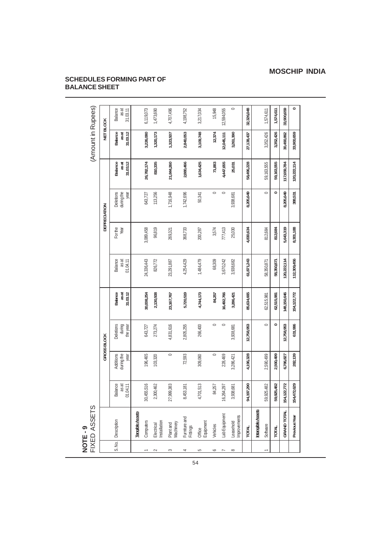# **SCHEDULES FORMING PART OF BALANCE SHEET**

|          | FIXED ASSETS<br>NOTE-9    |                                     |                                 |                                 |                              |                                     |                 |                                 |                              | (Amount in Rupees)                  |                                     |
|----------|---------------------------|-------------------------------------|---------------------------------|---------------------------------|------------------------------|-------------------------------------|-----------------|---------------------------------|------------------------------|-------------------------------------|-------------------------------------|
|          |                           |                                     |                                 | <b>GROSS BLOCK</b>              |                              |                                     |                 | DEPRECIATION                    |                              | <b>VET BLOCK</b>                    |                                     |
|          | S. No.   Description      | <b>Balance</b><br>as at<br>01.04.11 | Additions<br>during the<br>year | Deletions<br>during<br>the year | Balance<br>31.03.12<br>as at | <b>Balance</b><br>as at<br>01.04.11 | For the<br>Year | during the<br>Deletions<br>year | Balance<br>as at<br>31.03.12 | <b>Balance</b><br>31.03.12<br>as at | <b>Balance</b><br>as at<br>31.03.11 |
|          | <b>Tangible Assets</b>    |                                     |                                 |                                 |                              |                                     |                 |                                 |                              |                                     |                                     |
|          | Computers                 | 1,455,516<br>≈                      | 196,465                         | 643,727                         | 30,008,254                   | 24,336,443                          | 3,089,458       | 643,727                         | 26,782,174                   | 3,226,080                           | 6,119,073                           |
| $\sim$   | nstallation<br>Electrical | ,300,462<br>$\sim$                  | 103,320                         | 273,274                         | 2,130,508                    | 826,772                             | 96,819          | 113,256                         | 810,335                      | 1,320,173                           | 1,473,690                           |
| S        | Machinery<br>Plant and    | ,999,383<br>57                      | $\circ$                         | 4,831,616                       | 23,167,767                   | 23,291,887                          | 269,321         | 1,716,948                       | 21,844,260                   | 1,323,507                           | 4,707,496                           |
| 4        | Furniture and<br>Fittings | 453,181                             | 72,593                          | 2,805,255                       | 5,720,519                    | 4,254,429                           | 368,733         | 1,742,696                       | 2,880,466                    | 2,840,053                           | 4,198,752                           |
| S        | Office<br>Equipment       | 701,513                             | 309,060                         | 266,400                         | 4,744,173                    | 1,484,479                           | 200,287         | 50,341                          | 1,634,425                    | 3,109,748                           | 3,217,034                           |
| ∘        | Vehicles                  | 84,257                              | $\circ$                         | $\circ$                         | 84,257                       | 68,309                              | 3,574           | $\circ$                         | 71,883                       | 12,374                              | 15,948                              |
| T        | Lab Equipment             | ,264,297<br>$\approx$               | 228,469                         | $\circ$                         | 16,492,766                   | 3,670,242                           | 777,413         | $\circ$                         | 4,447,655                    | 12,045,111                          | 12,594,055                          |
| $\infty$ | Improvements<br>Leasehold | ,938,681                            | 3,286,421                       | 3,938,681                       | 3,286,421                    | 3,938,682                           | 25,030          | 3,938,681                       | 25,031                       | 3,261,390                           | $\circ$                             |
|          | TOTAL                     | ,197,290<br>ž                       | 4,196,328                       | 12,758,953                      | 85,634,665                   | 61,871,243                          | 4,830,634       | 8,205,649                       | 58,496,228                   | 27,138,437                          | 32,326,048                          |
|          | <b>Intangible Assets</b>  |                                     |                                 |                                 |                              |                                     |                 |                                 |                              |                                     |                                     |
| τ        | Software                  | 1,925,482<br>င္တ                    | 2,590,499                       | $\circ$                         | 62,515,981                   | 58,350,871                          | 812,684         | $\circ$                         | 59,163,555                   | 3,352,426                           | 1,574,611                           |
|          | <b>TOTAL</b>              | 925,482<br>င္တ                      | 2,590,499                       | $\circ$                         | 62,515,981                   | 58,350,871                          | 812,684         | $\circ$                         | 59,163,555                   | 3,352,426                           | 1,574,611                           |
|          | <b>GRAND TOTAL</b>        | 122,772<br>154                      | 6,786,827                       | 12,758,953                      | 148,150,646                  | 120,222,114                         | 5,643,319       | 8,205,649                       | 17,659,784                   | 30,490,862                          | 33,900,659                          |
|          | Previous Year             | 472,629<br>154                      | 282,139                         | 631,996                         | 54,122,772                   | 112,309,456                         | 8,301,188       | 388,531                         | 120,222,114                  | 33,900,659                          | $\bullet$                           |
|          |                           |                                     |                                 |                                 |                              |                                     |                 |                                 |                              |                                     |                                     |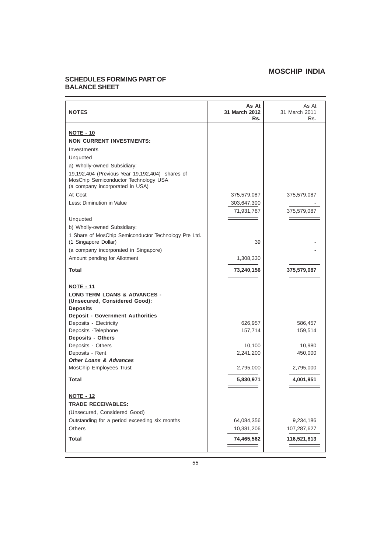## **SCHEDULES FORMING PART OF BALANCE SHEET**

| <b>NOTES</b>                                                                                                               | As At<br>31 March 2012<br>Rs. | As At<br>31 March 2011<br>Rs. |
|----------------------------------------------------------------------------------------------------------------------------|-------------------------------|-------------------------------|
| <b>NOTE - 10</b>                                                                                                           |                               |                               |
| <b>NON CURRENT INVESTMENTS:</b>                                                                                            |                               |                               |
| Investments                                                                                                                |                               |                               |
| Unquoted                                                                                                                   |                               |                               |
| a) Wholly-owned Subsidiary:                                                                                                |                               |                               |
| 19,192,404 (Previous Year 19,192,404) shares of<br>MosChip Semiconductor Technology USA<br>(a company incorporated in USA) |                               |                               |
| At Cost                                                                                                                    | 375,579,087                   | 375,579,087                   |
| Less: Diminution in Value                                                                                                  | 303,647,300                   |                               |
|                                                                                                                            | 71,931,787                    | 375,579,087                   |
| Unquoted                                                                                                                   |                               |                               |
| b) Wholly-owned Subsidiary:                                                                                                |                               |                               |
| 1 Share of MosChip Semiconductor Technology Pte Ltd.<br>(1 Singapore Dollar)                                               | 39                            |                               |
| (a company incorporated in Singapore)                                                                                      |                               |                               |
| Amount pending for Allotment                                                                                               | 1,308,330                     |                               |
| Total                                                                                                                      | 73,240,156                    | 375,579,087                   |
|                                                                                                                            |                               |                               |
| <b>NOTE - 11</b>                                                                                                           |                               |                               |
| <b>LONG TERM LOANS &amp; ADVANCES -</b><br>(Unsecured, Considered Good):                                                   |                               |                               |
| <b>Deposits</b>                                                                                                            |                               |                               |
| <b>Deposit - Government Authorities</b>                                                                                    |                               |                               |
| Deposits - Electricity                                                                                                     | 626,957                       | 586,457                       |
| Deposits - Telephone                                                                                                       | 157,714                       | 159,514                       |
| <b>Deposits - Others</b>                                                                                                   |                               |                               |
| Deposits - Others                                                                                                          | 10,100                        | 10,980                        |
| Deposits - Rent<br><b>Other Loans &amp; Advances</b>                                                                       | 2,241,200                     | 450,000                       |
| MosChip Employees Trust                                                                                                    | 2,795,000                     | 2,795,000                     |
|                                                                                                                            |                               |                               |
| <b>Total</b>                                                                                                               | 5,830,971                     | 4,001,951                     |
|                                                                                                                            |                               |                               |
| <u>NOTE - 12</u>                                                                                                           |                               |                               |
| <b>TRADE RECEIVABLES:</b>                                                                                                  |                               |                               |
| (Unsecured, Considered Good)                                                                                               |                               |                               |
| Outstanding for a period exceeding six months                                                                              | 64,084,356                    | 9,234,186                     |
| Others                                                                                                                     | 10,381,206                    | 107,287,627                   |
| <b>Total</b>                                                                                                               | 74,465,562                    | 116,521,813                   |
|                                                                                                                            |                               |                               |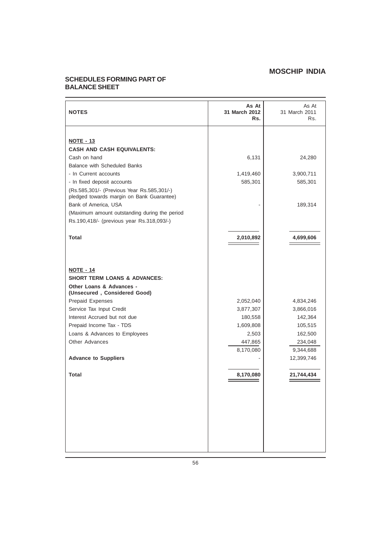## **SCHEDULES FORMING PART OF BALANCE SHEET**

| <b>NOTES</b>                                                                                                            | As At<br>31 March 2012<br>Rs. | As At<br>31 March 2011<br>Rs. |
|-------------------------------------------------------------------------------------------------------------------------|-------------------------------|-------------------------------|
| <b>NOTE - 13</b><br><b>CASH AND CASH EQUIVALENTS:</b>                                                                   |                               |                               |
| Cash on hand                                                                                                            | 6,131                         | 24,280                        |
| Balance with Scheduled Banks                                                                                            |                               |                               |
| - In Current accounts                                                                                                   | 1,419,460                     | 3,900,711                     |
| - In fixed deposit accounts                                                                                             | 585,301                       | 585,301                       |
| (Rs.585,301/- (Previous Year Rs.585,301/-)<br>pledged towards margin on Bank Guarantee)                                 |                               |                               |
| Bank of America, USA                                                                                                    |                               | 189,314                       |
| (Maximum amount outstanding during the period<br>Rs.190,418/- (previous year Rs.318,093/-)                              |                               |                               |
| <b>Total</b>                                                                                                            | 2,010,892                     | 4,699,606                     |
| <b>NOTE - 14</b><br><b>SHORT TERM LOANS &amp; ADVANCES:</b><br>Other Loans & Advances -<br>(Unsecured, Considered Good) |                               |                               |
| Prepaid Expenses                                                                                                        | 2,052,040                     | 4,834,246                     |
| Service Tax Input Credit                                                                                                | 3,877,307                     | 3,866,016                     |
| Interest Accrued but not due                                                                                            | 180,558                       | 142,364                       |
| Prepaid Income Tax - TDS                                                                                                | 1,609,808                     | 105,515                       |
| Loans & Advances to Employees                                                                                           | 2,503                         | 162,500                       |
| <b>Other Advances</b>                                                                                                   | 447,865                       | 234,048                       |
|                                                                                                                         | 8,170,080                     | 9,344,688                     |
| <b>Advance to Suppliers</b>                                                                                             |                               | 12,399,746                    |
| <b>Total</b>                                                                                                            | 8,170,080                     | 21,744,434                    |
|                                                                                                                         |                               |                               |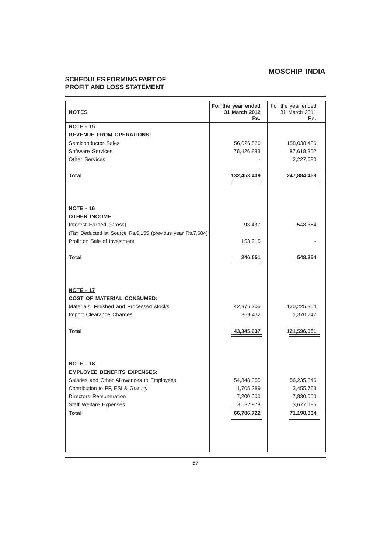# **SCHEDULES FORMING PART OF PROFIT AND LOSS STATEMENT**

| <b>NOTES</b>                                              | For the year ended<br>31 March 2012<br>Rs. | For the year ended<br>31 March 2011<br>Rs. |
|-----------------------------------------------------------|--------------------------------------------|--------------------------------------------|
| <b>NOTE - 15</b>                                          |                                            |                                            |
| <b>REVENUE FROM OPERATIONS:</b>                           |                                            |                                            |
| Semiconductor Sales                                       | 56,026,526                                 | 158,038,486                                |
| Software Services                                         | 76,426,883                                 | 87,618,302                                 |
| <b>Other Services</b>                                     |                                            | 2,227,680                                  |
|                                                           |                                            |                                            |
| Total                                                     | 132,453,409                                | 247,884,468                                |
|                                                           |                                            |                                            |
|                                                           |                                            |                                            |
| <b>NOTE - 16</b>                                          |                                            |                                            |
| <b>OTHER INCOME:</b>                                      |                                            |                                            |
| Interest Earned (Gross)                                   | 93,437                                     | 548,354                                    |
| (Tax Deducted at Source Rs.6,155 (previous year Rs.7,684) |                                            |                                            |
| Profit on Sale of Investment                              | 153,215                                    |                                            |
|                                                           |                                            |                                            |
| Total                                                     | 246,651                                    | 548,354                                    |
|                                                           |                                            |                                            |
|                                                           |                                            |                                            |
| <b>NOTE - 17</b>                                          |                                            |                                            |
| <b>COST OF MATERIAL CONSUMED:</b>                         |                                            |                                            |
| Materials, Finished and Processed stocks                  | 42,976,205                                 | 120,225,304                                |
| Import Clearance Charges                                  | 369,432                                    | 1,370,747                                  |
|                                                           |                                            |                                            |
| Total                                                     | 43,345,637                                 | 121,596,051                                |
|                                                           |                                            |                                            |
|                                                           |                                            |                                            |
|                                                           |                                            |                                            |
| <b>NOTE - 18</b>                                          |                                            |                                            |
| <b>EMPLOYEE BENEFITS EXPENSES:</b>                        |                                            |                                            |
|                                                           |                                            |                                            |
| Salaries and Other Allowances to Employees                | 54,348,355                                 | 56,235,346                                 |
| Contribution to PF, ESI & Gratuity                        | 1,705,389                                  | 3,455,763                                  |
| Directors Remuneration                                    | 7,200,000                                  | 7,830,000                                  |
| Staff Welfare Expenses                                    | 3,532,978                                  | 3,677,195                                  |
| <b>Total</b>                                              | 66,786,722                                 | 71,198,304                                 |
|                                                           |                                            |                                            |
|                                                           |                                            |                                            |
|                                                           |                                            |                                            |
|                                                           |                                            |                                            |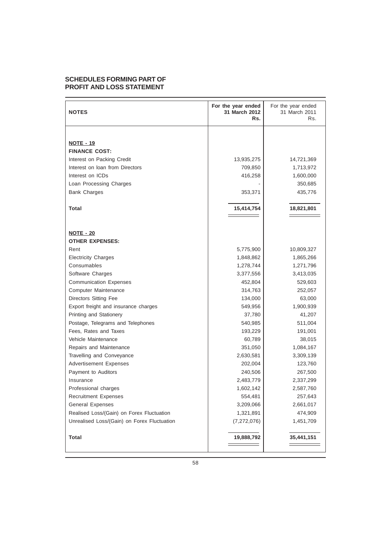## **SCHEDULES FORMING PART OF PROFIT AND LOSS STATEMENT**

| <b>NOTES</b>                                | For the year ended<br>31 March 2012<br>Rs. | For the year ended<br>31 March 2011<br>Rs. |
|---------------------------------------------|--------------------------------------------|--------------------------------------------|
|                                             |                                            |                                            |
| <b>NOTE - 19</b>                            |                                            |                                            |
| <b>FINANCE COST:</b>                        |                                            |                                            |
| Interest on Packing Credit                  | 13,935,275                                 | 14,721,369                                 |
| Interest on loan from Directors             | 709,850                                    | 1,713,972                                  |
| Interest on ICDs                            | 416,258                                    | 1,600,000                                  |
| Loan Processing Charges                     |                                            | 350,685                                    |
| <b>Bank Charges</b>                         | 353,371                                    | 435,776                                    |
| Total                                       | 15,414,754                                 | 18,821,801                                 |
|                                             |                                            |                                            |
| <b>NOTE - 20</b>                            |                                            |                                            |
| <b>OTHER EXPENSES:</b>                      |                                            |                                            |
| Rent                                        | 5,775,900                                  | 10,809,327                                 |
| <b>Electricity Charges</b>                  | 1,848,862                                  | 1,865,266                                  |
| Consumables                                 | 1,278,744                                  | 1,271,796                                  |
| Software Charges                            | 3,377,556                                  | 3,413,035                                  |
| <b>Communication Expenses</b>               | 452,804                                    | 529,603                                    |
| Computer Maintenance                        | 314,763                                    | 252,057                                    |
| <b>Directors Sitting Fee</b>                | 134,000                                    | 63,000                                     |
| Export freight and insurance charges        | 549,956                                    | 1,900,939                                  |
| Printing and Stationery                     | 37,780                                     | 41,207                                     |
| Postage, Telegrams and Telephones           | 540,985                                    | 511,004                                    |
| Fees, Rates and Taxes                       | 193,229                                    | 191,001                                    |
| Vehicle Maintenance                         | 60,789                                     | 38,015                                     |
| Repairs and Maintenance                     | 351,050                                    | 1,084,167                                  |
| Travelling and Conveyance                   | 2,630,581                                  | 3,309,139                                  |
| <b>Advertisement Expenses</b>               | 202,004                                    | 123,760                                    |
| Payment to Auditors                         | 240,506                                    | 267,500                                    |
| Insurance                                   | 2,483,779                                  | 2,337,299                                  |
| Professional charges                        | 1,602,142                                  | 2,587,760                                  |
| <b>Recruitment Expenses</b>                 | 554,481                                    | 257,643                                    |
| <b>General Expenses</b>                     | 3,209,066                                  | 2,661,017                                  |
| Realised Loss/(Gain) on Forex Fluctuation   | 1,321,891                                  | 474,909                                    |
| Unrealised Loss/(Gain) on Forex Fluctuation | (7, 272, 076)                              | 1,451,709                                  |
| <b>Total</b>                                | 19,888,792                                 | 35,441,151                                 |
|                                             |                                            |                                            |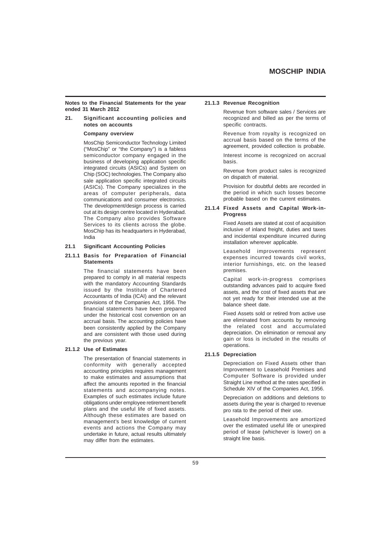**Notes to the Financial Statements for the year ended 31 March 2012**

### **21. Significant accounting policies and notes on accounts**

### **Company overview**

MosChip Semiconductor Technology Limited ("MosChip" or "the Company") is a fabless semiconductor company engaged in the business of developing application specific integrated circuits (ASICs) and System on Chip (SOC) technologies. The Company also sale application specific integrated circuits (ASICs). The Company specializes in the areas of computer peripherals, data communications and consumer electronics. The development/design process is carried out at its design centre located in Hyderabad. The Company also provides Software Services to its clients across the globe. MosChip has its headquarters in Hyderabad, India

### **21.1 Significant Accounting Policies**

### **21.1.1 Basis for Preparation of Financial Statements**

The financial statements have been prepared to comply in all material respects with the mandatory Accounting Standards issued by the Institute of Chartered Accountants of India (ICAI) and the relevant provisions of the Companies Act, 1956. The financial statements have been prepared under the historical cost convention on an accrual basis. The accounting policies have been consistently applied by the Company and are consistent with those used during the previous year.

#### **21.1.2 Use of Estimates**

The presentation of financial statements in conformity with generally accepted accounting principles requires management to make estimates and assumptions that affect the amounts reported in the financial statements and accompanying notes. Examples of such estimates include future obligations under employee retirement benefit plans and the useful life of fixed assets. Although these estimates are based on management's best knowledge of current events and actions the Company may undertake in future, actual results ultimately may differ from the estimates.

#### **21.1.3 Revenue Recognition**

Revenue from software sales / Services are recognized and billed as per the terms of specific contracts.

Revenue from royalty is recognized on accrual basis based on the terms of the agreement, provided collection is probable.

Interest income is recognized on accrual basis.

Revenue from product sales is recognized on dispatch of material.

Provision for doubtful debts are recorded in the period in which such losses become probable based on the current estimates.

#### **21.1.4 Fixed Assets and Capital Work-in-Progress**

Fixed Assets are stated at cost of acquisition inclusive of inland freight, duties and taxes and incidental expenditure incurred during installation wherever applicable.

Leasehold improvements represent expenses incurred towards civil works, interior furnishings, etc. on the leased premises.

Capital work-in-progress comprises outstanding advances paid to acquire fixed assets, and the cost of fixed assets that are not yet ready for their intended use at the balance sheet date.

Fixed Assets sold or retired from active use are eliminated from accounts by removing the related cost and accumulated depreciation. On elimination or removal any gain or loss is included in the results of operations.

#### **21.1.5 Depreciation**

Depreciation on Fixed Assets other than Improvement to Leasehold Premises and Computer Software is provided under Straight Line method at the rates specified in Schedule XIV of the Companies Act, 1956.

Depreciation on additions and deletions to assets during the year is charged to revenue pro rata to the period of their use.

Leasehold Improvements are amortized over the estimated useful life or unexpired period of lease (whichever is lower) on a straight line basis.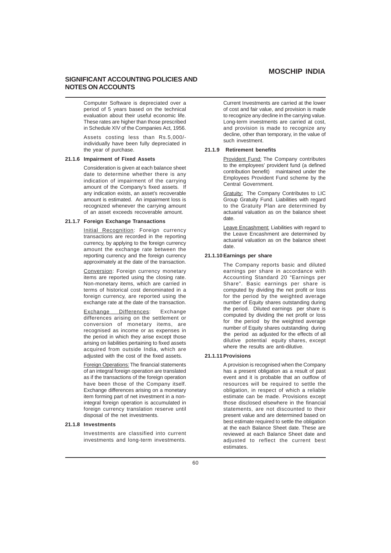### **SIGNIFICANT ACCOUNTING POLICIES AND NOTES ON ACCOUNTS**

Computer Software is depreciated over a period of 5 years based on the technical evaluation about their useful economic life. These rates are higher than those prescribed in Schedule XIV of the Companies Act, 1956.

Assets costing less than Rs.5,000/ individually have been fully depreciated in the year of purchase.

#### **21.1.6 Impairment of Fixed Assets**

Consideration is given at each balance sheet date to determine whether there is any indication of impairment of the carrying amount of the Company's fixed assets. If any indication exists, an asset's recoverable amount is estimated. An impairment loss is recognized whenever the carrying amount of an asset exceeds recoverable amount.

#### **21.1.7 Foreign Exchange Transactions**

Initial Recognition: Foreign currency transactions are recorded in the reporting currency, by applying to the foreign currency amount the exchange rate between the reporting currency and the foreign currency approximately at the date of the transaction.

Conversion: Foreign currency monetary items are reported using the closing rate. Non-monetary items, which are carried in terms of historical cost denominated in a foreign currency, are reported using the exchange rate at the date of the transaction.

Exchange Differences: Exchange differences arising on the settlement or conversion of monetary items, are recognised as income or as expenses in the period in which they arise except those arising on liabilities pertaining to fixed assets acquired from outside India, which are adjusted with the cost of the fixed assets.

Foreign Operations: The financial statements of an integral foreign operation are translated as if the transactions of the foreign operation have been those of the Company itself. Exchange differences arising on a monetary item forming part of net investment in a nonintegral foreign operation is accumulated in foreign currency translation reserve until disposal of the net investments.

#### **21.1.8 Investments**

Investments are classified into current investments and long-term investments.

Current Investments are carried at the lower of cost and fair value, and provision is made to recognize any decline in the carrying value. Long-term investments are carried at cost, and provision is made to recognize any decline, other than temporary, in the value of such investment.

### **21.1.9 Retirement benefits**

Provident Fund: The Company contributes to the employees' provident fund (a defined contribution benefit) maintained under the Employees Provident Fund scheme by the Central Government.

Gratuity: The Company Contributes to LIC Group Gratuity Fund. Liabilities with regard to the Gratuity Plan are determined by actuarial valuation as on the balance sheet date.

Leave Encashment: Liabilities with regard to the Leave Encashment are determined by actuarial valuation as on the balance sheet date.

### **21.1.10 Earnings per share**

The Company reports basic and diluted earnings per share in accordance with Accounting Standard 20 "Earnings per Share". Basic earnings per share is computed by dividing the net profit or loss for the period by the weighted average number of Equity shares outstanding during the period. Diluted earnings per share is computed by dividing the net profit or loss for the period by the weighted average number of Equity shares outstanding during the period as adjusted for the effects of all dilutive potential equity shares, except where the results are anti-dilutive.

#### **21.1.11 Provisions**

A provision is recognised when the Company has a present obligation as a result of past event and it is probable that an outflow of resources will be required to settle the obligation, in respect of which a reliable estimate can be made. Provisions except those disclosed elsewhere in the financial statements, are not discounted to their present value and are determined based on best estimate required to settle the obligation at the each Balance Sheet date. These are reviewed at each Balance Sheet date and adiusted to reflect the current best estimates.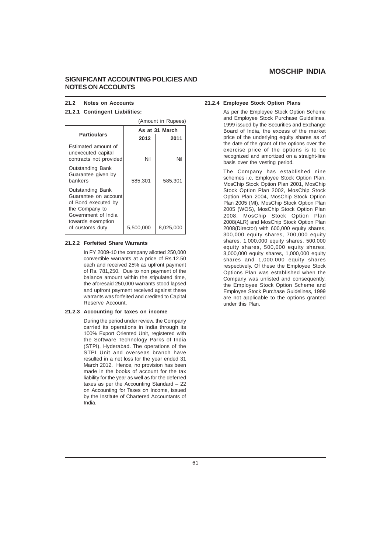## **SIGNIFICANT ACCOUNTING POLICIES AND NOTES ON ACCOUNTS**

#### **21.2 Notes on Accounts**

### **21.2.1 Contingent Liabilities:**

|                                                                                                                                                         | (Amount in Rupees) |           |  |
|---------------------------------------------------------------------------------------------------------------------------------------------------------|--------------------|-----------|--|
|                                                                                                                                                         | As at 31 March     |           |  |
| <b>Particulars</b>                                                                                                                                      | 2012               | 2011      |  |
| Estimated amount of<br>unexecuted capital<br>contracts not provided                                                                                     | Nil                | Nil       |  |
| <b>Outstanding Bank</b><br>Guarantee given by<br>bankers                                                                                                | 585,301            | 585,301   |  |
| <b>Outstanding Bank</b><br>Guarantee on account<br>of Bond executed by<br>the Company to<br>Government of India<br>towards exemption<br>of customs duty | 5,500,000          | 8,025,000 |  |

#### **21.2.2 Forfeited Share Warrants**

In FY 2009-10 the company allotted 250,000 convertible warrants at a price of Rs.12.50 each and received 25% as upfront payment of Rs. 781,250. Due to non payment of the balance amount within the stipulated time, the aforesaid 250,000 warrants stood lapsed and upfront payment received against these warrants was forfeited and credited to Capital Reserve Account.

### **21.2.3 Accounting for taxes on income**

During the period under review, the Company carried its operations in India through its 100% Export Oriented Unit, registered with the Software Technology Parks of India (STPI), Hyderabad. The operations of the STPI Unit and overseas branch have resulted in a net loss for the year ended 31 March 2012. Hence, no provision has been made in the books of account for the tax liability for the year as well as for the deferred taxes as per the Accounting Standard – 22 on Accounting for Taxes on Income, issued by the Institute of Chartered Accountants of India.

#### **21.2.4 Employee Stock Option Plans**

As per the Employee Stock Option Scheme and Employee Stock Purchase Guidelines, 1999 issued by the Securities and Exchange Board of India, the excess of the market price of the underlying equity shares as of the date of the grant of the options over the exercise price of the options is to be recognized and amortized on a straight-line basis over the vesting period.

The Company has established nine schemes i.c, Employee Stock Option Plan, MosChip Stock Option Plan 2001, MosChip Stock Option Plan 2002, MosChip Stock Option Plan 2004, MosChip Stock Option Plan 2005 (MI), MosChip Stock Option Plan 2005 (WOS), MosChip Stock Option Plan 2008, MosChip Stock Option Plan 2008(ALR) and MosChip Stock Option Plan 2008(Director) with 600,000 equity shares, 300,000 equity shares, 700,000 equity shares, 1,000,000 equity shares, 500,000 equity shares, 500,000 equity shares, 3,000,000 equity shares, 1,000,000 equity shares and 1,000,000 equity shares respectively. Of these the Employee Stock Options Plan was established when the Company was unlisted and consequently, the Employee Stock Option Scheme and Employee Stock Purchase Guidelines, 1999 are not applicable to the options granted under this Plan.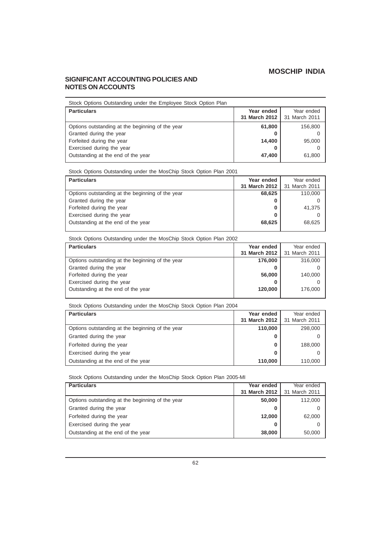## **SIGNIFICANT ACCOUNTING POLICIES AND NOTES ON ACCOUNTS**

| Stock Options Outstanding under the Employee Stock Option Plan |                             |                             |
|----------------------------------------------------------------|-----------------------------|-----------------------------|
| <b>Particulars</b>                                             | Year ended<br>31 March 2012 | Year ended<br>31 March 2011 |
| Options outstanding at the beginning of the year               | 61,800                      | 156,800                     |
| Granted during the year                                        | O                           |                             |
| Forfeited during the year                                      | 14,400                      | 95,000                      |
| Exercised during the year                                      | o                           |                             |
| Outstanding at the end of the year                             | 47,400                      | 61,800                      |

Stock Options Outstanding under the MosChip Stock Option Plan 2001

| <b>Particulars</b>                               | Year ended    | Year ended    |
|--------------------------------------------------|---------------|---------------|
|                                                  | 31 March 2012 | 31 March 2011 |
| Options outstanding at the beginning of the year | 68,625        | 110,000       |
| Granted during the year                          |               |               |
| Forfeited during the year                        | O             | 41.375        |
| Exercised during the year                        |               |               |
| Outstanding at the end of the year               | 68.625        | 68.625        |

Stock Options Outstanding under the MosChip Stock Option Plan 2002

| <b>Particulars</b>                               | Year ended    | Year ended    |
|--------------------------------------------------|---------------|---------------|
|                                                  | 31 March 2012 | 31 March 2011 |
| Options outstanding at the beginning of the year | 176,000       | 316,000       |
| Granted during the year                          |               |               |
| Forfeited during the year                        | 56,000        | 140,000       |
| Exercised during the year                        |               |               |
| Outstanding at the end of the year               | 120,000       | 176,000       |
|                                                  |               |               |

Stock Options Outstanding under the MosChip Stock Option Plan 2004

| <b>Particulars</b>                               | Year ended<br>31 March 2012 | Year ended<br>31 March 2011 |
|--------------------------------------------------|-----------------------------|-----------------------------|
| Options outstanding at the beginning of the year | 110,000                     | 298,000                     |
| Granted during the year                          |                             |                             |
| Forfeited during the year                        | 0                           | 188,000                     |
| Exercised during the year                        |                             |                             |
| Outstanding at the end of the year               | 110.000                     | 110.000                     |

Stock Options Outstanding under the MosChip Stock Option Plan 2005-MI

| <b>Particulars</b>                               | Year ended    | Year ended    |
|--------------------------------------------------|---------------|---------------|
|                                                  | 31 March 2012 | 31 March 2011 |
| Options outstanding at the beginning of the year | 50,000        | 112,000       |
| Granted during the year                          | 0             |               |
| Forfeited during the year                        | 12,000        | 62,000        |
| Exercised during the year                        | 0             |               |
| Outstanding at the end of the year               | 38,000        | 50,000        |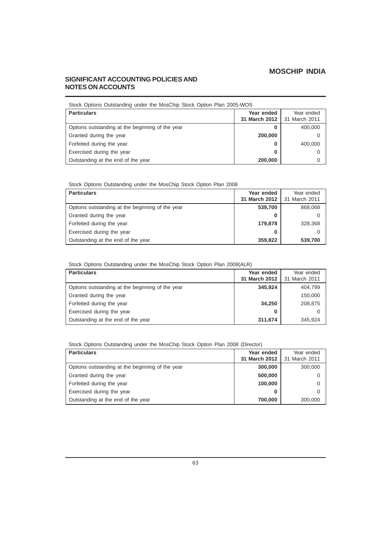# **SIGNIFICANT ACCOUNTING POLICIES AND NOTES ON ACCOUNTS**

| Stock Options Outstanding under the MosChip Stock Option Plan 2005-WOS |               |               |  |
|------------------------------------------------------------------------|---------------|---------------|--|
| <b>Particulars</b>                                                     | Year ended    | Year ended    |  |
|                                                                        | 31 March 2012 | 31 March 2011 |  |
| Options outstanding at the beginning of the year                       | 0             | 400,000       |  |
| Granted during the year                                                | 200,000       | 0             |  |
| Forfeited during the year                                              | 0             | 400,000       |  |
| Exercised during the year                                              | 0             | 0             |  |
| Outstanding at the end of the year                                     | 200,000       | 0             |  |

Stock Options Outstanding under the MosChip Stock Option Plan 2008

| <b>Particulars</b>                               | Year ended<br>31 March 2012 | Year ended<br>31 March 2011 |
|--------------------------------------------------|-----------------------------|-----------------------------|
| Options outstanding at the beginning of the year | 539,700                     | 868,068                     |
| Granted during the year                          | o                           |                             |
| Forfeited during the year                        | 179,878                     | 328,368                     |
| Exercised during the year                        | 0                           |                             |
| Outstanding at the end of the year               | 359,822                     | 539,700                     |

Stock Options Outstanding under the MosChip Stock Option Plan 2008(ALR)

| <b>Particulars</b>                               | Year ended<br>31 March 2012 | Year ended<br>31 March 2011 |
|--------------------------------------------------|-----------------------------|-----------------------------|
| Options outstanding at the beginning of the year | 345,924                     | 404,799                     |
|                                                  |                             |                             |
| Granted during the year                          |                             | 150,000                     |
| Forfeited during the year                        | 34,250                      | 208,875                     |
| Exercised during the year                        | 0                           |                             |
| Outstanding at the end of the year               | 311,674                     | 345.924                     |

Stock Options Outstanding under the MosChip Stock Option Plan 2008 (Director)

| <b>Particulars</b>                               | Year ended    | Year ended    |
|--------------------------------------------------|---------------|---------------|
|                                                  | 31 March 2012 | 31 March 2011 |
| Options outstanding at the beginning of the year | 300,000       | 300,000       |
| Granted during the year                          | 500,000       |               |
| Forfeited during the year                        | 100.000       |               |
| Exercised during the year                        | 0             |               |
| Outstanding at the end of the year               | 700,000       | 300,000       |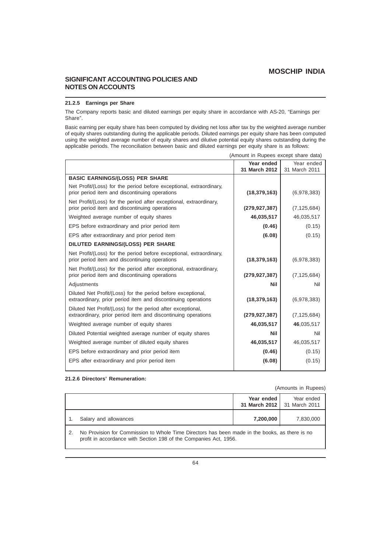## **SIGNIFICANT ACCOUNTING POLICIES AND NOTES ON ACCOUNTS**

### **21.2.5 Earnings per Share**

The Company reports basic and diluted earnings per equity share in accordance with AS-20, "Earnings per Share".

Basic earning per equity share has been computed by dividing net loss after tax by the weighted average number of equity shares outstanding during the applicable periods. Diluted earnings per equity share has been computed using the weighted average number of equity shares and dilutive potential equity shares outstanding during the applicable periods. The reconciliation between basic and diluted earnings per equity share is as follows:

|                                                                                                                               | Year ended<br>31 March 2012 | Year ended<br>31 March 2011 |
|-------------------------------------------------------------------------------------------------------------------------------|-----------------------------|-----------------------------|
| <b>BASIC EARNINGS/(LOSS) PER SHARE</b>                                                                                        |                             |                             |
| Net Profit/(Loss) for the period before exceptional, extraordinary,                                                           |                             |                             |
| prior period item and discontinuing operations                                                                                | (18, 379, 163)              | (6,978,383)                 |
| Net Profit/(Loss) for the period after exceptional, extraordinary,<br>prior period item and discontinuing operations          | (279, 927, 387)             | (7, 125, 684)               |
| Weighted average number of equity shares                                                                                      | 46,035,517                  | 46,035,517                  |
| EPS before extraordinary and prior period item                                                                                | (0.46)                      | (0.15)                      |
| EPS after extraordinary and prior period item                                                                                 | (6.08)                      | (0.15)                      |
| DILUTED EARNINGS/(LOSS) PER SHARE                                                                                             |                             |                             |
| Net Profit/(Loss) for the period before exceptional, extraordinary,<br>prior period item and discontinuing operations         | (18, 379, 163)              | (6,978,383)                 |
| Net Profit/(Loss) for the period after exceptional, extraordinary,<br>prior period item and discontinuing operations          | (279, 927, 387)             | (7, 125, 684)               |
| Adjustments                                                                                                                   | <b>Nil</b>                  | Nil                         |
| Diluted Net Profit/(Loss) for the period before exceptional,<br>extraordinary, prior period item and discontinuing operations | (18, 379, 163)              | (6,978,383)                 |
| Diluted Net Profit/(Loss) for the period after exceptional,<br>extraordinary, prior period item and discontinuing operations  | (279, 927, 387)             | (7, 125, 684)               |
| Weighted average number of equity shares                                                                                      | 46,035,517                  | 46,035,517                  |
| Diluted Potential weighted average number of equity shares                                                                    | Nil                         | Nil                         |
| Weighted average number of diluted equity shares                                                                              | 46,035,517                  | 46,035,517                  |
| EPS before extraordinary and prior period item                                                                                | (0.46)                      | (0.15)                      |
| EPS after extraordinary and prior period item                                                                                 | (6.08)                      | (0.15)                      |
|                                                                                                                               |                             |                             |

### (Amount in Rupees except share data)

### **21.2.6 Directors' Remuneration:**

#### (Amounts in Rupees)

|                                                                                                                                                                     |                       | Year ended | Year ended<br>31 March 2012   31 March 2011 |
|---------------------------------------------------------------------------------------------------------------------------------------------------------------------|-----------------------|------------|---------------------------------------------|
|                                                                                                                                                                     | Salary and allowances | 7,200,000  | 7,830,000                                   |
| No Provision for Commission to Whole Time Directors has been made in the books, as there is no<br>profit in accordance with Section 198 of the Companies Act, 1956. |                       |            |                                             |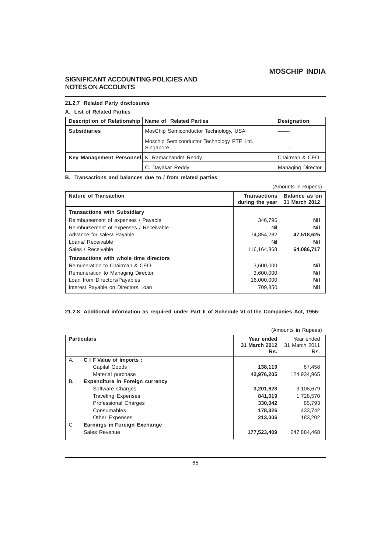# **SIGNIFICANT ACCOUNTING POLICIES AND NOTES ON ACCOUNTS**

## **21.2.7 Related Party disclosures**

# **A. List of Related Parties**

| Description of Relationship   Name of Related Parties |                                                         | Designation              |
|-------------------------------------------------------|---------------------------------------------------------|--------------------------|
| <b>Subsidiaries</b>                                   | MosChip Semiconductor Technology, USA                   |                          |
|                                                       | Moschip Semiconductor Technology PTE Ltd.,<br>Singapore |                          |
| Key Management Personnel K. Ramachandra Reddy         |                                                         | Chairman & CEO           |
|                                                       | C. Dayakar Reddy                                        | <b>Managing Director</b> |

**B. Transactions and balances due to / from related parties**:

| (Amounts in Rupees)                    |                                                |                                |
|----------------------------------------|------------------------------------------------|--------------------------------|
| <b>Nature of Transaction</b>           | <b>Transactions</b><br>during the year $\vert$ | Balance as on<br>31 March 2012 |
| <b>Transactions with Subsidiary</b>    |                                                |                                |
| Reimbursement of expenses / Payable    | 346,796                                        | Nil                            |
| Reimbursement of expenses / Receivable | Nil                                            | Nil                            |
| Advance for sales/ Payable             | 74,854,282                                     | 47,518,625                     |
| Loans/ Receivable                      | Nil                                            | Nil                            |
| Sales / Receivable                     | 116,164,868                                    | 64,086,717                     |
| Transactions with whole time directors |                                                |                                |
| Remuneration to Chairman & CEO         | 3,600,000                                      | <b>Nil</b>                     |
| Remuneration to Managing Director      | 3,600,000                                      | Nil                            |
| Loan from Directors/Payables           | 16,000,000                                     | Nil                            |
| Interest Payable on Directors Loan     | 709,850                                        | Nil                            |

### **21.2.8 Additional information as required under Part II of Schedule VI of the Companies Act, 1956:**

|           | (Amounts in Rupees)                    |                                    |                                    |
|-----------|----------------------------------------|------------------------------------|------------------------------------|
|           | <b>Particulars</b>                     | Year ended<br>31 March 2012<br>Rs. | Year ended<br>31 March 2011<br>Rs. |
| A.        | C I F Value of Imports :               |                                    |                                    |
|           | Capital Goods                          | 138,119                            | 67,458                             |
|           | Material purchase                      | 42,976,205                         | 124,934,965                        |
| <b>B.</b> | <b>Expenditure in Foreign currency</b> |                                    |                                    |
|           | Software Charges                       | 3,201,628                          | 3,108,679                          |
|           | <b>Traveling Expenses</b>              | 841,019                            | 1,728,570                          |
|           | <b>Professional Charges</b>            | 330,042                            | 85,793                             |
|           | Consumables                            | 178,326                            | 433,742                            |
|           | <b>Other Expenses</b>                  | 213,006                            | 183,202                            |
| C.        | Earnings in Foreign Exchange           |                                    |                                    |
|           | Sales Revenue                          | 177,523,409                        | 247,884,468                        |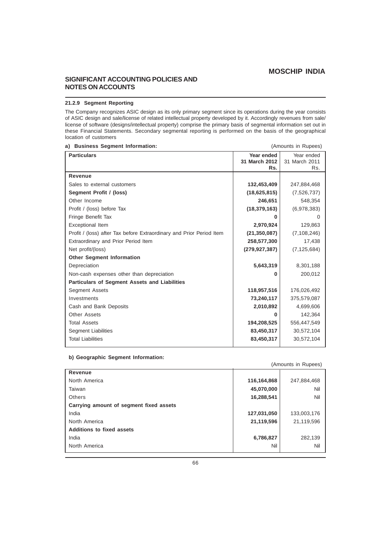## **SIGNIFICANT ACCOUNTING POLICIES AND NOTES ON ACCOUNTS**

### **21.2.9 Segment Reporting**

The Company recognizes ASIC design as its only primary segment since its operations during the year consists of ASIC design and sale/license of related intellectual property developed by it. Accordingly revenues from sale/ license of software (designs/intellectual property) comprise the primary basis of segmental information set out in these Financial Statements. Secondary segmental reporting is performed on the basis of the geographical location of customers

| a) Business Segment Information:                                     |                             | (Amounts in Rupees)         |
|----------------------------------------------------------------------|-----------------------------|-----------------------------|
| <b>Particulars</b>                                                   | Year ended<br>31 March 2012 | Year ended<br>31 March 2011 |
|                                                                      | Rs.                         | Rs.                         |
| Revenue                                                              |                             |                             |
| Sales to external customers                                          | 132,453,409                 | 247,884,468                 |
| Segment Profit / (loss)                                              | (18,625,815)                | (7,526,737)                 |
| Other Income                                                         | 246,651                     | 548,354                     |
| Profit / (loss) before Tax                                           | (18, 379, 163)              | (6,978,383)                 |
| Fringe Benefit Tax                                                   |                             | O                           |
| <b>Exceptional Item</b>                                              | 2,970,924                   | 129,863                     |
| Profit / (loss) after Tax before Extraordinary and Prior Period Item | (21, 350, 087)              | (7, 108, 246)               |
| Extraordinary and Prior Period Item                                  | 258,577,300                 | 17,438                      |
| Net profit/(loss)                                                    | (279, 927, 387)             | (7, 125, 684)               |
| <b>Other Segment Information</b>                                     |                             |                             |
| Depreciation                                                         | 5,643,319                   | 8,301,188                   |
| Non-cash expenses other than depreciation                            | 0                           | 200,012                     |
| <b>Particulars of Segment Assets and Liabilities</b>                 |                             |                             |
| Segment Assets                                                       | 118,957,516                 | 176,026,492                 |
| Investments                                                          | 73,240,117                  | 375,579,087                 |
| Cash and Bank Deposits                                               | 2,010,892                   | 4,699,606                   |
| <b>Other Assets</b>                                                  | U                           | 142,364                     |
| <b>Total Assets</b>                                                  | 194,208,525                 | 556,447,549                 |
| <b>Segment Liabilities</b>                                           | 83,450,317                  | 30,572,104                  |
| <b>Total Liabilities</b>                                             | 83,450,317                  | 30,572,104                  |
|                                                                      |                             |                             |

#### **b) Geographic Segment Information:**

| (Amounts in Rupees)                     |             |             |
|-----------------------------------------|-------------|-------------|
| Revenue                                 |             |             |
| North America                           | 116,164,868 | 247,884,468 |
| Taiwan                                  | 45,070,000  | Nil         |
| Others                                  | 16,288,541  | Nil         |
| Carrying amount of segment fixed assets |             |             |
| India                                   | 127,031,050 | 133,003,176 |
| North America                           | 21,119,596  | 21,119,596  |
| <b>Additions to fixed assets</b>        |             |             |
| India                                   | 6,786,827   | 282,139     |
| North America                           | Nil         | Nil         |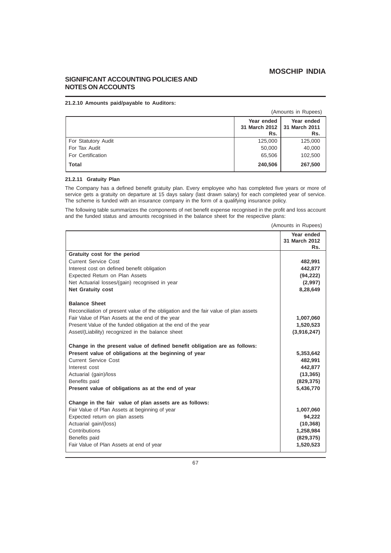# **SIGNIFICANT ACCOUNTING POLICIES AND NOTES ON ACCOUNTS**

### **21.2.10 Amounts paid/payable to Auditors:**

| (Amounts in Rupees)                                                 |         |         |
|---------------------------------------------------------------------|---------|---------|
| Year ended<br>Year ended<br>31 March 2012  <br>31 March 2011<br>Rs. |         |         |
| For Statutory Audit                                                 | 125,000 | 125,000 |
| For Tax Audit                                                       | 50,000  | 40,000  |
| For Certification                                                   | 65,506  | 102,500 |
| <b>Total</b>                                                        | 240,506 | 267,500 |

## **21.2.11 Gratuity Plan**

The Company has a defined benefit gratuity plan. Every employee who has completed five years or more of service gets a gratuity on departure at 15 days salary (last drawn salary) for each completed year of service. The scheme is funded with an insurance company in the form of a qualifying insurance policy.

The following table summarizes the components of net benefit expense recognised in the profit and loss account and the funded status and amounts recognised in the balance sheet for the respective plans:

| (Amounts in Rupees) |  |  |  |
|---------------------|--|--|--|
|---------------------|--|--|--|

|                                                                                                                                    | Year ended         |
|------------------------------------------------------------------------------------------------------------------------------------|--------------------|
|                                                                                                                                    | 31 March 2012      |
|                                                                                                                                    | Rs.                |
| Gratuity cost for the period                                                                                                       |                    |
| <b>Current Service Cost</b>                                                                                                        | 482,991            |
| Interest cost on defined benefit obligation                                                                                        | 442,877            |
| Expected Return on Plan Assets                                                                                                     | (94, 222)          |
| Net Actuarial losses/(gain) recognised in year                                                                                     | (2,997)            |
| <b>Net Gratuity cost</b>                                                                                                           | 8,28,649           |
|                                                                                                                                    |                    |
| <b>Balance Sheet</b>                                                                                                               |                    |
| Reconciliation of present value of the obligation and the fair value of plan assets                                                |                    |
| Fair Value of Plan Assets at the end of the year                                                                                   | 1,007,060          |
| Present Value of the funded obligation at the end of the year                                                                      | 1,520,523          |
| Asset/(Liability) recognized in the balance sheet                                                                                  | (3,916,247)        |
| Change in the present value of defined benefit obligation are as follows:<br>Present value of obligations at the beginning of year | 5,353,642          |
| <b>Current Service Cost</b>                                                                                                        |                    |
| Interest cost                                                                                                                      | 482,991<br>442,877 |
|                                                                                                                                    | (13, 365)          |
| Actuarial (gain)/loss<br>Benefits paid                                                                                             | (829, 375)         |
| Present value of obligations as at the end of year                                                                                 |                    |
|                                                                                                                                    | 5,436,770          |
| Change in the fair value of plan assets are as follows:                                                                            |                    |
| Fair Value of Plan Assets at beginning of year                                                                                     | 1,007,060          |
| Expected return on plan assets                                                                                                     | 94,222             |
| Actuarial gain/(loss)                                                                                                              | (10, 368)          |
| Contributions                                                                                                                      | 1,258,984          |
| Benefits paid                                                                                                                      | (829, 375)         |
| Fair Value of Plan Assets at end of year                                                                                           | 1,520,523          |
|                                                                                                                                    |                    |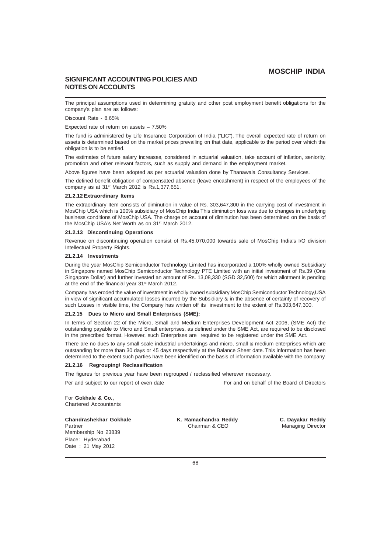## **SIGNIFICANT ACCOUNTING POLICIES AND NOTES ON ACCOUNTS**

The principal assumptions used in determining gratuity and other post employment benefit obligations for the company's plan are as follows:

Discount Rate - 8.65%

Expected rate of return on assets – 7.50%

The fund is administered by Life Insurance Corporation of India ("LIC"). The overall expected rate of return on assets is determined based on the market prices prevailing on that date, applicable to the period over which the obligation is to be settled.

The estimates of future salary increases, considered in actuarial valuation, take account of inflation, seniority, promotion and other relevant factors, such as supply and demand in the employment market.

Above figures have been adopted as per actuarial valuation done by Thanawala Consultancy Services.

The defined benefit obligation of compensated absence (leave encashment) in respect of the employees of the company as at 31<sup>st</sup> March 2012 is Rs.1,377,651.

#### **21.2.12 Extraordinary Items**

The extraordinary Item consists of diminution in value of Rs. 303,647,300 in the carrying cost of investment in MosChip USA which is 100% subsidiary of MosChip India This diminution loss was due to changes in underlying business conditions of MosChip USA. The charge on account of diminution has been determined on the basis of the MosChip USA's Net Worth as on 31<sup>st</sup> March 2012.

### **21.2.13 Discontinuing Operations**

Revenue on discontinuing operation consist of Rs.45,070,000 towards sale of MosChip India's I/O division Intellectual Property Rights.

### **21.2.14 Investments**

During the year MosChip Semiconductor Technology Limited has incorporated a 100% wholly owned Subsidiary in Singapore named MosChip Semiconductor Technology PTE Limited with an initial investment of Rs.39 (One Singapore Dollar) and further Invested an amount of Rs. 13,08,330 (SGD 32,500) for which allotment is pending at the end of the financial year 31st March 2012.

Company has eroded the value of investment in wholly owned subsidiary MosChip Semiconductor Technology,USA in view of significant accumulated losses incurred by the Subsidiary & in the absence of certainty of recovery of such Losses in visible time, the Company has written off its investment to the extent of Rs.303,647,300.

#### **21.2.15 Dues to Micro and Small Enterprises (SME):**

In terms of Section 22 of the Micro, Small and Medium Enterprises Development Act 2006, (SME Act) the outstanding payable to Micro and Small enterprises, as defined under the SME Act, are required to be disclosed in the prescribed format. However, such Enterprises are required to be registered under the SME Act.

There are no dues to any small scale industrial undertakings and micro, small & medium enterprises which are outstanding for more than 30 days or 45 days respectively at the Balance Sheet date. This information has been determined to the extent such parties have been identified on the basis of information available with the company.

#### **21.2.16 Regrouping/ Reclassification**

The figures for previous year have been regrouped / reclassified wherever necessary.

Per and subject to our report of even date For and on behalf of the Board of Directors

For **Gokhale & Co.,** Chartered Accountants

#### **Chandrashekhar Gokhale K. Ramachandra Reddy C. Dayakar Reddy**

Membership No 23839 Place: Hyderabad Date : 21 May 2012

Partner **Chairman & CEO** Managing Director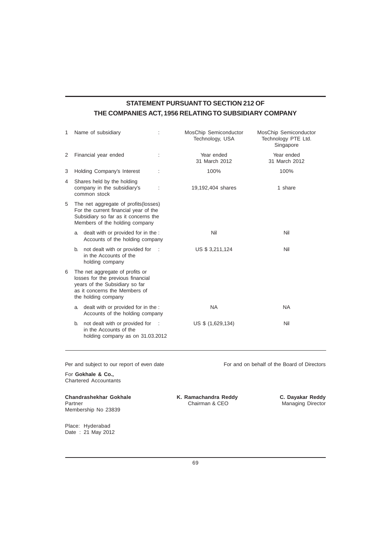# **STATEMENT PURSUANT TO SECTION 212 OF THE COMPANIES ACT, 1956 RELATING TO SUBSIDIARY COMPANY**

| 1 |                                                                                                                                                                | Name of subsidiary                                                                           |          | MosChip Semiconductor<br>Technology, USA | MosChip Semiconductor<br>Technology PTE Ltd.<br>Singapore |
|---|----------------------------------------------------------------------------------------------------------------------------------------------------------------|----------------------------------------------------------------------------------------------|----------|------------------------------------------|-----------------------------------------------------------|
| 2 |                                                                                                                                                                | Financial year ended                                                                         |          | Year ended<br>31 March 2012              | Year ended<br>31 March 2012                               |
| 3 |                                                                                                                                                                | Holding Company's Interest                                                                   | ÷        | 100%                                     | 100%                                                      |
| 4 | Shares held by the holding<br>company in the subsidiary's<br>19,192,404 shares<br>common stock                                                                 |                                                                                              | 1 share  |                                          |                                                           |
| 5 | The net aggregate of profits (losses)<br>For the current financial year of the<br>Subsidiary so far as it concerns the<br>Members of the holding company       |                                                                                              |          |                                          |                                                           |
|   |                                                                                                                                                                | a. dealt with or provided for in the :<br>Accounts of the holding company                    |          | Nil                                      | Nil                                                       |
|   |                                                                                                                                                                | b. not dealt with or provided for<br>in the Accounts of the<br>holding company               |          | US \$ 3,211,124                          | Nil                                                       |
| 6 | The net aggregate of profits or<br>losses for the previous financial<br>years of the Subsidiary so far<br>as it concerns the Members of<br>the holding company |                                                                                              |          |                                          |                                                           |
|   |                                                                                                                                                                | a. dealt with or provided for in the :<br>Accounts of the holding company                    |          | <b>NA</b>                                | <b>NA</b>                                                 |
|   | b.                                                                                                                                                             | not dealt with or provided for<br>in the Accounts of the<br>holding company as on 31.03.2012 | $\sim$ 1 | US \$ (1,629,134)                        | Nil                                                       |

Per and subject to our report of even date For and on behalf of the Board of Directors

For **Gokhale & Co.,** Chartered Accountants

**Chandrashekhar Gokhale K. Ramachandra Reddy C. Dayakar Reddy** Partner **Chairman & CEO** Managing Director Membership No 23839

Place: Hyderabad Date : 21 May 2012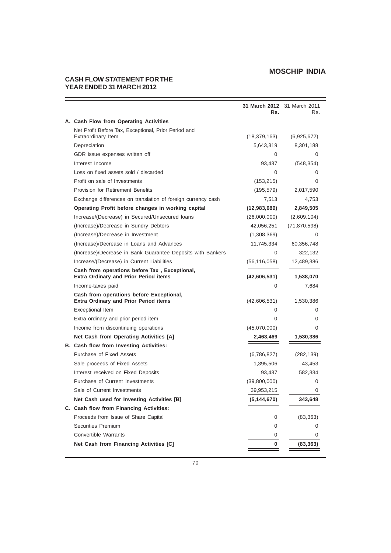# **CASH FLOW STATEMENT FOR THE YEAR ENDED 31 MARCH 2012**

|                                                                                               | 31 March 2012 31 March 2011<br>Rs. | Rs.            |
|-----------------------------------------------------------------------------------------------|------------------------------------|----------------|
| A. Cash Flow from Operating Activities                                                        |                                    |                |
| Net Profit Before Tax, Exceptional, Prior Period and                                          |                                    |                |
| Extraordinary Item                                                                            | (18, 379, 163)                     | (6,925,672)    |
| Depreciation                                                                                  | 5,643,319                          | 8,301,188      |
| GDR issue expenses written off                                                                | 0                                  | 0              |
| Interest Income                                                                               | 93,437                             | (548, 354)     |
| Loss on fixed assets sold / discarded                                                         | 0                                  | 0              |
| Profit on sale of Investments                                                                 | (153, 215)                         | 0              |
| <b>Provision for Retirement Benefits</b>                                                      | (195, 579)                         | 2,017,590      |
| Exchange differences on translation of foreign currency cash                                  | 7,513                              | 4,753          |
| Operating Profit before changes in working capital                                            | (12,983,689)                       | 2,849,505      |
| Increase/(Decrease) in Secured/Unsecured loans                                                | (26,000,000)                       | (2,609,104)    |
| (Increase)/Decrease in Sundry Debtors                                                         | 42,056,251                         | (71, 870, 598) |
| (Increase)/Decrease in Investment                                                             | (1,308,369)                        | 0              |
| (Increase)/Decrease in Loans and Advances                                                     | 11,745,334                         | 60,356,748     |
| (Increase)/Decrease in Bank Guarantee Deposits with Bankers                                   | 0                                  | 322,132        |
| Increase/(Decrease) in Current Liabilities                                                    | (56, 116, 058)                     | 12,489,386     |
| Cash from operations before Tax, Exceptional,<br><b>Extra Ordinary and Prior Period items</b> | (42,606,531)                       | 1,538,070      |
| Income-taxes paid                                                                             | 0                                  | 7,684          |
| Cash from operations before Exceptional,<br><b>Extra Ordinary and Prior Period items</b>      | (42,606,531)                       | 1,530,386      |
| Exceptional Item                                                                              | 0                                  | 0              |
| Extra ordinary and prior period item                                                          | 0                                  | 0              |
| Income from discontinuing operations                                                          | (45,070,000)                       | 0              |
| Net Cash from Operating Activities [A]                                                        | 2,463,469                          | 1,530,386      |
| B. Cash flow from Investing Activities:                                                       |                                    |                |
| Purchase of Fixed Assets                                                                      | (6,786,827)                        | (282, 139)     |
| Sale proceeds of Fixed Assets                                                                 | 1,395,506                          | 43,453         |
| Interest received on Fixed Deposits                                                           | 93,437                             | 582,334        |
| Purchase of Current Investments                                                               | (39,800,000)                       | 0              |
| Sale of Current Investments                                                                   | 39,953,215                         | 0              |
| Net Cash used for Investing Activities [B]                                                    | (5, 144, 670)                      | 343,648        |
| C. Cash flow from Financing Activities:                                                       |                                    |                |
| Proceeds from Issue of Share Capital                                                          | 0                                  | (83, 363)      |
| <b>Securities Premium</b>                                                                     | 0                                  | 0              |
| <b>Convertible Warrants</b>                                                                   | 0                                  | 0              |
| Net Cash from Financing Activities [C]                                                        | 0                                  | (83, 363)      |
|                                                                                               |                                    |                |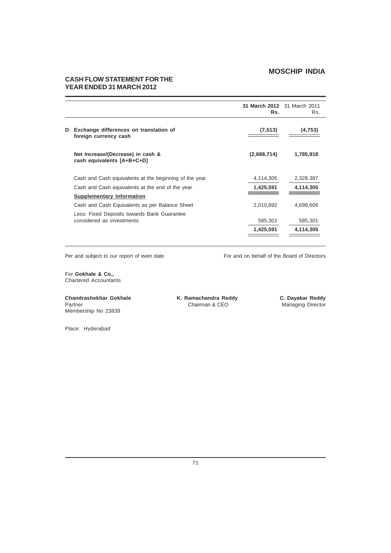# **CASH FLOW STATEMENT FOR THE YEAR ENDED 31 MARCH 2012**

|                                                                          | 31 March 2012 31 March 2011<br>Rs. | Rs.       |
|--------------------------------------------------------------------------|------------------------------------|-----------|
| Exchange differences on translation of<br>D.<br>foreign currency cash    | (7, 513)                           | (4, 753)  |
| Net Increase/(Decrease) in cash &<br>cash equivalents [A+B+C+D]          | (2,688,714)                        | 1,785,918 |
| Cash and Cash equivalents at the beginning of the year                   | 4,114,305                          | 2,328,387 |
| Cash and Cash equivalents at the end of the year                         | 1,425,591                          | 4,114,305 |
| <b>Supplementary Information</b>                                         |                                    |           |
| Cash and Cash Equivalents as per Balance Sheet                           | 2,010,892                          | 4,699,606 |
| Less: Fixed Deposits towards Bank Guarantee<br>considered as investments | 585,301                            | 585,301   |
|                                                                          | 1,425,591                          | 4,114,305 |

Per and subject to our report of even date For and on behalf of the Board of Directors

For **Gokhale & Co.,** Chartered Accountants

**Chandrashekhar Gokhale K. Ramachandra Reddy C. Dayakar Reddy**<br>Partner **C. Dayakar Reddy Chairman & CEO** Managing Director Membership No 23839

Managing Director

Place: Hyderabad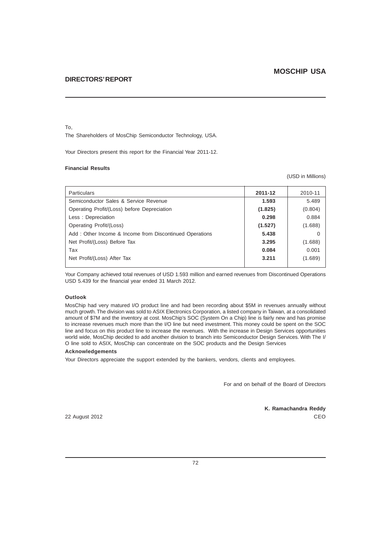#### To,

The Shareholders of MosChip Semiconductor Technology, USA.

Your Directors present this report for the Financial Year 2011-12.

### **Financial Results**

(USD in Millions)

| <b>Particulars</b>                                      | 2011-12 | 2010-11 |
|---------------------------------------------------------|---------|---------|
| Semiconductor Sales & Service Revenue                   | 1.593   | 5.489   |
| Operating Profit/(Loss) before Depreciation             | (1.825) | (0.804) |
| Less: Depreciation                                      | 0.298   | 0.884   |
| Operating Profit/(Loss)                                 | (1.527) | (1.688) |
| Add: Other Income & Income from Discontinued Operations | 5.438   |         |
| Net Profit/(Loss) Before Tax                            | 3.295   | (1.688) |
| Tax                                                     | 0.084   | 0.001   |
| Net Profit/(Loss) After Tax                             | 3.211   | (1.689) |
|                                                         |         |         |

Your Company achieved total revenues of USD 1.593 million and earned revenues from Discontinued Operations USD 5.439 for the financial year ended 31 March 2012.

### **Outlook**

MosChip had very matured I/O product line and had been recording about \$5M in revenues annually without much growth. The division was sold to ASIX Electronics Corporation, a listed company in Taiwan, at a consolidated amount of \$7M and the inventory at cost. MosChip's SOC (System On a Chip) line is fairly new and has promise to increase revenues much more than the I/O line but need investment. This money could be spent on the SOC line and focus on this product line to increase the revenues. With the increase in Design Services opportunities world wide, MosChip decided to add another division to branch into Semiconductor Design Services. With The I/ O line sold to ASIX, MosChip can concentrate on the SOC products and the Design Services

#### **Acknowledgements**

Your Directors appreciate the support extended by the bankers, vendors, clients and employees.

For and on behalf of the Board of Directors

**K. Ramachandra Reddy** 22 August 2012 CEO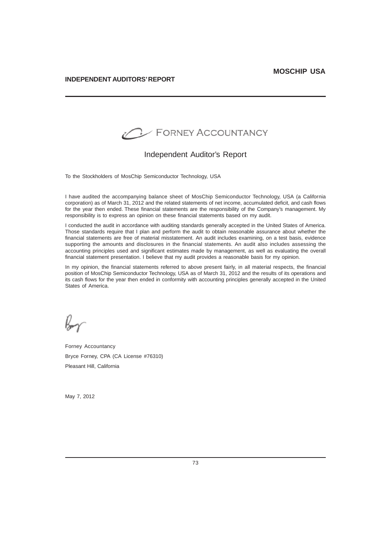

## Independent Auditor's Report

To the Stockholders of MosChip Semiconductor Technology, USA

I have audited the accompanying balance sheet of MosChip Semiconductor Technology, USA (a California corporation) as of March 31, 2012 and the related statements of net income, accumulated deficit, and cash flows for the year then ended. These financial statements are the responsibility of the Company's management. My responsibility is to express an opinion on these financial statements based on my audit.

I conducted the audit in accordance with auditing standards generally accepted in the United States of America. Those standards require that I plan and perform the audit to obtain reasonable assurance about whether the financial statements are free of material misstatement. An audit includes examining, on a test basis, evidence supporting the amounts and disclosures in the financial statements. An audit also includes assessing the accounting principles used and significant estimates made by management, as well as evaluating the overall financial statement presentation. I believe that my audit provides a reasonable basis for my opinion.

In my opinion, the financial statements referred to above present fairly, in all material respects, the financial position of MosChip Semiconductor Technology, USA as of March 31, 2012 and the results of its operations and its cash flows for the year then ended in conformity with accounting principles generally accepted in the United States of America.

Forney Accountancy Bryce Forney, CPA (CA License #76310) Pleasant Hill, California

May 7, 2012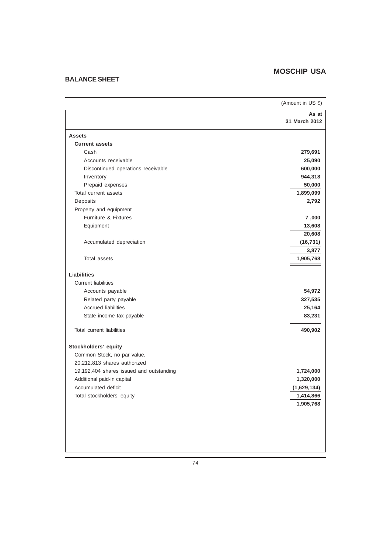## **BALANCE SHEET**

| (Amount in US \$)                        |                        |
|------------------------------------------|------------------------|
|                                          | As at<br>31 March 2012 |
| <b>Assets</b>                            |                        |
| <b>Current assets</b>                    |                        |
| Cash                                     | 279,691                |
| Accounts receivable                      | 25,090                 |
| Discontinued operations receivable       | 600,000                |
| Inventory                                | 944,318                |
| Prepaid expenses                         | 50,000                 |
| Total current assets                     | 1,899,099              |
| Deposits                                 | 2,792                  |
| Property and equipment                   |                        |
| Furniture & Fixtures                     | 7,000                  |
| Equipment                                | 13,608                 |
|                                          | 20,608                 |
| Accumulated depreciation                 | (16, 731)              |
|                                          | 3,877                  |
| Total assets                             | 1,905,768              |
| <b>Liabilities</b>                       |                        |
| <b>Current liabilities</b>               |                        |
| Accounts payable                         | 54,972                 |
| Related party payable                    | 327,535                |
| <b>Accrued liabilities</b>               | 25,164                 |
| State income tax payable                 | 83,231                 |
| <b>Total current liabilities</b>         | 490,902                |
| Stockholders' equity                     |                        |
| Common Stock, no par value,              |                        |
| 20,212,813 shares authorized             |                        |
| 19,192,404 shares issued and outstanding | 1,724,000              |
| Additional paid-in capital               | 1,320,000              |
| Accumulated deficit                      | (1,629,134)            |
| Total stockholders' equity               | 1,414,866              |
|                                          | 1,905,768              |
|                                          |                        |
|                                          |                        |
|                                          |                        |
|                                          |                        |
|                                          |                        |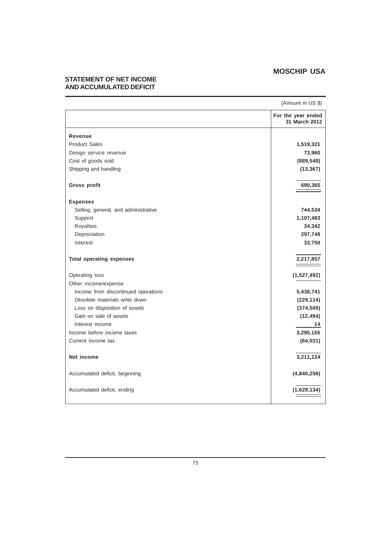## **STATEMENT OF NET INCOME AND ACCUMULATED DEFICIT**

|                                      | (Amount in US \$)                   |
|--------------------------------------|-------------------------------------|
|                                      | For the year ended<br>31 March 2012 |
| Revenue                              |                                     |
| <b>Product Sales</b>                 | 1,519,321                           |
| Design service revenue               | 73,960                              |
| Cost of goods sold                   | (889, 549)                          |
| Shipping and handling                | (13, 367)                           |
| Gross profit                         | 690,365                             |
| <b>Expenses</b>                      |                                     |
| Selling, general, and administrative | 744,534                             |
| Support                              | 1,107,483                           |
| Royalties                            | 34,342                              |
| Depreciation                         | 297,748                             |
| Interest                             | 33,750                              |
| <b>Total operating expenses</b>      | 2,217,857                           |
| Operating loss                       | (1,527,492)                         |
| Other income/expense                 |                                     |
| Income from discontinued operations  | 5,438,741                           |
| Obsolete materials write down        | (229, 114)                          |
| Loss on disposition of assets        | (374, 500)                          |
| Gain on sale of assets               | (12, 494)                           |
| Interest income                      | 14                                  |
| Income before income taxes           | 3,295,155                           |
| Current income tax                   | (84, 031)                           |
| Net income                           | 3,211,124                           |
| Accumulated deficit, beginning       | (4,840,258)                         |
| Accumulated deficit, ending          | (1,629,134)                         |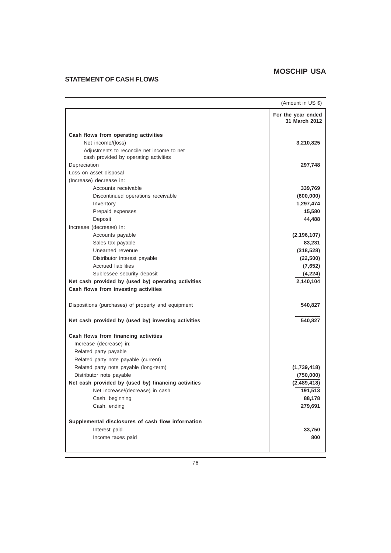# **STATEMENT OF CASH FLOWS**

|                                                                                                                                                  | (Amount in US \$)                   |
|--------------------------------------------------------------------------------------------------------------------------------------------------|-------------------------------------|
|                                                                                                                                                  | For the year ended<br>31 March 2012 |
| Cash flows from operating activities<br>Net income/(loss)<br>Adjustments to reconcile net income to net<br>cash provided by operating activities | 3,210,825                           |
| Depreciation                                                                                                                                     | 297,748                             |
| Loss on asset disposal                                                                                                                           |                                     |
| (Increase) decrease in:                                                                                                                          |                                     |
| Accounts receivable                                                                                                                              | 339,769                             |
| Discontinued operations receivable                                                                                                               | (600, 000)                          |
| Inventory                                                                                                                                        | 1,297,474                           |
| Prepaid expenses                                                                                                                                 | 15,580                              |
| Deposit                                                                                                                                          | 44,488                              |
| Increase (decrease) in:                                                                                                                          |                                     |
| Accounts payable                                                                                                                                 | (2, 196, 107)                       |
| Sales tax payable                                                                                                                                | 83,231                              |
| Unearned revenue                                                                                                                                 | (318, 528)                          |
| Distributor interest payable                                                                                                                     | (22, 500)                           |
| <b>Accrued liabilities</b>                                                                                                                       | (7,652)                             |
| Sublessee security deposit                                                                                                                       | (4,224)                             |
| Net cash provided by (used by) operating activities                                                                                              | 2,140,104                           |
| Cash flows from investing activities                                                                                                             |                                     |
| Dispositions (purchases) of property and equipment                                                                                               | 540,827                             |
| Net cash provided by (used by) investing activities                                                                                              | 540,827                             |
| Cash flows from financing activities                                                                                                             |                                     |
| Increase (decrease) in:                                                                                                                          |                                     |
| Related party payable                                                                                                                            |                                     |
| Related party note payable (current)                                                                                                             |                                     |
| Related party note payable (long-term)                                                                                                           | (1,739,418)                         |
| Distributor note payable                                                                                                                         | (750,000)                           |
| Net cash provided by (used by) financing activities                                                                                              | (2,489,418)                         |
| Net increase/(decrease) in cash                                                                                                                  | 191,513                             |
| Cash, beginning                                                                                                                                  | 88,178                              |
| Cash, ending                                                                                                                                     | 279,691                             |
| Supplemental disclosures of cash flow information                                                                                                |                                     |
| Interest paid                                                                                                                                    | 33,750                              |
| Income taxes paid                                                                                                                                | 800                                 |
|                                                                                                                                                  |                                     |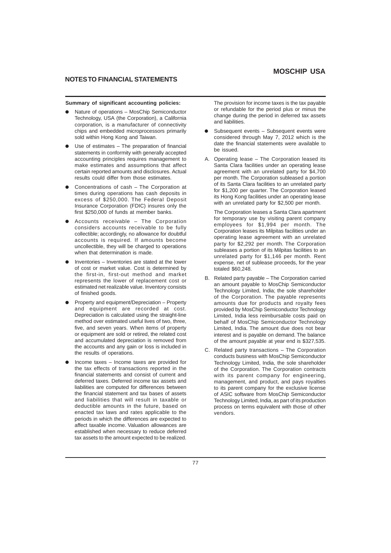## **NOTES TO FINANCIAL STATEMENTS**

#### **Summary of significant accounting policies:**

- Nature of operations MosChip Semiconductor Technology, USA (the Corporation), a California corporation, is a manufacturer of connectivity chips and embedded microprocessors primarily sold within Hong Kong and Taiwan.
- Use of estimates The preparation of financial statements in conformity with generally accepted accounting principles requires management to make estimates and assumptions that affect certain reported amounts and disclosures. Actual results could differ from those estimates.
- l Concentrations of cash The Corporation at times during operations has cash deposits in excess of \$250,000. The Federal Deposit Insurance Corporation (FDIC) insures only the first \$250,000 of funds at member banks.
- l Accounts receivable The Corporation considers accounts receivable to be fully collectible; accordingly, no allowance for doubtful accounts is required. If amounts become uncollectible, they will be charged to operations when that determination is made.
- Inventories Inventories are stated at the lower of cost or market value. Cost is determined by the first-in, first-out method and market represents the lower of replacement cost or estimated net realizable value. Inventory consists of finished goods.
- Property and equipment/Depreciation Property and equipment are recorded at cost. Depreciation is calculated using the straight-line method over estimated useful lives of two, three, five, and seven years. When items of property or equipment are sold or retired, the related cost and accumulated depreciation is removed from the accounts and any gain or loss is included in the results of operations.
- l Income taxes Income taxes are provided for the tax effects of transactions reported in the financial statements and consist of current and deferred taxes. Deferred income tax assets and liabilities are computed for differences between the financial statement and tax bases of assets and liabilities that will result in taxable or deductible amounts in the future, based on enacted tax laws and rates applicable to the periods in which the differences are expected to affect taxable income. Valuation allowances are established when necessary to reduce deferred tax assets to the amount expected to be realized.

The provision for income taxes is the tax payable or refundable for the period plus or minus the change during the period in deferred tax assets and liabilities.

- Subsequent events Subsequent events were considered through May 7, 2012 which is the date the financial statements were available to be issued.
- A. Operating lease The Corporation leased its Santa Clara facilities under an operating lease agreement with an unrelated party for \$4,700 per month. The Corporation subleased a portion of its Santa Clara facilities to an unrelated party for \$1,200 per quarter. The Corporation leased its Hong Kong facilities under an operating lease with an unrelated party for \$2,500 per month.

The Corporation leases a Santa Clara apartment for temporary use by visiting parent company employees for \$1,994 per month. The Corporation leases its Milpitas facilities under an operating lease agreement with an unrelated party for \$2,292 per month. The Corporation subleases a portion of its Milpitas facilities to an unrelated party for \$1,146 per month. Rent expense, net of sublease proceeds, for the year totaled \$60,248.

- B. Related party payable The Corporation carried an amount payable to MosChip Semiconductor Technology Limited, India; the sole shareholder of the Corporation. The payable represents amounts due for products and royalty fees provided by MosChip Semiconductor Technology Limited, India less reimbursable costs paid on behalf of MosChip Semiconductor Technology Limited, India. The amount due does not bear interest and is payable on demand. The balance of the amount payable at year end is \$327,535.
- C. Related party transactions The Corporation conducts business with MosChip Semiconductor Technology Limited, India, the sole shareholder of the Corporation. The Corporation contracts with its parent company for engineering, management, and product, and pays royalties to its parent company for the exclusive license of ASIC software from MosChip Semiconductor Technology Limited, India, as part of its production process on terms equivalent with those of other .<br>vendors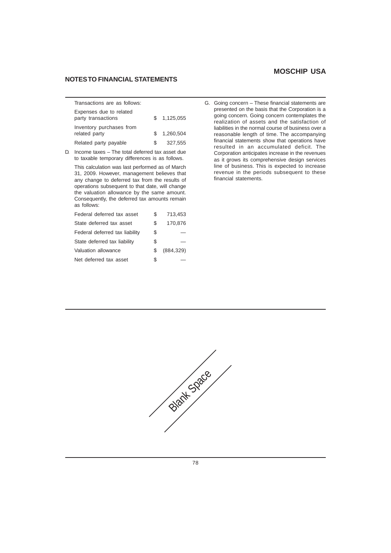### **NOTES TO FINANCIAL STATEMENTS**

| Transactions are as follows:                  |               |           |
|-----------------------------------------------|---------------|-----------|
| Expenses due to related<br>party transactions | S.            | 1.125.055 |
| Inventory purchases from<br>related party     | $\mathcal{S}$ | 1.260.504 |
| Related party payable                         | S.            | 327,555   |

D. Income taxes – The total deferred tax asset due to taxable temporary differences is as follows.

This calculation was last performed as of March 31, 2009. However, management believes that any change to deferred tax from the results of operations subsequent to that date, will change the valuation allowance by the same amount. Consequently, the deferred tax amounts remain as follows:

| Federal deferred tax asset     | S  | 713,453    |
|--------------------------------|----|------------|
| State deferred tax asset       | S  | 170,876    |
| Federal deferred tax liability | \$ |            |
| State deferred tax liability   | \$ |            |
| Valuation allowance            | S  | (884, 329) |
| Net deferred tax asset         | \$ |            |

G. Going concern – These financial statements are presented on the basis that the Corporation is a going concern. Going concern contemplates the realization of assets and the satisfaction of liabilities in the normal course of business over a reasonable length of time. The accompanying financial statements show that operations have resulted in an accumulated deficit. The Corporation anticipates increase in the revenues as it grows its comprehensive design services line of business. This is expected to increase revenue in the periods subsequent to these financial statements.

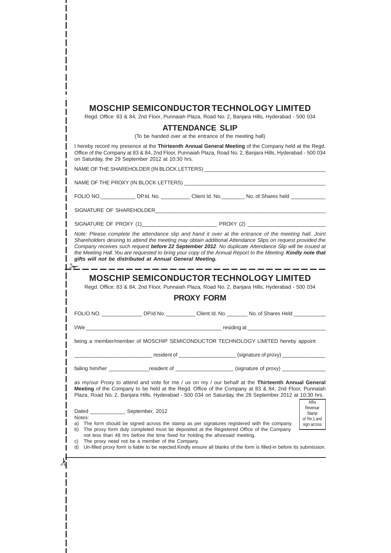| <b>MOSCHIP SEMICONDUCTOR TECHNOLOGY LIMITED</b> |  |
|-------------------------------------------------|--|
|-------------------------------------------------|--|

Regd. Office: 83 & 84, 2nd Floor, Punnaiah Plaza, Road No. 2, Banjara Hills, Hyderabad - 500 034

### **ATTENDANCE SLIP**

(To be handed over at the entrance of the meeting hall)

I hereby record my presence at the **Thirteenth Annual General Meeting** of the Company held at the Regd. Office of the Company at 83 & 84, 2nd Floor, Punnaiah Plaza, Road No. 2, Banjara Hills, Hyderabad - 500 034 on Saturday, the 29 September 2012 at 10:30 hrs.

NAME OF THE SHAREHOLDER (IN BLOCK LETTERS) \_\_\_\_\_\_\_\_\_\_\_\_\_\_\_\_\_\_\_\_\_\_\_\_\_\_\_\_\_\_\_\_\_\_\_\_\_\_\_\_\_\_ NAME OF THE PROXY (IN BLOCK LETTERS) FOLIO NO. \_\_\_\_\_\_\_\_\_\_\_\_\_\_\_ DP.Id. No. \_\_\_\_\_\_\_\_\_\_\_ Client Id. No. \_\_\_\_\_\_\_\_\_ No. of Shares held \_\_\_ SIGNATURE OF SHAREHOLDER SIGNATURE OF PROXY (1)\_\_\_\_\_\_\_\_\_\_\_\_\_\_\_\_\_\_\_\_\_\_\_\_\_\_ PROXY (2) \_\_\_\_\_\_\_\_\_\_\_\_\_\_\_\_\_\_\_\_\_\_\_\_\_\_\_ *Note: Please complete the attendance slip and hand it over at the entrance of the meeting hall. Joint Shareholders desiring to attend the meeting may obtain additional Attendance Slips on request provided the Company receives such request before 22 September 2012. No duplicate Attendance Slip will be issued at the Meeting Hall. You are requested to bring your copy of the Annual Report to the Meeting. Kindly note that gifts will not be distributed at Annual General Meeting.*  $\frac{1}{2}$ **MOSCHIP SEMICONDUCTOR TECHNOLOGY LIMITED** Regd. Office: 83 & 84, 2nd Floor, Punnaiah Plaza, Road No. 2, Banjara Hills, Hyderabad - 500 034 **PROXY FORM** FOLIO NO. \_\_\_\_\_\_\_\_\_\_\_\_\_\_\_\_\_ DP.Id No. \_\_\_\_\_\_\_\_\_\_ Client Id. No. \_\_\_\_\_\_\_ No. of Shares Held \_\_\_\_\_\_\_\_\_ I/We **example all the example of the example of the example of the example of the example of the example of the example of the example of the example of the example of the example of the example of the example of the examp** being a member/member of MOSCHIP SEMICONDUCTOR TECHNOLOGY LIMITED hereby appoint Let us a resident of \_\_\_\_\_\_\_\_\_\_\_\_\_\_\_\_\_\_\_\_\_\_\_\_\_\_\_(signature of proxy) \_\_\_\_\_\_\_\_\_\_\_ failing him/her \_\_\_\_\_\_\_\_\_\_\_\_\_\_\_\_\_resident of \_\_\_\_\_\_\_\_\_\_\_\_\_\_\_\_\_\_\_\_\_\_\_\_\_(signature of proxy) \_ as my/our Proxy to attend and vote for me / us on my / our behalf at the **Thirteenth Annual General Meeting** of the Company to be held at the Regd. Office of the Company at 83 & 84, 2nd Floor, Punnaiah Plaza, Road No. 2, Banjara Hills, Hyderabad - 500 034 on Saturday, the 29 September 2012 at 10:30 hrs. **Affiv** Revenue Dated September, 2012 Stamp Notes: of Re.1 and a) The form should be signed across the stamp as per signatures registered with the company. sign across b) The proxy form duly completed must be deposited at the Registered Office of the Company not less than 48 hrs before the time fixed for holding the aforesaid meeting. c) The proxy need not be a member of the Company. d) Un-filled proxy form is liable to be rejected.Kindly ensure all blanks of the form is filled-in before its submission. I 79

 $\lambda$